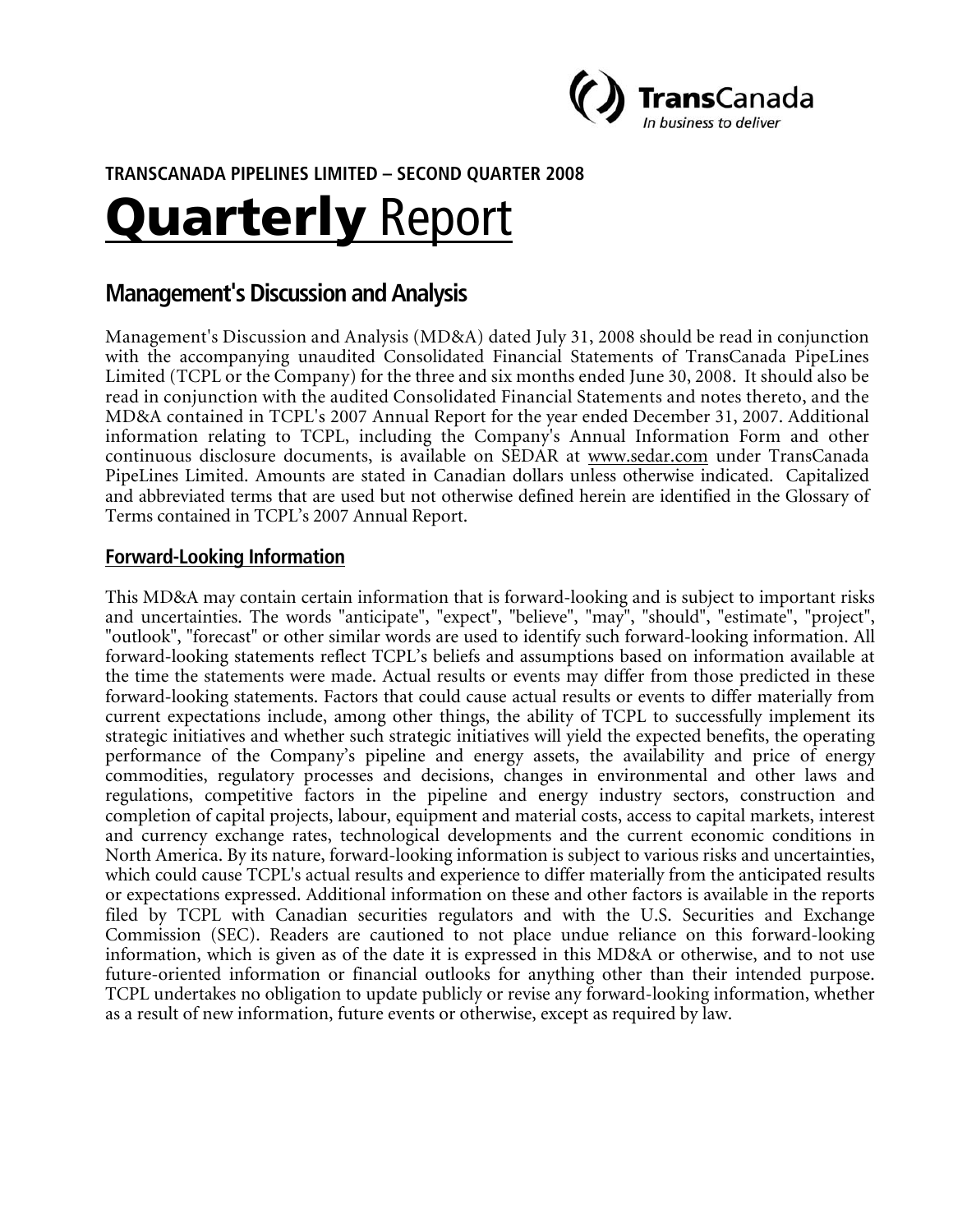

# **TRANSCANADA PIPELINES LIMITED – SECOND QUARTER 2008**

# Quarterly Report

# **Management's Discussion and Analysis**

Management's Discussion and Analysis (MD&A) dated July 31, 2008 should be read in conjunction with the accompanying unaudited Consolidated Financial Statements of TransCanada PipeLines Limited (TCPL or the Company) for the three and six months ended June 30, 2008. It should also be read in conjunction with the audited Consolidated Financial Statements and notes thereto, and the MD&A contained in TCPL's 2007 Annual Report for the year ended December 31, 2007. Additional information relating to TCPL, including the Company's Annual Information Form and other continuous disclosure documents, is available on SEDAR at www.sedar.com under TransCanada PipeLines Limited. Amounts are stated in Canadian dollars unless otherwise indicated. Capitalized and abbreviated terms that are used but not otherwise defined herein are identified in the Glossary of Terms contained in TCPL's 2007 Annual Report.

#### **Forward-Looking Information**

This MD&A may contain certain information that is forward-looking and is subject to important risks and uncertainties. The words "anticipate", "expect", "believe", "may", "should", "estimate", "project", "outlook", "forecast" or other similar words are used to identify such forward-looking information. All forward-looking statements reflect TCPL's beliefs and assumptions based on information available at the time the statements were made. Actual results or events may differ from those predicted in these forward-looking statements. Factors that could cause actual results or events to differ materially from current expectations include, among other things, the ability of TCPL to successfully implement its strategic initiatives and whether such strategic initiatives will yield the expected benefits, the operating performance of the Company's pipeline and energy assets, the availability and price of energy commodities, regulatory processes and decisions, changes in environmental and other laws and regulations, competitive factors in the pipeline and energy industry sectors, construction and completion of capital projects, labour, equipment and material costs, access to capital markets, interest and currency exchange rates, technological developments and the current economic conditions in North America. By its nature, forward-looking information is subject to various risks and uncertainties, which could cause TCPL's actual results and experience to differ materially from the anticipated results or expectations expressed. Additional information on these and other factors is available in the reports filed by TCPL with Canadian securities regulators and with the U.S. Securities and Exchange Commission (SEC). Readers are cautioned to not place undue reliance on this forward-looking information, which is given as of the date it is expressed in this MD&A or otherwise, and to not use future-oriented information or financial outlooks for anything other than their intended purpose. TCPL undertakes no obligation to update publicly or revise any forward-looking information, whether as a result of new information, future events or otherwise, except as required by law.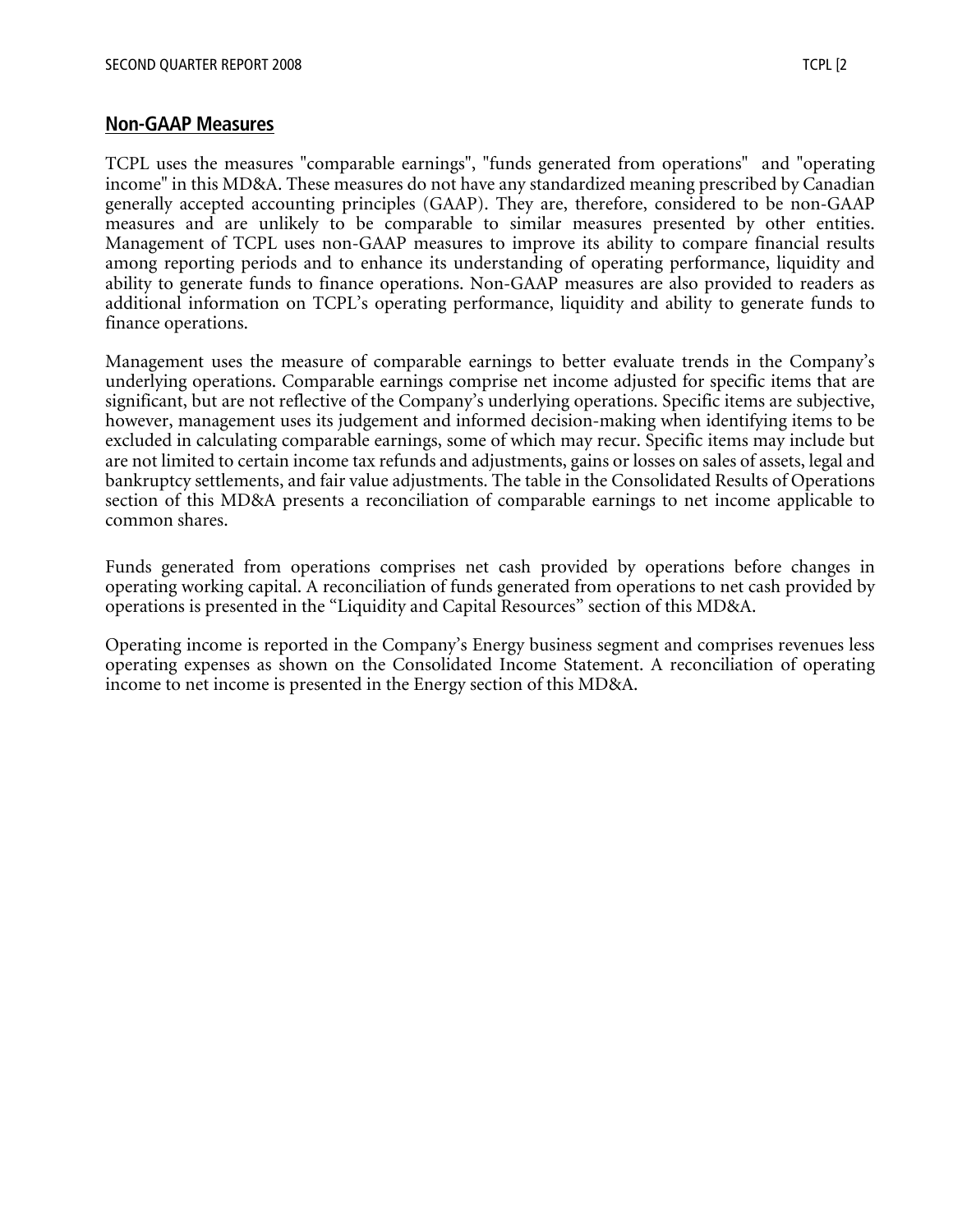#### **Non-GAAP Measures**

TCPL uses the measures "comparable earnings", "funds generated from operations" and "operating income" in this MD&A. These measures do not have any standardized meaning prescribed by Canadian generally accepted accounting principles (GAAP). They are, therefore, considered to be non-GAAP measures and are unlikely to be comparable to similar measures presented by other entities. Management of TCPL uses non-GAAP measures to improve its ability to compare financial results among reporting periods and to enhance its understanding of operating performance, liquidity and ability to generate funds to finance operations. Non-GAAP measures are also provided to readers as additional information on TCPL's operating performance, liquidity and ability to generate funds to finance operations.

Management uses the measure of comparable earnings to better evaluate trends in the Company's underlying operations. Comparable earnings comprise net income adjusted for specific items that are significant, but are not reflective of the Company's underlying operations. Specific items are subjective, however, management uses its judgement and informed decision-making when identifying items to be excluded in calculating comparable earnings, some of which may recur. Specific items may include but are not limited to certain income tax refunds and adjustments, gains or losses on sales of assets, legal and bankruptcy settlements, and fair value adjustments. The table in the Consolidated Results of Operations section of this MD&A presents a reconciliation of comparable earnings to net income applicable to common shares.

Funds generated from operations comprises net cash provided by operations before changes in operating working capital. A reconciliation of funds generated from operations to net cash provided by operations is presented in the "Liquidity and Capital Resources" section of this MD&A.

Operating income is reported in the Company's Energy business segment and comprises revenues less operating expenses as shown on the Consolidated Income Statement. A reconciliation of operating income to net income is presented in the Energy section of this MD&A.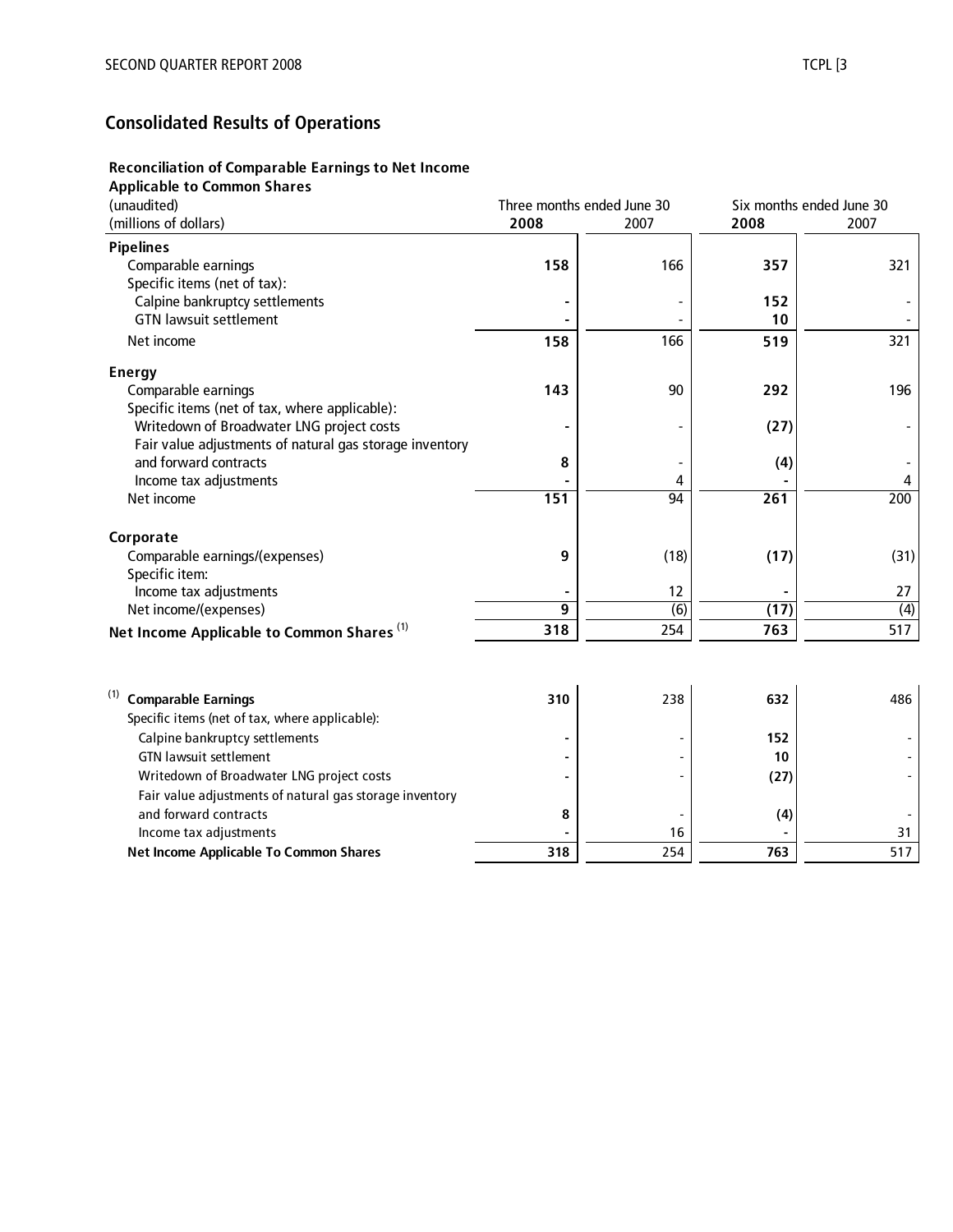# **Consolidated Results of Operations**

#### **Reconciliation of Comparable Earnings to Net Income**

#### **Applicable to Common Shares**

| (unaudited)                                             | Three months ended June 30 |      | Six months ended June 30 |                  |  |
|---------------------------------------------------------|----------------------------|------|--------------------------|------------------|--|
| (millions of dollars)                                   | 2008                       | 2007 | 2008                     | 2007             |  |
| <b>Pipelines</b>                                        |                            |      |                          |                  |  |
| Comparable earnings                                     | 158                        | 166  | 357                      | 321              |  |
| Specific items (net of tax):                            |                            |      |                          |                  |  |
| Calpine bankruptcy settlements                          |                            |      | 152                      |                  |  |
| <b>GTN lawsuit settlement</b>                           |                            |      | 10                       |                  |  |
| Net income                                              | 158                        | 166  | 519                      | 321              |  |
| <b>Energy</b>                                           |                            |      |                          |                  |  |
| Comparable earnings                                     | 143                        | 90   | 292                      | 196              |  |
| Specific items (net of tax, where applicable):          |                            |      |                          |                  |  |
| Writedown of Broadwater LNG project costs               |                            |      | (27)                     |                  |  |
| Fair value adjustments of natural gas storage inventory |                            |      |                          |                  |  |
| and forward contracts                                   | 8                          |      | (4)                      |                  |  |
| Income tax adjustments                                  |                            | 4    |                          | 4                |  |
| Net income                                              | 151                        | 94   | 261                      | 200              |  |
| Corporate                                               |                            |      |                          |                  |  |
| Comparable earnings/(expenses)                          | 9                          | (18) | (17)                     | (31)             |  |
| Specific item:                                          |                            |      |                          |                  |  |
| Income tax adjustments                                  |                            | 12   |                          | 27               |  |
| Net income/(expenses)                                   | 9                          | (6)  | (17)                     | $\overline{(4)}$ |  |
| Net Income Applicable to Common Shares <sup>(1)</sup>   | 318                        | 254  | 763                      | 517              |  |
|                                                         |                            |      |                          |                  |  |
| <b>Comparable Earnings</b>                              | 310                        | 238  | 632                      | 486              |  |
| Specific items (net of tax, where applicable):          |                            |      |                          |                  |  |
| Calpine bankruptcy settlements                          |                            |      | 152                      |                  |  |
| <b>GTN lawsuit settlement</b>                           |                            |      | 10                       |                  |  |
| Writedown of Broadwater LNG project costs               |                            |      | (27)                     |                  |  |
| Fair value adjustments of natural gas storage inventory |                            |      |                          |                  |  |
| and forward contracts                                   | 8                          |      | (4)                      |                  |  |
| Income tax adjustments                                  |                            | 16   |                          | 31               |  |
| Net Income Applicable To Common Shares                  | 318                        | 254  | 763                      | 517              |  |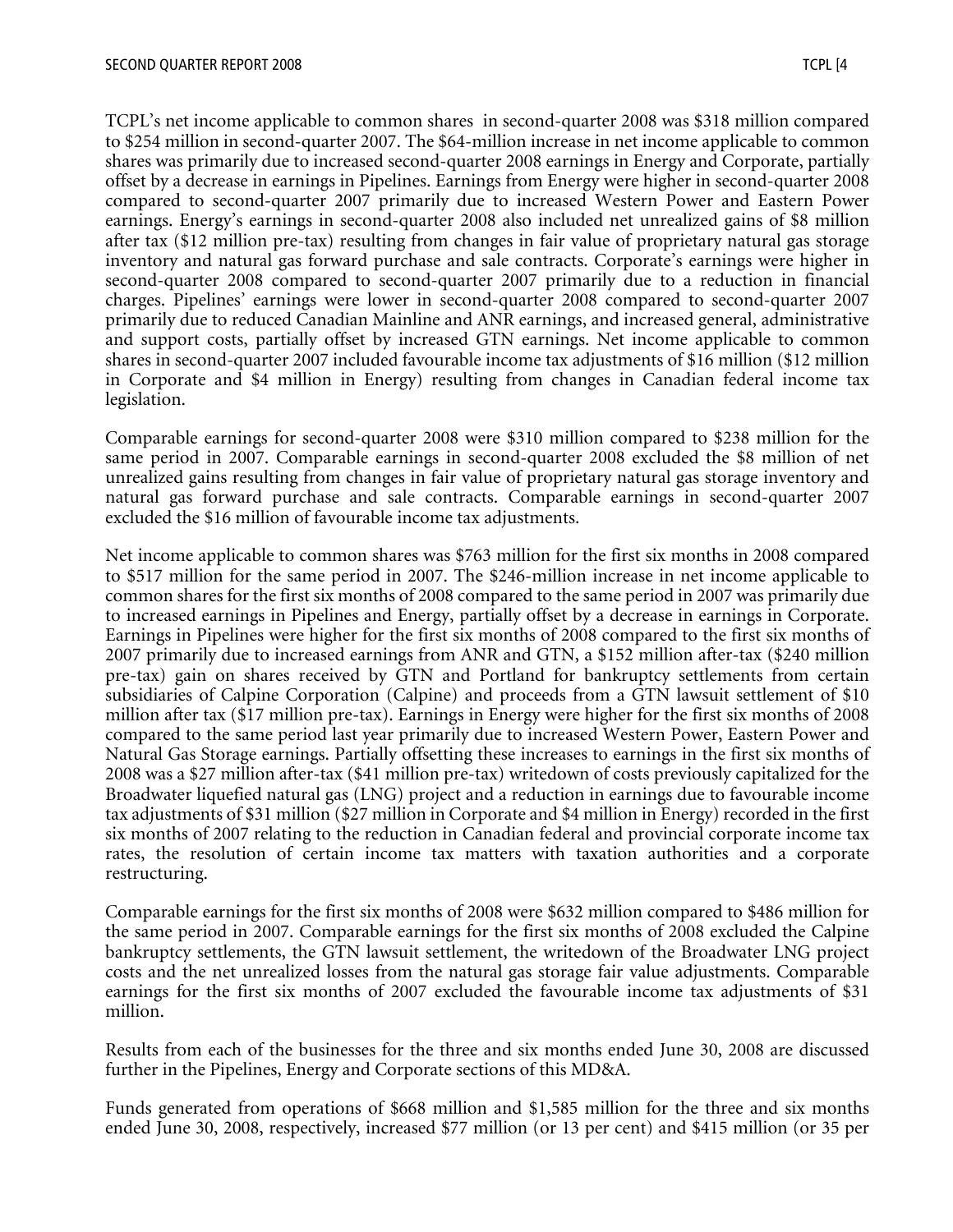TCPL's net income applicable to common shares in second-quarter 2008 was \$318 million compared to \$254 million in second-quarter 2007. The \$64-million increase in net income applicable to common shares was primarily due to increased second-quarter 2008 earnings in Energy and Corporate, partially offset by a decrease in earnings in Pipelines. Earnings from Energy were higher in second-quarter 2008 compared to second-quarter 2007 primarily due to increased Western Power and Eastern Power earnings. Energy's earnings in second-quarter 2008 also included net unrealized gains of \$8 million after tax (\$12 million pre-tax) resulting from changes in fair value of proprietary natural gas storage inventory and natural gas forward purchase and sale contracts. Corporate's earnings were higher in second-quarter 2008 compared to second-quarter 2007 primarily due to a reduction in financial charges. Pipelines' earnings were lower in second-quarter 2008 compared to second-quarter 2007 primarily due to reduced Canadian Mainline and ANR earnings, and increased general, administrative and support costs, partially offset by increased GTN earnings. Net income applicable to common shares in second-quarter 2007 included favourable income tax adjustments of \$16 million (\$12 million in Corporate and \$4 million in Energy) resulting from changes in Canadian federal income tax legislation.

Comparable earnings for second-quarter 2008 were \$310 million compared to \$238 million for the same period in 2007. Comparable earnings in second-quarter 2008 excluded the \$8 million of net unrealized gains resulting from changes in fair value of proprietary natural gas storage inventory and natural gas forward purchase and sale contracts. Comparable earnings in second-quarter 2007 excluded the \$16 million of favourable income tax adjustments.

Net income applicable to common shares was \$763 million for the first six months in 2008 compared to \$517 million for the same period in 2007. The \$246-million increase in net income applicable to common shares for the first six months of 2008 compared to the same period in 2007 was primarily due to increased earnings in Pipelines and Energy, partially offset by a decrease in earnings in Corporate. Earnings in Pipelines were higher for the first six months of 2008 compared to the first six months of 2007 primarily due to increased earnings from ANR and GTN, a \$152 million after-tax (\$240 million pre-tax) gain on shares received by GTN and Portland for bankruptcy settlements from certain subsidiaries of Calpine Corporation (Calpine) and proceeds from a GTN lawsuit settlement of \$10 million after tax (\$17 million pre-tax). Earnings in Energy were higher for the first six months of 2008 compared to the same period last year primarily due to increased Western Power, Eastern Power and Natural Gas Storage earnings. Partially offsetting these increases to earnings in the first six months of 2008 was a \$27 million after-tax (\$41 million pre-tax) writedown of costs previously capitalized for the Broadwater liquefied natural gas (LNG) project and a reduction in earnings due to favourable income tax adjustments of \$31 million (\$27 million in Corporate and \$4 million in Energy) recorded in the first six months of 2007 relating to the reduction in Canadian federal and provincial corporate income tax rates, the resolution of certain income tax matters with taxation authorities and a corporate restructuring.

Comparable earnings for the first six months of 2008 were \$632 million compared to \$486 million for the same period in 2007. Comparable earnings for the first six months of 2008 excluded the Calpine bankruptcy settlements, the GTN lawsuit settlement, the writedown of the Broadwater LNG project costs and the net unrealized losses from the natural gas storage fair value adjustments. Comparable earnings for the first six months of 2007 excluded the favourable income tax adjustments of \$31 million.

Results from each of the businesses for the three and six months ended June 30, 2008 are discussed further in the Pipelines, Energy and Corporate sections of this MD&A.

Funds generated from operations of \$668 million and \$1,585 million for the three and six months ended June 30, 2008, respectively, increased \$77 million (or 13 per cent) and \$415 million (or 35 per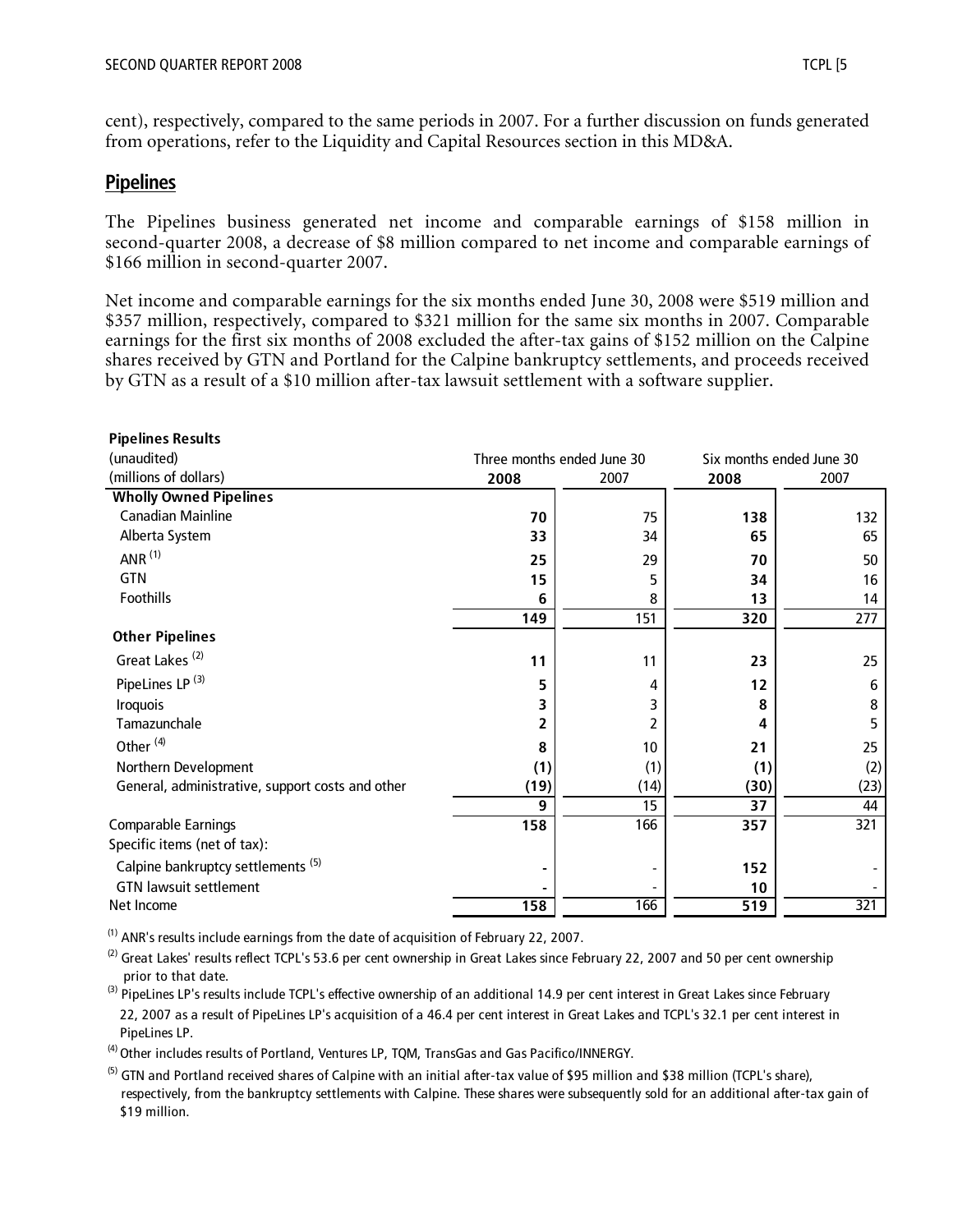cent), respectively, compared to the same periods in 2007. For a further discussion on funds generated from operations, refer to the Liquidity and Capital Resources section in this MD&A.

# **Pipelines**

The Pipelines business generated net income and comparable earnings of \$158 million in second-quarter 2008, a decrease of \$8 million compared to net income and comparable earnings of \$166 million in second-quarter 2007.

Net income and comparable earnings for the six months ended June 30, 2008 were \$519 million and \$357 million, respectively, compared to \$321 million for the same six months in 2007. Comparable earnings for the first six months of 2008 excluded the after-tax gains of \$152 million on the Calpine shares received by GTN and Portland for the Calpine bankruptcy settlements, and proceeds received by GTN as a result of a \$10 million after-tax lawsuit settlement with a software supplier.

| <b>Pipelines Results</b>                         |                            |      |                  |                          |
|--------------------------------------------------|----------------------------|------|------------------|--------------------------|
| (unaudited)                                      | Three months ended June 30 |      |                  | Six months ended June 30 |
| (millions of dollars)                            | 2008                       | 2007 | 2008             | 2007                     |
| <b>Wholly Owned Pipelines</b>                    |                            |      |                  |                          |
| <b>Canadian Mainline</b>                         | 70                         | 75   | 138              | 132                      |
| Alberta System                                   | 33                         | 34   | 65               | 65                       |
| ANR $(1)$                                        | 25                         | 29   | 70               | 50                       |
| <b>GTN</b>                                       | 15                         | 5    | 34               | 16                       |
| Foothills                                        | 6                          | 8    | 13               | 14                       |
|                                                  | 149                        | 151  | 320              | 277                      |
| <b>Other Pipelines</b>                           |                            |      |                  |                          |
| Great Lakes <sup>(2)</sup>                       | 11                         | 11   | 23               | 25                       |
| PipeLines LP <sup>(3)</sup>                      | 5                          | 4    | 12               | 6                        |
| <b>Iroquois</b>                                  | 3                          | 3    | 8                | 8                        |
| Tamazunchale                                     | 2                          | 2    | 4                | 5                        |
| Other <sup>(4)</sup>                             | 8                          | 10   | 21               | 25                       |
| Northern Development                             | (1)                        | (1)  | (1)              | (2)                      |
| General, administrative, support costs and other | (19)                       | (14) | (30)             | (23)                     |
|                                                  | 9                          | 15   | 37               | 44                       |
| Comparable Earnings                              | 158                        | 166  | 357              | 321                      |
| Specific items (net of tax):                     |                            |      |                  |                          |
| Calpine bankruptcy settlements <sup>(5)</sup>    |                            |      | 152              |                          |
| <b>GTN lawsuit settlement</b>                    |                            |      | 10               |                          |
| Net Income                                       | 158                        | 166  | $\overline{519}$ | 321                      |

(1) ANR's results include earnings from the date of acquisition of February 22, 2007.

 $^{(2)}$  Great Lakes' results reflect TCPL's 53.6 per cent ownership in Great Lakes since February 22, 2007 and 50 per cent ownership prior to that date.

<sup>(3)</sup> PipeLines LP's results include TCPL's effective ownership of an additional 14.9 per cent interest in Great Lakes since February 22, 2007 as a result of PipeLines LP's acquisition of a 46.4 per cent interest in Great Lakes and TCPL's 32.1 per cent interest in PipeLines LP.

<sup>(4)</sup> Other includes results of Portland, Ventures LP, TQM, TransGas and Gas Pacifico/INNERGY.

<sup>(5)</sup> GTN and Portland received shares of Calpine with an initial after-tax value of \$95 million and \$38 million (TCPL's share), respectively, from the bankruptcy settlements with Calpine. These shares were subsequently sold for an additional after-tax gain of \$19 million.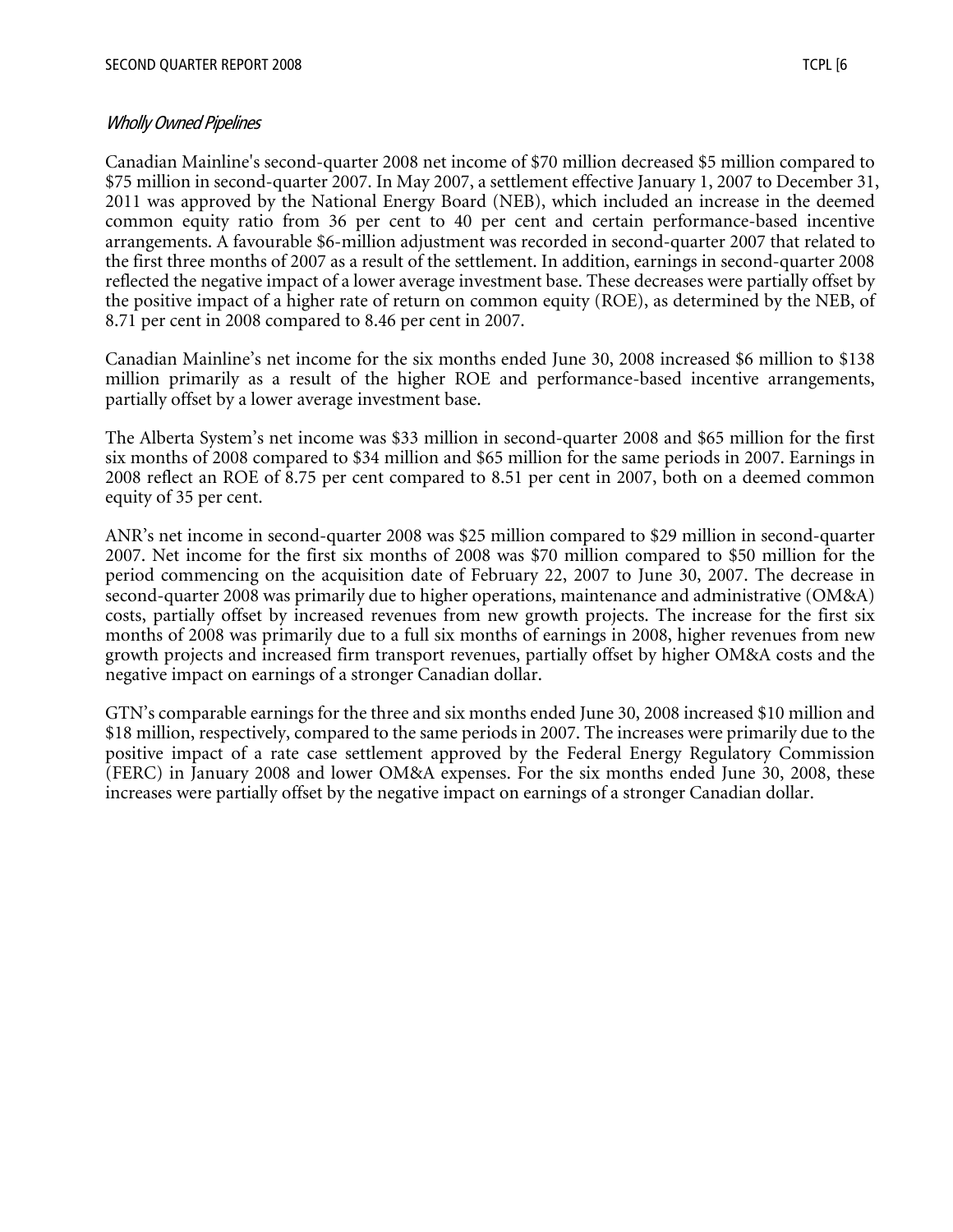#### Wholly Owned Pipelines

Canadian Mainline's second-quarter 2008 net income of \$70 million decreased \$5 million compared to \$75 million in second-quarter 2007. In May 2007, a settlement effective January 1, 2007 to December 31, 2011 was approved by the National Energy Board (NEB), which included an increase in the deemed common equity ratio from 36 per cent to 40 per cent and certain performance-based incentive arrangements. A favourable \$6-million adjustment was recorded in second-quarter 2007 that related to the first three months of 2007 as a result of the settlement. In addition, earnings in second-quarter 2008 reflected the negative impact of a lower average investment base. These decreases were partially offset by the positive impact of a higher rate of return on common equity (ROE), as determined by the NEB, of 8.71 per cent in 2008 compared to 8.46 per cent in 2007.

Canadian Mainline's net income for the six months ended June 30, 2008 increased \$6 million to \$138 million primarily as a result of the higher ROE and performance-based incentive arrangements, partially offset by a lower average investment base.

The Alberta System's net income was \$33 million in second-quarter 2008 and \$65 million for the first six months of 2008 compared to \$34 million and \$65 million for the same periods in 2007. Earnings in 2008 reflect an ROE of 8.75 per cent compared to 8.51 per cent in 2007, both on a deemed common equity of 35 per cent.

ANR's net income in second-quarter 2008 was \$25 million compared to \$29 million in second-quarter 2007. Net income for the first six months of 2008 was \$70 million compared to \$50 million for the period commencing on the acquisition date of February 22, 2007 to June 30, 2007. The decrease in second-quarter 2008 was primarily due to higher operations, maintenance and administrative (OM&A) costs, partially offset by increased revenues from new growth projects. The increase for the first six months of 2008 was primarily due to a full six months of earnings in 2008, higher revenues from new growth projects and increased firm transport revenues, partially offset by higher OM&A costs and the negative impact on earnings of a stronger Canadian dollar.

GTN's comparable earnings for the three and six months ended June 30, 2008 increased \$10 million and \$18 million, respectively, compared to the same periods in 2007. The increases were primarily due to the positive impact of a rate case settlement approved by the Federal Energy Regulatory Commission (FERC) in January 2008 and lower OM&A expenses. For the six months ended June 30, 2008, these increases were partially offset by the negative impact on earnings of a stronger Canadian dollar.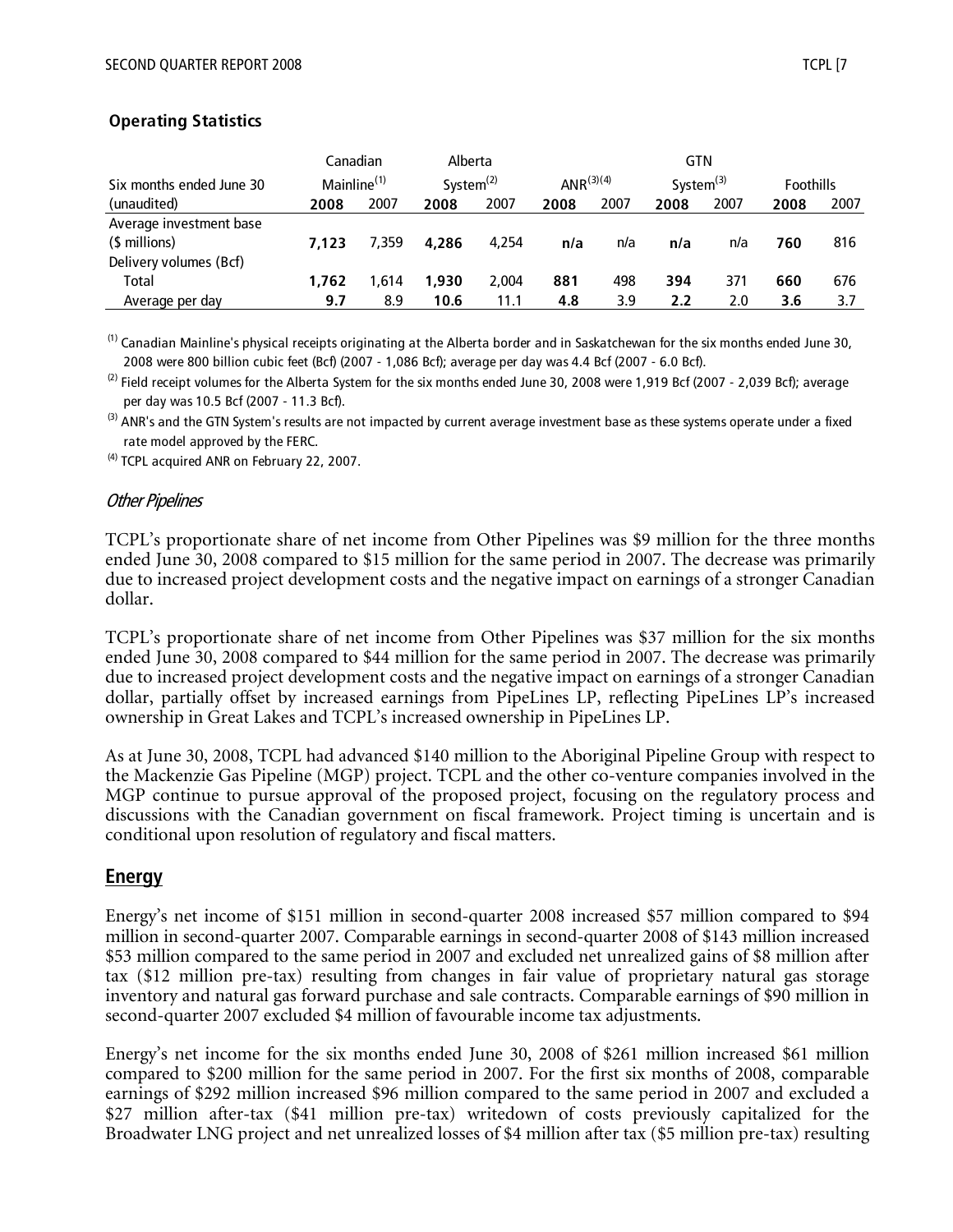|                          | Canadian                |       | Alberta               |       |                 |      | GTN             |      |                  |      |
|--------------------------|-------------------------|-------|-----------------------|-------|-----------------|------|-----------------|------|------------------|------|
| Six months ended June 30 | Mainline <sup>(1)</sup> |       | System <sup>(2)</sup> |       | ANR $^{(3)(4)}$ |      | System $^{(3)}$ |      | <b>Foothills</b> |      |
| (unaudited)              | 2008                    | 2007  | 2008                  | 2007  | 2008            | 2007 | 2008            | 2007 | 2008             | 2007 |
| Average investment base  |                         |       |                       |       |                 |      |                 |      |                  |      |
| (\$ millions)            | 7.123                   | 7.359 | 4.286                 | 4.254 | n/a             | n/a  | n/a             | n/a  | 760              | 816  |
| Delivery volumes (Bcf)   |                         |       |                       |       |                 |      |                 |      |                  |      |
| Total                    | 1.762                   | 1.614 | 1.930                 | 2.004 | 881             | 498  | 394             | 371  | 660              | 676  |
| Average per day          | 9.7                     | 8.9   | 10.6                  | 11.1  | 4.8             | 3.9  | 2.2             | 2.0  | 3.6              | 3.7  |

#### **Operating Statistics**

(1) Canadian Mainline's physical receipts originating at the Alberta border and in Saskatchewan for the six months ended June 30, 2008 were 800 billion cubic feet (Bcf) (2007 - 1,086 Bcf); average per day was 4.4 Bcf (2007 - 6.0 Bcf).

 $^{(2)}$  Field receipt volumes for the Alberta System for the six months ended June 30, 2008 were 1,919 Bcf (2007 - 2,039 Bcf); average per day was 10.5 Bcf (2007 - 11.3 Bcf).

 $<sup>(3)</sup>$  ANR's and the GTN System's results are not impacted by current average investment base as these systems operate under a fixed</sup> rate model approved by the FERC.

<sup>(4)</sup> TCPL acquired ANR on February 22, 2007.

#### Other Pipelines

TCPL's proportionate share of net income from Other Pipelines was \$9 million for the three months ended June 30, 2008 compared to \$15 million for the same period in 2007. The decrease was primarily due to increased project development costs and the negative impact on earnings of a stronger Canadian dollar.

TCPL's proportionate share of net income from Other Pipelines was \$37 million for the six months ended June 30, 2008 compared to \$44 million for the same period in 2007. The decrease was primarily due to increased project development costs and the negative impact on earnings of a stronger Canadian dollar, partially offset by increased earnings from PipeLines LP, reflecting PipeLines LP's increased ownership in Great Lakes and TCPL's increased ownership in PipeLines LP.

As at June 30, 2008, TCPL had advanced \$140 million to the Aboriginal Pipeline Group with respect to the Mackenzie Gas Pipeline (MGP) project. TCPL and the other co-venture companies involved in the MGP continue to pursue approval of the proposed project, focusing on the regulatory process and discussions with the Canadian government on fiscal framework. Project timing is uncertain and is conditional upon resolution of regulatory and fiscal matters.

#### **Energy**

Energy's net income of \$151 million in second-quarter 2008 increased \$57 million compared to \$94 million in second-quarter 2007. Comparable earnings in second-quarter 2008 of \$143 million increased \$53 million compared to the same period in 2007 and excluded net unrealized gains of \$8 million after tax (\$12 million pre-tax) resulting from changes in fair value of proprietary natural gas storage inventory and natural gas forward purchase and sale contracts. Comparable earnings of \$90 million in second-quarter 2007 excluded \$4 million of favourable income tax adjustments.

Energy's net income for the six months ended June 30, 2008 of \$261 million increased \$61 million compared to \$200 million for the same period in 2007. For the first six months of 2008, comparable earnings of \$292 million increased \$96 million compared to the same period in 2007 and excluded a \$27 million after-tax (\$41 million pre-tax) writedown of costs previously capitalized for the Broadwater LNG project and net unrealized losses of \$4 million after tax (\$5 million pre-tax) resulting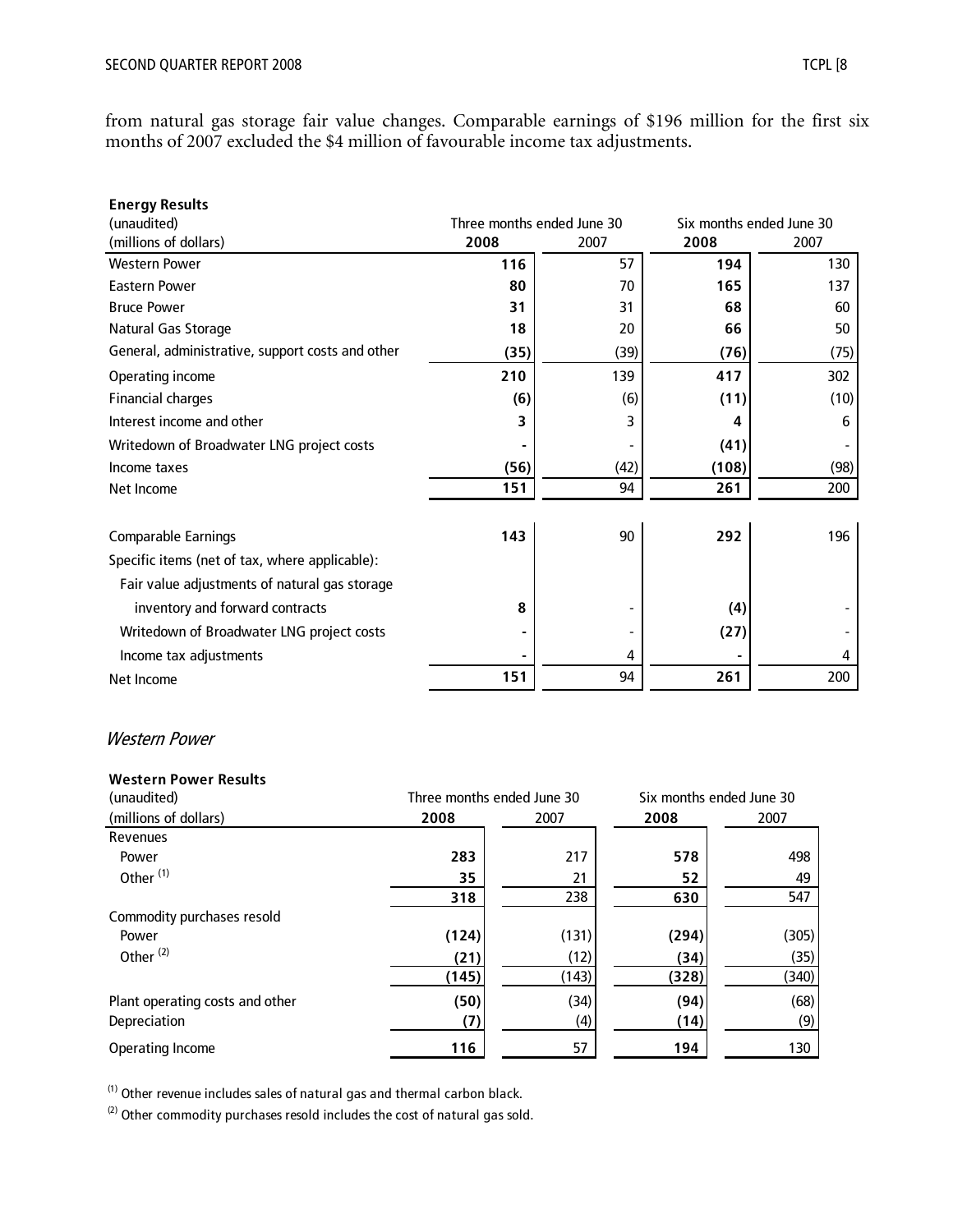from natural gas storage fair value changes. Comparable earnings of \$196 million for the first six months of 2007 excluded the \$4 million of favourable income tax adjustments.

| <b>Energy Results</b>                            |                            |      |                          |      |
|--------------------------------------------------|----------------------------|------|--------------------------|------|
| (unaudited)                                      | Three months ended June 30 |      | Six months ended June 30 |      |
| (millions of dollars)                            | 2008                       | 2007 | 2008                     | 2007 |
| <b>Western Power</b>                             | 116                        | 57   | 194                      | 130  |
| <b>Eastern Power</b>                             | 80                         | 70   | 165                      | 137  |
| <b>Bruce Power</b>                               | 31                         | 31   | 68                       | 60   |
| Natural Gas Storage                              | 18                         | 20   | 66                       | 50   |
| General, administrative, support costs and other | (35)                       | (39) | (76)                     | (75) |
| Operating income                                 | 210                        | 139  | 417                      | 302  |
| <b>Financial charges</b>                         | (6)                        | (6)  | (11)                     | (10) |
| Interest income and other                        | 3                          | 3    | 4                        | 6    |
| Writedown of Broadwater LNG project costs        |                            |      | (41)                     |      |
| Income taxes                                     | (56)                       | (42) | (108)                    | (98) |
| Net Income                                       | 151                        | 94   | 261                      | 200  |
| <b>Comparable Earnings</b>                       | 143                        | 90   | 292                      | 196  |
| Specific items (net of tax, where applicable):   |                            |      |                          |      |
| Fair value adjustments of natural gas storage    |                            |      |                          |      |
| inventory and forward contracts                  | 8                          |      | (4)                      |      |
| Writedown of Broadwater LNG project costs        |                            |      | (27)                     |      |
| Income tax adjustments                           |                            | 4    |                          | 4    |
| Net Income                                       | 151                        | 94   | 261                      | 200  |

#### Western Power

#### **Western Power Results**

| (unaudited)                     | Three months ended June 30 |       |       | Six months ended June 30 |
|---------------------------------|----------------------------|-------|-------|--------------------------|
| (millions of dollars)           | 2008                       | 2007  | 2008  | 2007                     |
| Revenues                        |                            |       |       |                          |
| Power                           | 283                        | 217   | 578   | 498                      |
| Other <sup>(1)</sup>            | 35                         | 21    | 52    | 49                       |
|                                 | 318                        | 238   | 630   | 547                      |
| Commodity purchases resold      |                            |       |       |                          |
| Power                           | (124)                      | (131) | (294) | (305)                    |
| Other <sup>(2)</sup>            | (21)                       | (12)  | (34)  | (35)                     |
|                                 | (145)                      | (143) | (328) | (340)                    |
| Plant operating costs and other | (50)                       | (34)  | (94)  | (68)                     |
| Depreciation                    | (7)                        | (4)   | (14)  | (9)                      |
| Operating Income                | 116                        | 57    | 194   | 130                      |

 $(1)$  Other revenue includes sales of natural gas and thermal carbon black.

 $(2)$  Other commodity purchases resold includes the cost of natural gas sold.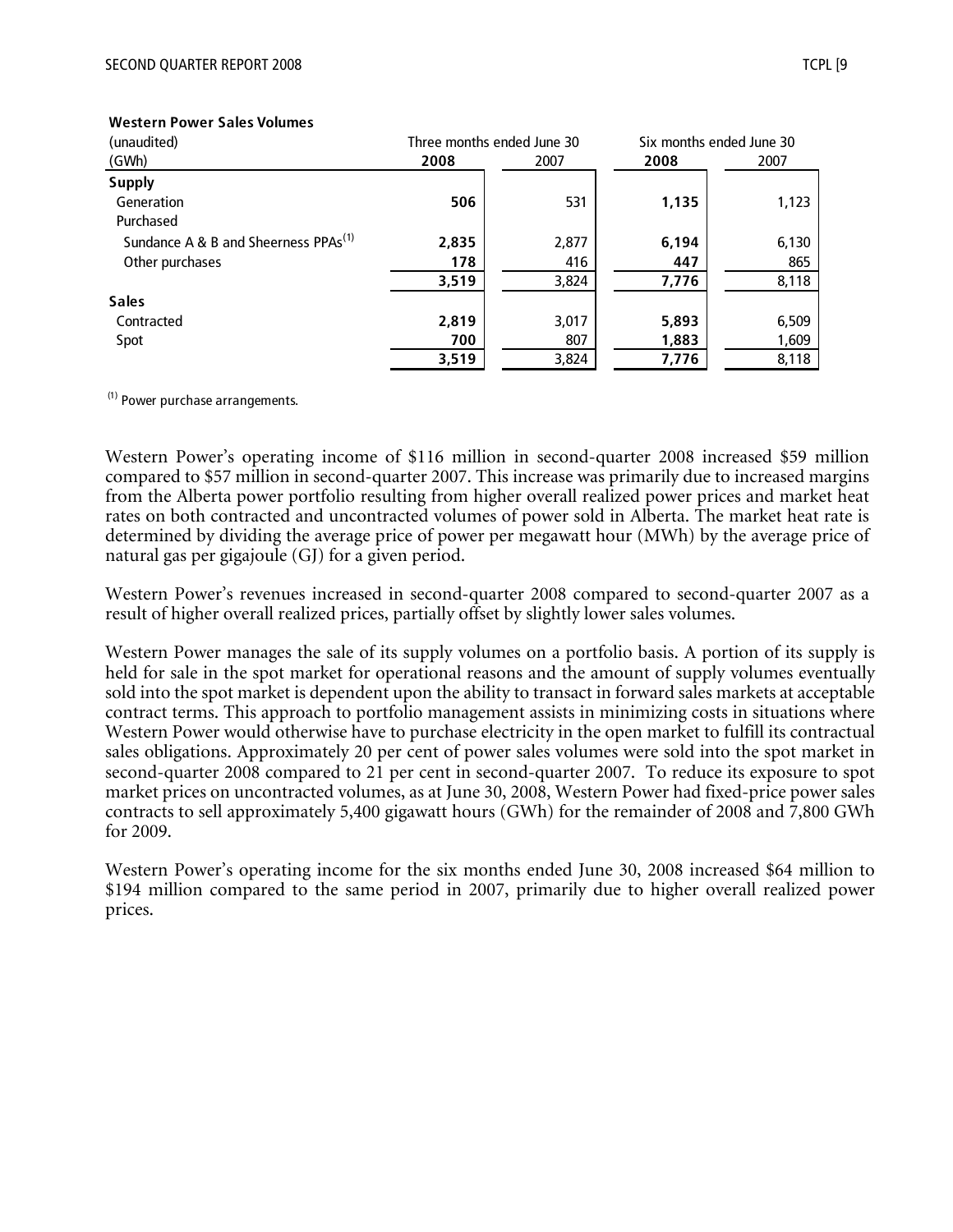| (unaudited)                                      | Three months ended June 30 |       |       | Six months ended June 30 |
|--------------------------------------------------|----------------------------|-------|-------|--------------------------|
| (GWh)                                            | 2008                       | 2007  | 2008  | 2007                     |
| <b>Supply</b>                                    |                            |       |       |                          |
| Generation                                       | 506                        | 531   | 1,135 | 1,123                    |
| Purchased                                        |                            |       |       |                          |
| Sundance A & B and Sheerness PPAs <sup>(1)</sup> | 2,835                      | 2,877 | 6,194 | 6,130                    |
| Other purchases                                  | 178                        | 416   | 447   | 865                      |
|                                                  | 3,519                      | 3,824 | 7,776 | 8,118                    |
| <b>Sales</b>                                     |                            |       |       |                          |
| Contracted                                       | 2,819                      | 3,017 | 5,893 | 6,509                    |
| Spot                                             | 700                        | 807   | 1,883 | 1,609                    |
|                                                  | 3,519                      | 3,824 | 7,776 | 8,118                    |

#### **Western Power Sales Volumes**

 $(1)$  Power purchase arrangements.

Western Power's operating income of \$116 million in second-quarter 2008 increased \$59 million compared to \$57 million in second-quarter 2007. This increase was primarily due to increased margins from the Alberta power portfolio resulting from higher overall realized power prices and market heat rates on both contracted and uncontracted volumes of power sold in Alberta. The market heat rate is determined by dividing the average price of power per megawatt hour (MWh) by the average price of natural gas per gigajoule (GJ) for a given period.

Western Power's revenues increased in second-quarter 2008 compared to second-quarter 2007 as a result of higher overall realized prices, partially offset by slightly lower sales volumes.

Western Power manages the sale of its supply volumes on a portfolio basis. A portion of its supply is held for sale in the spot market for operational reasons and the amount of supply volumes eventually sold into the spot market is dependent upon the ability to transact in forward sales markets at acceptable contract terms. This approach to portfolio management assists in minimizing costs in situations where Western Power would otherwise have to purchase electricity in the open market to fulfill its contractual sales obligations. Approximately 20 per cent of power sales volumes were sold into the spot market in second-quarter 2008 compared to 21 per cent in second-quarter 2007. To reduce its exposure to spot market prices on uncontracted volumes, as at June 30, 2008, Western Power had fixed-price power sales contracts to sell approximately 5,400 gigawatt hours (GWh) for the remainder of 2008 and 7,800 GWh for 2009.

Western Power's operating income for the six months ended June 30, 2008 increased \$64 million to \$194 million compared to the same period in 2007, primarily due to higher overall realized power prices.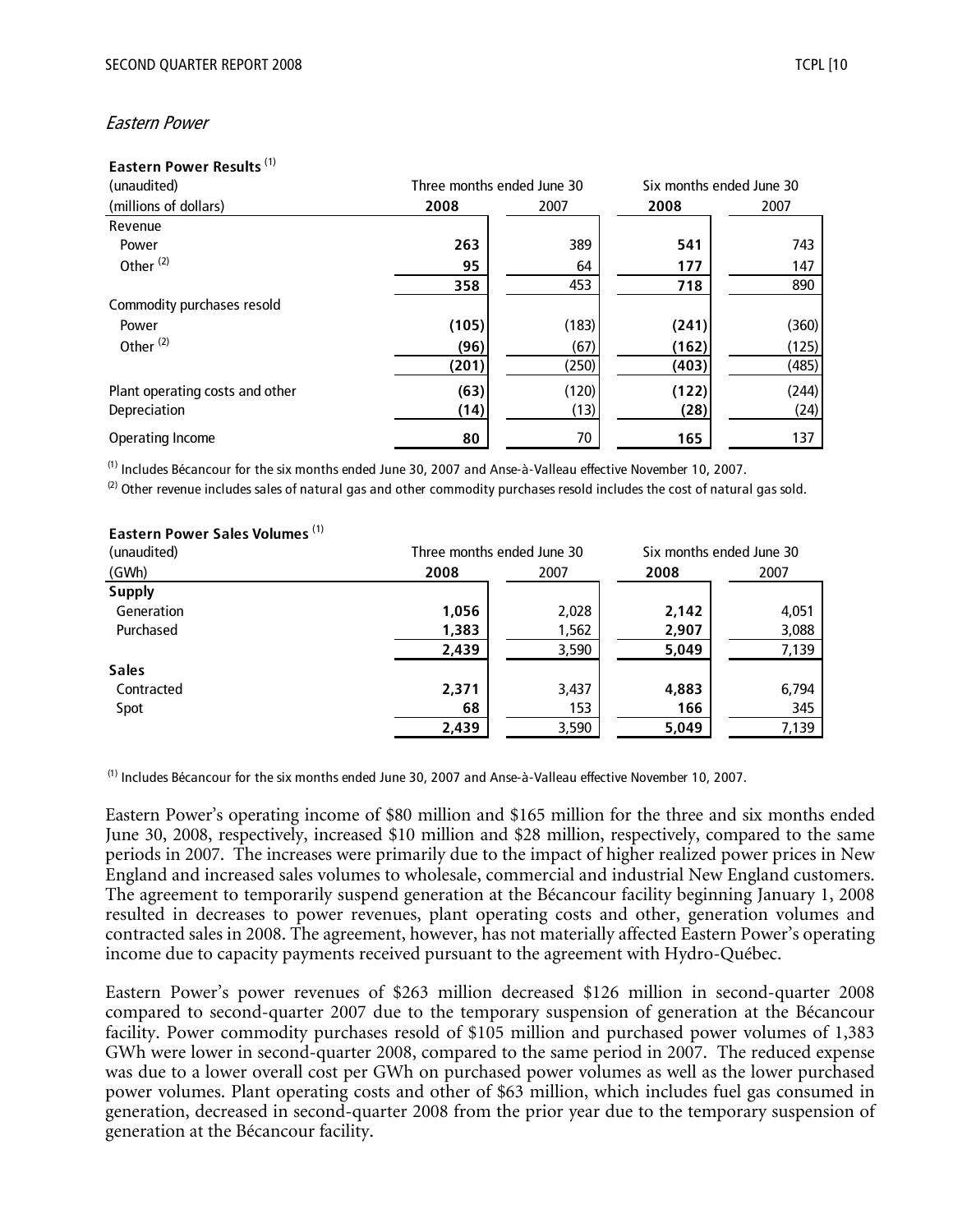#### Eastern Power

#### **Eastern Power Results** (1)

| (unaudited)                     | Three months ended June 30 |       |       | Six months ended June 30 |
|---------------------------------|----------------------------|-------|-------|--------------------------|
| (millions of dollars)           | 2008                       | 2007  | 2008  | 2007                     |
| Revenue                         |                            |       |       |                          |
| Power                           | 263                        | 389   | 541   | 743                      |
| Other <sup>(2)</sup>            | 95                         | 64    | 177   | 147                      |
|                                 | 358                        | 453   | 718   | 890                      |
| Commodity purchases resold      |                            |       |       |                          |
| Power                           | (105)                      | (183) | (241) | (360)                    |
| Other <sup>(2)</sup>            | (96)                       | (67)  | (162) | (125)                    |
|                                 | (201)                      | (250) | (403) | (485)                    |
| Plant operating costs and other | (63)                       | (120) | (122) | (244)                    |
| Depreciation                    | (14)                       | (13)  | (28)  | (24)                     |
| Operating Income                | 80                         | 70    | 165   | 137                      |

(1) Includes Bécancour for the six months ended June 30, 2007 and Anse-à-Valleau effective November 10, 2007.

 $(2)$  Other revenue includes sales of natural gas and other commodity purchases resold includes the cost of natural gas sold.

#### **Eastern Power Sales Volumes** (1)

| (unaudited)   |       | Three months ended June 30 | Six months ended June 30 |       |
|---------------|-------|----------------------------|--------------------------|-------|
| (GWh)         | 2008  | 2007                       | 2008                     | 2007  |
| <b>Supply</b> |       |                            |                          |       |
| Generation    | 1,056 | 2,028                      | 2,142                    | 4,051 |
| Purchased     | 1,383 | 1,562                      | 2,907                    | 3,088 |
|               | 2,439 | 3,590                      | 5,049                    | 7,139 |
| <b>Sales</b>  |       |                            |                          |       |
| Contracted    | 2,371 | 3,437                      | 4,883                    | 6,794 |
| Spot          | 68    | 153                        | 166                      | 345   |
|               | 2,439 | 3,590                      | 5,049                    | 7,139 |

(1) Includes Bécancour for the six months ended June 30, 2007 and Anse-à-Valleau effective November 10, 2007.

Eastern Power's operating income of \$80 million and \$165 million for the three and six months ended June 30, 2008, respectively, increased \$10 million and \$28 million, respectively, compared to the same periods in 2007. The increases were primarily due to the impact of higher realized power prices in New England and increased sales volumes to wholesale, commercial and industrial New England customers. The agreement to temporarily suspend generation at the Bécancour facility beginning January 1, 2008 resulted in decreases to power revenues, plant operating costs and other, generation volumes and contracted sales in 2008. The agreement, however, has not materially affected Eastern Power's operating income due to capacity payments received pursuant to the agreement with Hydro-Québec.

Eastern Power's power revenues of \$263 million decreased \$126 million in second-quarter 2008 compared to second-quarter 2007 due to the temporary suspension of generation at the Bécancour facility. Power commodity purchases resold of \$105 million and purchased power volumes of 1,383 GWh were lower in second-quarter 2008, compared to the same period in 2007. The reduced expense was due to a lower overall cost per GWh on purchased power volumes as well as the lower purchased power volumes. Plant operating costs and other of \$63 million, which includes fuel gas consumed in generation, decreased in second-quarter 2008 from the prior year due to the temporary suspension of generation at the Bécancour facility.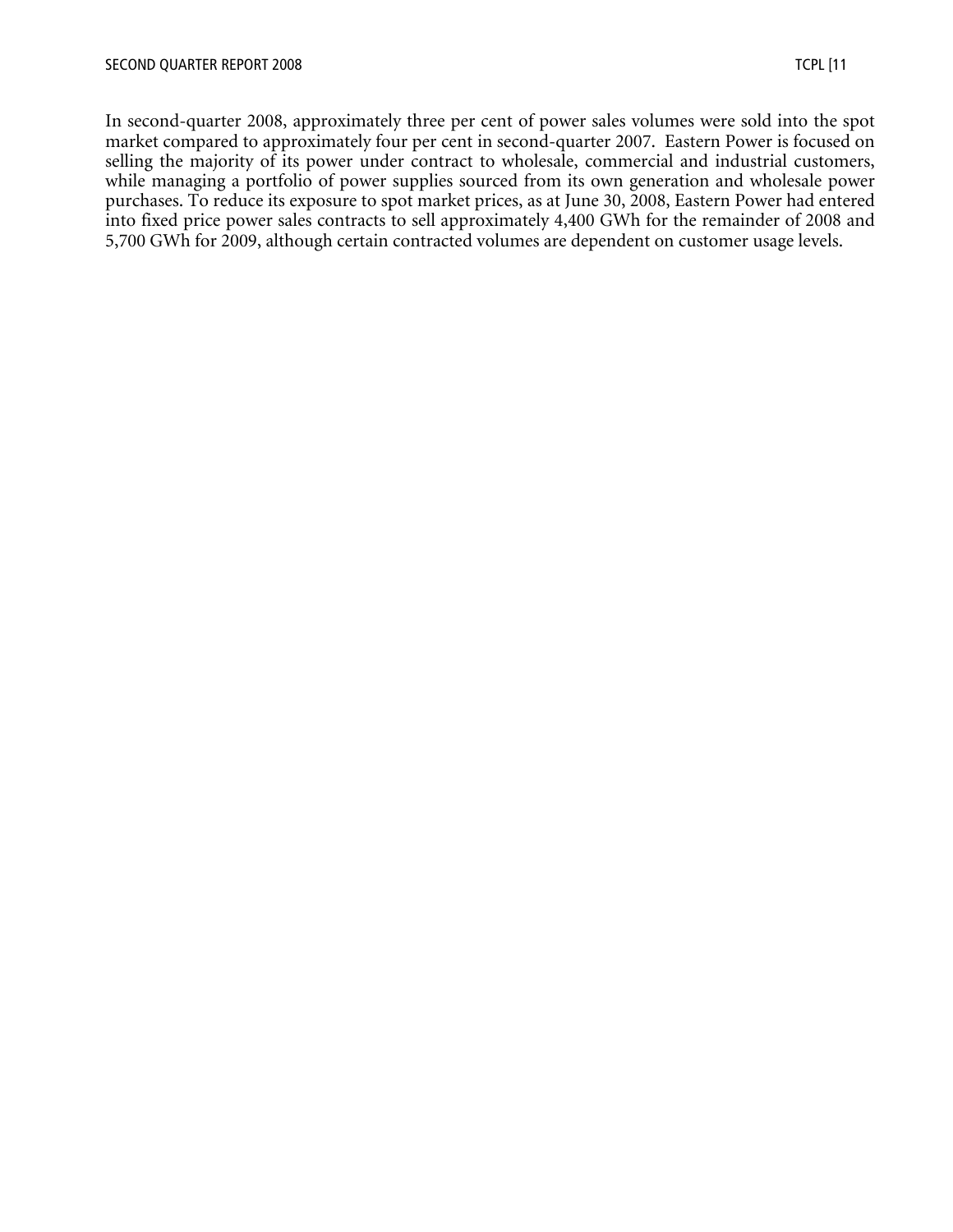In second-quarter 2008, approximately three per cent of power sales volumes were sold into the spot market compared to approximately four per cent in second-quarter 2007. Eastern Power is focused on selling the majority of its power under contract to wholesale, commercial and industrial customers, while managing a portfolio of power supplies sourced from its own generation and wholesale power purchases. To reduce its exposure to spot market prices, as at June 30, 2008, Eastern Power had entered into fixed price power sales contracts to sell approximately 4,400 GWh for the remainder of 2008 and 5,700 GWh for 2009, although certain contracted volumes are dependent on customer usage levels.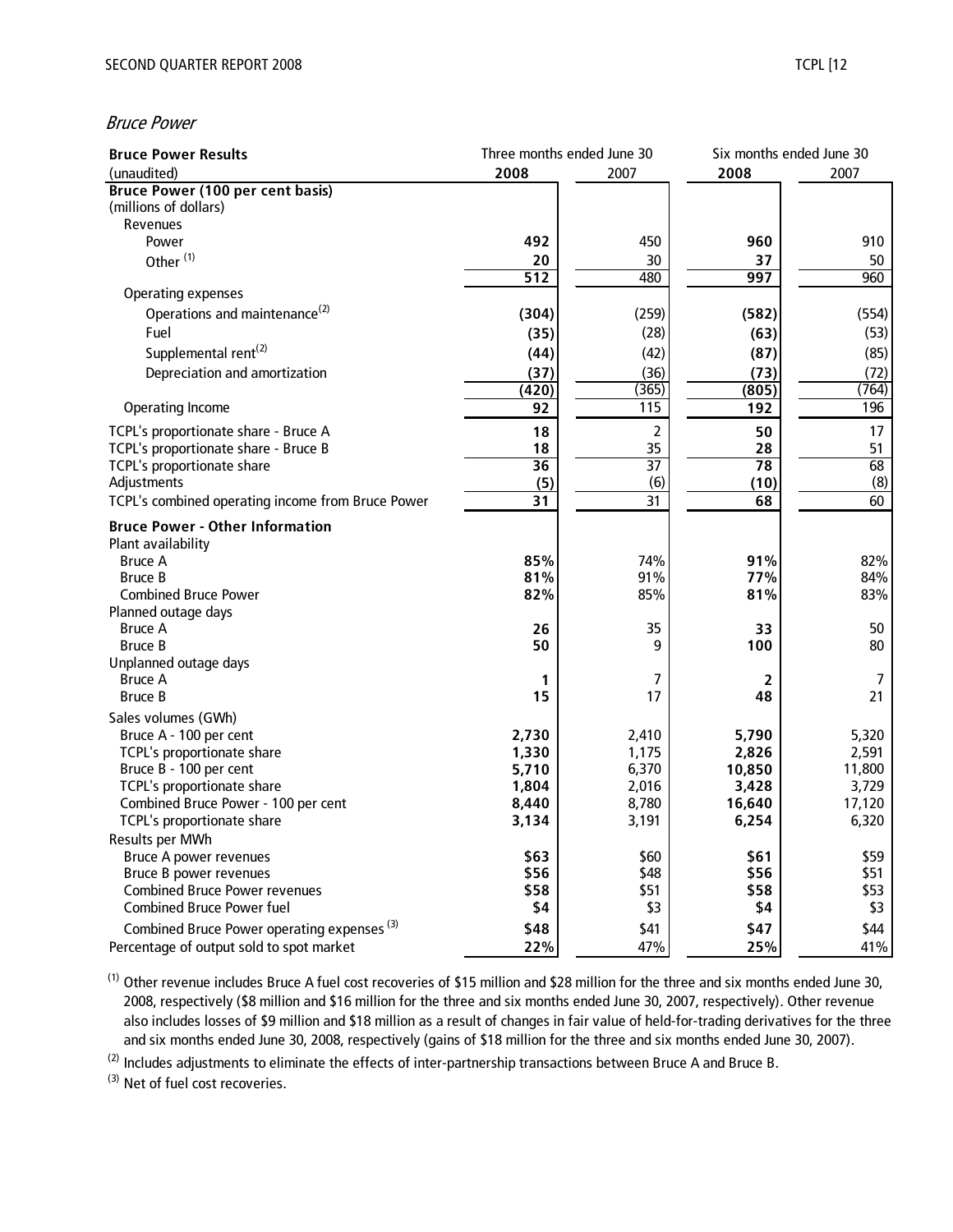#### Bruce Power

| <b>Bruce Power Results</b>                                                   | Three months ended June 30 |                 | Six months ended June 30 |                 |
|------------------------------------------------------------------------------|----------------------------|-----------------|--------------------------|-----------------|
| (unaudited)                                                                  | 2008                       | 2007            | 2008                     | 2007            |
| <b>Bruce Power (100 per cent basis)</b>                                      |                            |                 |                          |                 |
| (millions of dollars)                                                        |                            |                 |                          |                 |
| Revenues                                                                     |                            |                 |                          |                 |
| Power                                                                        | 492                        | 450             | 960                      | 910             |
| Other <sup>(1)</sup>                                                         | 20                         | 30              | 37                       | 50              |
|                                                                              | $\overline{512}$           | 480             | 997                      | 960             |
| <b>Operating expenses</b>                                                    |                            |                 |                          |                 |
| Operations and maintenance <sup>(2)</sup>                                    | (304)                      | (259)           | (582)                    | (554)           |
| Fuel                                                                         | (35)                       | (28)            | (63)                     | (53)            |
| Supplemental rent <sup>(2)</sup>                                             | (44)                       | (42)            | (87)                     | (85)            |
| Depreciation and amortization                                                | (37)                       | (36)            | (73)                     | (72)            |
|                                                                              | (420)                      | (365)           | (805)                    | (764)           |
| Operating Income                                                             | 92                         | 115             | 192                      | 196             |
|                                                                              | 18                         | $\overline{2}$  | 50                       | 17              |
| TCPL's proportionate share - Bruce A<br>TCPL's proportionate share - Bruce B | 18                         | 35              | 28                       | 51              |
| TCPL's proportionate share                                                   | $\overline{36}$            | $\overline{37}$ | 78                       | 68              |
| Adjustments                                                                  | (5)                        | (6)             | (10)                     | (8)             |
| TCPL's combined operating income from Bruce Power                            | 31                         | 31              | 68                       | 60              |
|                                                                              |                            |                 |                          |                 |
| <b>Bruce Power - Other Information</b>                                       |                            |                 |                          |                 |
| Plant availability                                                           |                            |                 |                          |                 |
| <b>Bruce A</b>                                                               | 85%                        | 74%             | 91%                      | 82%             |
| <b>Bruce B</b>                                                               | 81%                        | 91%             | 77%                      | 84%             |
| <b>Combined Bruce Power</b>                                                  | 82%                        | 85%             | 81%                      | 83%             |
| Planned outage days                                                          |                            |                 |                          |                 |
| <b>Bruce A</b>                                                               | 26<br>50                   | 35<br>9         | 33<br>100                | 50<br>80        |
| <b>Bruce B</b>                                                               |                            |                 |                          |                 |
| Unplanned outage days<br><b>Bruce A</b>                                      | 1                          | 7               | 2                        | 7               |
| <b>Bruce B</b>                                                               | 15                         | 17              | 48                       | 21              |
|                                                                              |                            |                 |                          |                 |
| Sales volumes (GWh)                                                          |                            |                 |                          |                 |
| Bruce A - 100 per cent                                                       | 2,730                      | 2,410           | 5,790                    | 5,320           |
| TCPL's proportionate share<br>Bruce B - 100 per cent                         | 1,330<br>5,710             | 1,175<br>6,370  | 2,826<br>10,850          | 2,591<br>11,800 |
| TCPL's proportionate share                                                   | 1,804                      | 2,016           | 3,428                    | 3,729           |
| Combined Bruce Power - 100 per cent                                          | 8,440                      | 8,780           | 16,640                   | 17,120          |
| TCPL's proportionate share                                                   | 3,134                      | 3,191           | 6,254                    | 6,320           |
| Results per MWh                                                              |                            |                 |                          |                 |
| <b>Bruce A power revenues</b>                                                | \$63                       | \$60            | \$61                     | \$59            |
| Bruce B power revenues                                                       | \$56                       | \$48            | \$56                     | \$51            |
| <b>Combined Bruce Power revenues</b>                                         | \$58                       | \$51            | \$58                     | \$53            |
| <b>Combined Bruce Power fuel</b>                                             | \$4                        | \$3             | \$4                      | \$3             |
|                                                                              | \$48                       |                 |                          | \$44            |
| Combined Bruce Power operating expenses <sup>(3)</sup>                       |                            | \$41            | \$47                     |                 |
| Percentage of output sold to spot market                                     | 22%                        | 47%             | 25%                      | 41%             |

(1) Other revenue includes Bruce A fuel cost recoveries of \$15 million and \$28 million for the three and six months ended June 30, 2008, respectively (\$8 million and \$16 million for the three and six months ended June 30, 2007, respectively). Other revenue also includes losses of \$9 million and \$18 million as a result of changes in fair value of held-for-trading derivatives for the three and six months ended June 30, 2008, respectively (gains of \$18 million for the three and six months ended June 30, 2007).

<sup>(2)</sup> Includes adjustments to eliminate the effects of inter-partnership transactions between Bruce A and Bruce B.

(3) Net of fuel cost recoveries.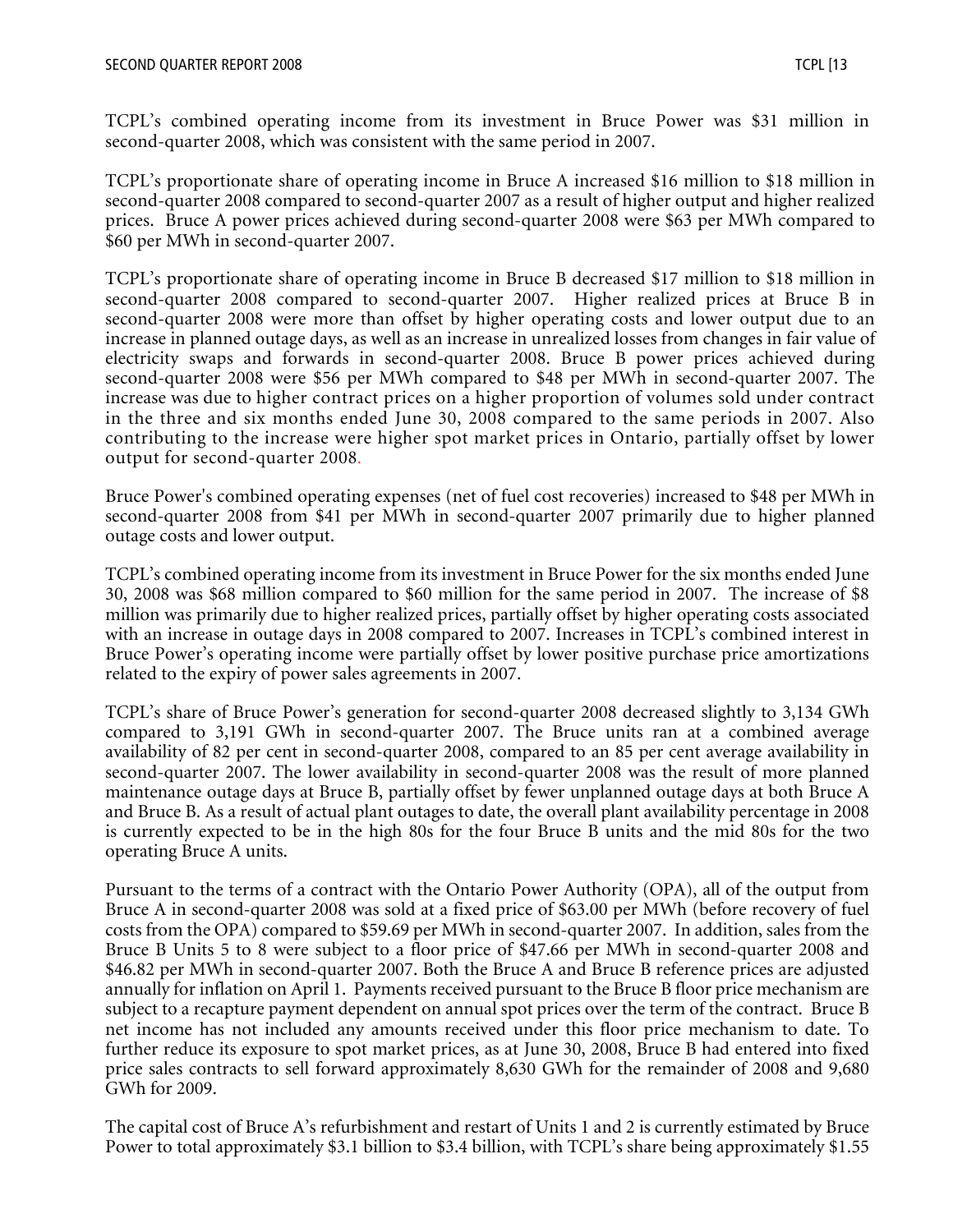TCPL's combined operating income from its investment in Bruce Power was \$31 million in second-quarter 2008, which was consistent with the same period in 2007.

TCPL's proportionate share of operating income in Bruce A increased \$16 million to \$18 million in second-quarter 2008 compared to second-quarter 2007 as a result of higher output and higher realized prices. Bruce A power prices achieved during second-quarter 2008 were \$63 per MWh compared to \$60 per MWh in second-quarter 2007.

TCPL's proportionate share of operating income in Bruce B decreased \$17 million to \$18 million in second-quarter 2008 compared to second-quarter 2007. Higher realized prices at Bruce B in second-quarter 2008 were more than offset by higher operating costs and lower output due to an increase in planned outage days, as well as an increase in unrealized losses from changes in fair value of electricity swaps and forwards in second-quarter 2008. Bruce B power prices achieved during second-quarter 2008 were \$56 per MWh compared to \$48 per MWh in second-quarter 2007. The increase was due to higher contract prices on a higher proportion of volumes sold under contract in the three and six months ended June 30, 2008 compared to the same periods in 2007. Also contributing to the increase were higher spot market prices in Ontario, partially offset by lower output for second-quarter 2008.

Bruce Power's combined operating expenses (net of fuel cost recoveries) increased to \$48 per MWh in second-quarter 2008 from \$41 per MWh in second-quarter 2007 primarily due to higher planned outage costs and lower output.

TCPL's combined operating income from its investment in Bruce Power for the six months ended June 30, 2008 was \$68 million compared to \$60 million for the same period in 2007. The increase of \$8 million was primarily due to higher realized prices, partially offset by higher operating costs associated with an increase in outage days in 2008 compared to 2007. Increases in TCPL's combined interest in Bruce Power's operating income were partially offset by lower positive purchase price amortizations related to the expiry of power sales agreements in 2007.

TCPL's share of Bruce Power's generation for second-quarter 2008 decreased slightly to 3,134 GWh compared to 3,191 GWh in second-quarter 2007. The Bruce units ran at a combined average availability of 82 per cent in second-quarter 2008, compared to an 85 per cent average availability in second-quarter 2007. The lower availability in second-quarter 2008 was the result of more planned maintenance outage days at Bruce B, partially offset by fewer unplanned outage days at both Bruce A and Bruce B. As a result of actual plant outages to date, the overall plant availability percentage in 2008 is currently expected to be in the high 80s for the four Bruce B units and the mid 80s for the two operating Bruce A units.

Pursuant to the terms of a contract with the Ontario Power Authority (OPA), all of the output from Bruce A in second-quarter 2008 was sold at a fixed price of \$63.00 per MWh (before recovery of fuel costs from the OPA) compared to \$59.69 per MWh in second-quarter 2007. In addition, sales from the Bruce B Units 5 to 8 were subject to a floor price of \$47.66 per MWh in second-quarter 2008 and \$46.82 per MWh in second-quarter 2007. Both the Bruce A and Bruce B reference prices are adjusted annually for inflation on April 1. Payments received pursuant to the Bruce B floor price mechanism are subject to a recapture payment dependent on annual spot prices over the term of the contract. Bruce B net income has not included any amounts received under this floor price mechanism to date. To further reduce its exposure to spot market prices, as at June 30, 2008, Bruce B had entered into fixed price sales contracts to sell forward approximately 8,630 GWh for the remainder of 2008 and 9,680 GWh for 2009.

The capital cost of Bruce A's refurbishment and restart of Units 1 and 2 is currently estimated by Bruce Power to total approximately \$3.1 billion to \$3.4 billion, with TCPL's share being approximately \$1.55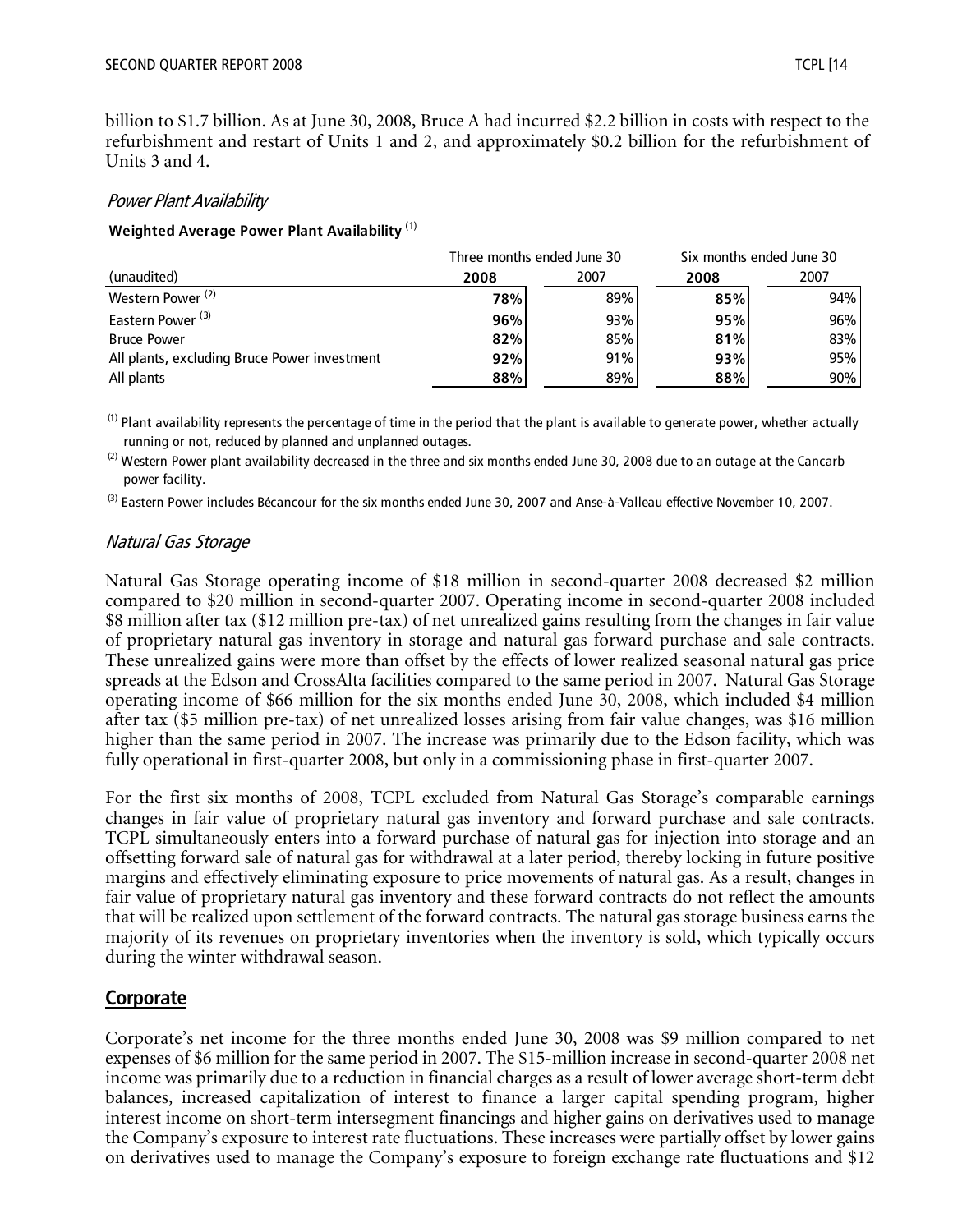billion to \$1.7 billion. As at June 30, 2008, Bruce A had incurred \$2.2 billion in costs with respect to the refurbishment and restart of Units 1 and 2, and approximately \$0.2 billion for the refurbishment of Units 3 and 4.

#### Power Plant Availability

#### **Weighted Average Power Plant Availability** (1)

|                                              | Three months ended June 30 |      |      | Six months ended June 30 |
|----------------------------------------------|----------------------------|------|------|--------------------------|
| (unaudited)                                  | 2008                       | 2007 | 2008 | 2007                     |
| Western Power <sup>(2)</sup>                 | 78%                        | 89%  | 85%  | 94%                      |
| Eastern Power <sup>(3)</sup>                 | 96%                        | 93%  | 95%  | 96%                      |
| <b>Bruce Power</b>                           | 82%                        | 85%  | 81%  | 83%                      |
| All plants, excluding Bruce Power investment | 92%                        | 91%  | 93%  | 95%                      |
| All plants                                   | 88%                        | 89%  | 88%  | 90%                      |

 $<sup>(1)</sup>$  Plant availability represents the percentage of time in the period that the plant is available to generate power, whether actually</sup> running or not, reduced by planned and unplanned outages.

 $^{(2)}$  Western Power plant availability decreased in the three and six months ended June 30, 2008 due to an outage at the Cancarb power facility.

<sup>(3)</sup> Eastern Power includes Bécancour for the six months ended June 30, 2007 and Anse-à-Valleau effective November 10, 2007.

#### Natural Gas Storage

Natural Gas Storage operating income of \$18 million in second-quarter 2008 decreased \$2 million compared to \$20 million in second-quarter 2007. Operating income in second-quarter 2008 included \$8 million after tax (\$12 million pre-tax) of net unrealized gains resulting from the changes in fair value of proprietary natural gas inventory in storage and natural gas forward purchase and sale contracts. These unrealized gains were more than offset by the effects of lower realized seasonal natural gas price spreads at the Edson and CrossAlta facilities compared to the same period in 2007. Natural Gas Storage operating income of \$66 million for the six months ended June 30, 2008, which included \$4 million after tax (\$5 million pre-tax) of net unrealized losses arising from fair value changes, was \$16 million higher than the same period in 2007. The increase was primarily due to the Edson facility, which was fully operational in first-quarter 2008, but only in a commissioning phase in first-quarter 2007.

For the first six months of 2008, TCPL excluded from Natural Gas Storage's comparable earnings changes in fair value of proprietary natural gas inventory and forward purchase and sale contracts. TCPL simultaneously enters into a forward purchase of natural gas for injection into storage and an offsetting forward sale of natural gas for withdrawal at a later period, thereby locking in future positive margins and effectively eliminating exposure to price movements of natural gas. As a result, changes in fair value of proprietary natural gas inventory and these forward contracts do not reflect the amounts that will be realized upon settlement of the forward contracts. The natural gas storage business earns the majority of its revenues on proprietary inventories when the inventory is sold, which typically occurs during the winter withdrawal season.

#### **Corporate**

Corporate's net income for the three months ended June 30, 2008 was \$9 million compared to net expenses of \$6 million for the same period in 2007. The \$15-million increase in second-quarter 2008 net income was primarily due to a reduction in financial charges as a result of lower average short-term debt balances, increased capitalization of interest to finance a larger capital spending program, higher interest income on short-term intersegment financings and higher gains on derivatives used to manage the Company's exposure to interest rate fluctuations. These increases were partially offset by lower gains on derivatives used to manage the Company's exposure to foreign exchange rate fluctuations and \$12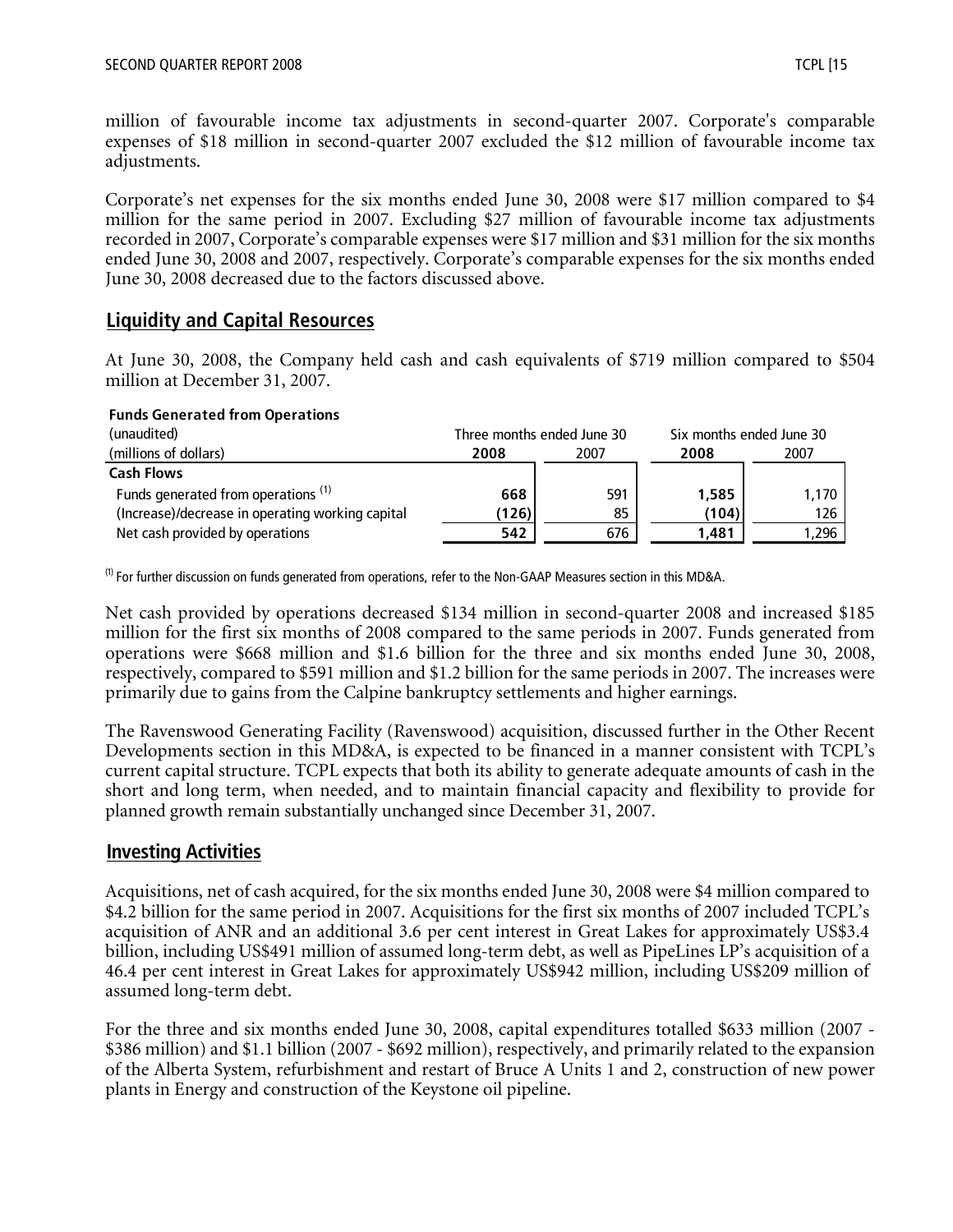million of favourable income tax adjustments in second-quarter 2007. Corporate's comparable expenses of \$18 million in second-quarter 2007 excluded the \$12 million of favourable income tax adjustments.

Corporate's net expenses for the six months ended June 30, 2008 were \$17 million compared to \$4 million for the same period in 2007. Excluding \$27 million of favourable income tax adjustments recorded in 2007, Corporate's comparable expenses were \$17 million and \$31 million for the six months ended June 30, 2008 and 2007, respectively. Corporate's comparable expenses for the six months ended June 30, 2008 decreased due to the factors discussed above.

# **Liquidity and Capital Resources**

At June 30, 2008, the Company held cash and cash equivalents of \$719 million compared to \$504 million at December 31, 2007.

#### **Funds Generated from Operations**

| (unaudited)                                      |              | Three months ended June 30 | Six months ended June 30 |         |  |
|--------------------------------------------------|--------------|----------------------------|--------------------------|---------|--|
| (millions of dollars)                            | 2008<br>2007 |                            | 2008                     | 2007    |  |
| <b>Cash Flows</b>                                |              |                            |                          |         |  |
| Funds generated from operations <sup>(1)</sup>   | 668          | 591                        | 1,585                    | $1.170$ |  |
| (Increase)/decrease in operating working capital | (126)        | 85                         | (104)                    | 126     |  |
| Net cash provided by operations                  | 542          | 676                        | 1,481                    | 1,296   |  |

 $<sup>(1)</sup>$  For further discussion on funds generated from operations, refer to the Non-GAAP Measures section in this MD&A.</sup>

Net cash provided by operations decreased \$134 million in second-quarter 2008 and increased \$185 million for the first six months of 2008 compared to the same periods in 2007. Funds generated from operations were \$668 million and \$1.6 billion for the three and six months ended June 30, 2008, respectively, compared to \$591 million and \$1.2 billion for the same periods in 2007. The increases were primarily due to gains from the Calpine bankruptcy settlements and higher earnings.

The Ravenswood Generating Facility (Ravenswood) acquisition, discussed further in the Other Recent Developments section in this MD&A, is expected to be financed in a manner consistent with TCPL's current capital structure. TCPL expects that both its ability to generate adequate amounts of cash in the short and long term, when needed, and to maintain financial capacity and flexibility to provide for planned growth remain substantially unchanged since December 31, 2007.

## **Investing Activities**

Acquisitions, net of cash acquired, for the six months ended June 30, 2008 were \$4 million compared to \$4.2 billion for the same period in 2007. Acquisitions for the first six months of 2007 included TCPL's acquisition of ANR and an additional 3.6 per cent interest in Great Lakes for approximately US\$3.4 billion, including US\$491 million of assumed long-term debt, as well as PipeLines LP's acquisition of a 46.4 per cent interest in Great Lakes for approximately US\$942 million, including US\$209 million of assumed long-term debt.

For the three and six months ended June 30, 2008, capital expenditures totalled \$633 million (2007 - \$386 million) and \$1.1 billion (2007 - \$692 million), respectively, and primarily related to the expansion of the Alberta System, refurbishment and restart of Bruce A Units 1 and 2, construction of new power plants in Energy and construction of the Keystone oil pipeline.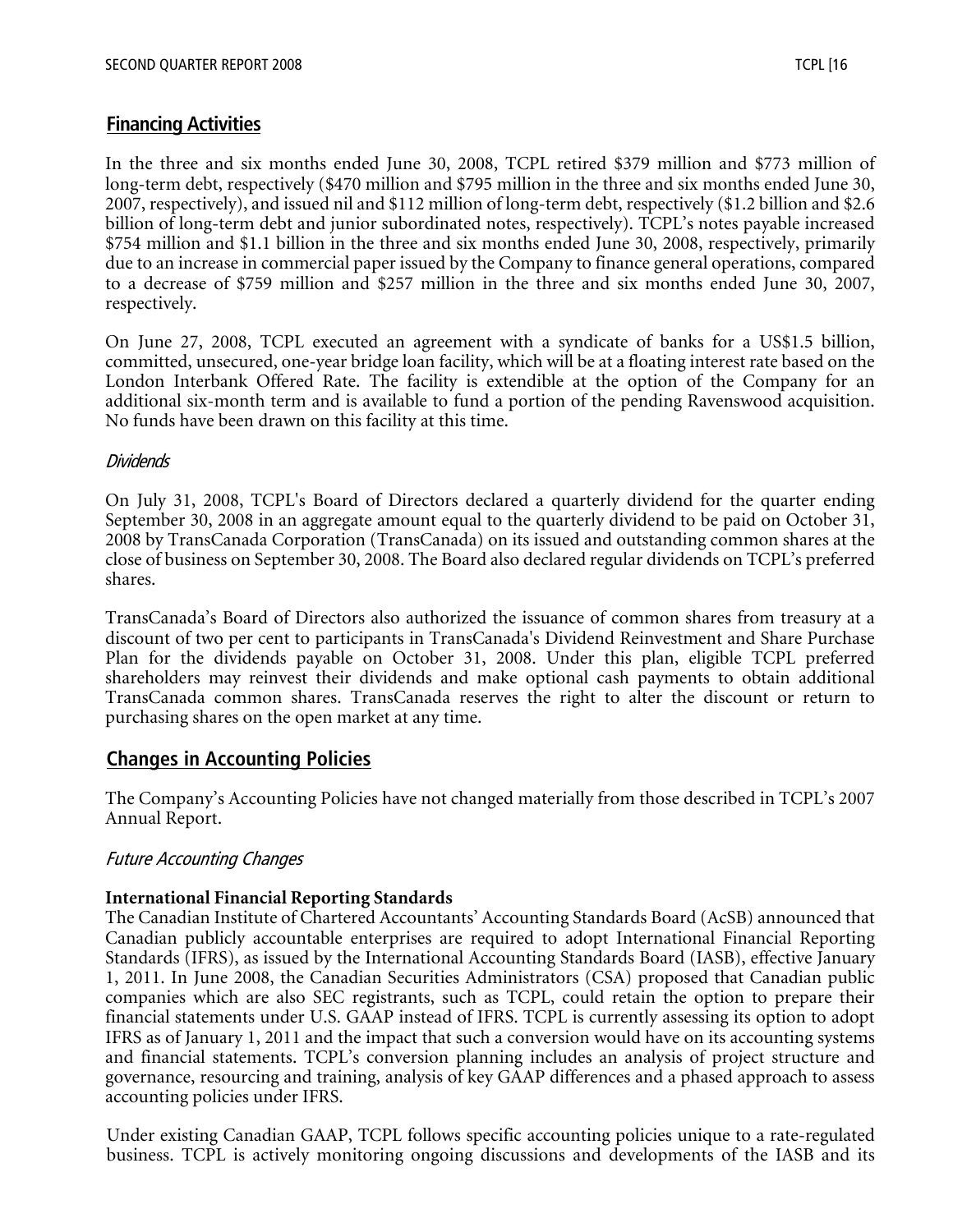# **Financing Activities**

In the three and six months ended June 30, 2008, TCPL retired \$379 million and \$773 million of long-term debt, respectively (\$470 million and \$795 million in the three and six months ended June 30, 2007, respectively), and issued nil and \$112 million of long-term debt, respectively (\$1.2 billion and \$2.6 billion of long-term debt and junior subordinated notes, respectively). TCPL's notes payable increased \$754 million and \$1.1 billion in the three and six months ended June 30, 2008, respectively, primarily due to an increase in commercial paper issued by the Company to finance general operations, compared to a decrease of \$759 million and \$257 million in the three and six months ended June 30, 2007, respectively.

On June 27, 2008, TCPL executed an agreement with a syndicate of banks for a US\$1.5 billion, committed, unsecured, one-year bridge loan facility, which will be at a floating interest rate based on the London Interbank Offered Rate. The facility is extendible at the option of the Company for an additional six-month term and is available to fund a portion of the pending Ravenswood acquisition. No funds have been drawn on this facility at this time.

#### Dividends

On July 31, 2008, TCPL's Board of Directors declared a quarterly dividend for the quarter ending September 30, 2008 in an aggregate amount equal to the quarterly dividend to be paid on October 31, 2008 by TransCanada Corporation (TransCanada) on its issued and outstanding common shares at the close of business on September 30, 2008. The Board also declared regular dividends on TCPL's preferred shares.

TransCanada's Board of Directors also authorized the issuance of common shares from treasury at a discount of two per cent to participants in TransCanada's Dividend Reinvestment and Share Purchase Plan for the dividends payable on October 31, 2008. Under this plan, eligible TCPL preferred shareholders may reinvest their dividends and make optional cash payments to obtain additional TransCanada common shares. TransCanada reserves the right to alter the discount or return to purchasing shares on the open market at any time.

## **Changes in Accounting Policies**

The Company's Accounting Policies have not changed materially from those described in TCPL's 2007 Annual Report.

## Future Accounting Changes

#### **International Financial Reporting Standards**

The Canadian Institute of Chartered Accountants' Accounting Standards Board (AcSB) announced that Canadian publicly accountable enterprises are required to adopt International Financial Reporting Standards (IFRS), as issued by the International Accounting Standards Board (IASB), effective January 1, 2011. In June 2008, the Canadian Securities Administrators (CSA) proposed that Canadian public companies which are also SEC registrants, such as TCPL, could retain the option to prepare their financial statements under U.S. GAAP instead of IFRS. TCPL is currently assessing its option to adopt IFRS as of January 1, 2011 and the impact that such a conversion would have on its accounting systems and financial statements. TCPL's conversion planning includes an analysis of project structure and governance, resourcing and training, analysis of key GAAP differences and a phased approach to assess accounting policies under IFRS.

Under existing Canadian GAAP, TCPL follows specific accounting policies unique to a rate-regulated business. TCPL is actively monitoring ongoing discussions and developments of the IASB and its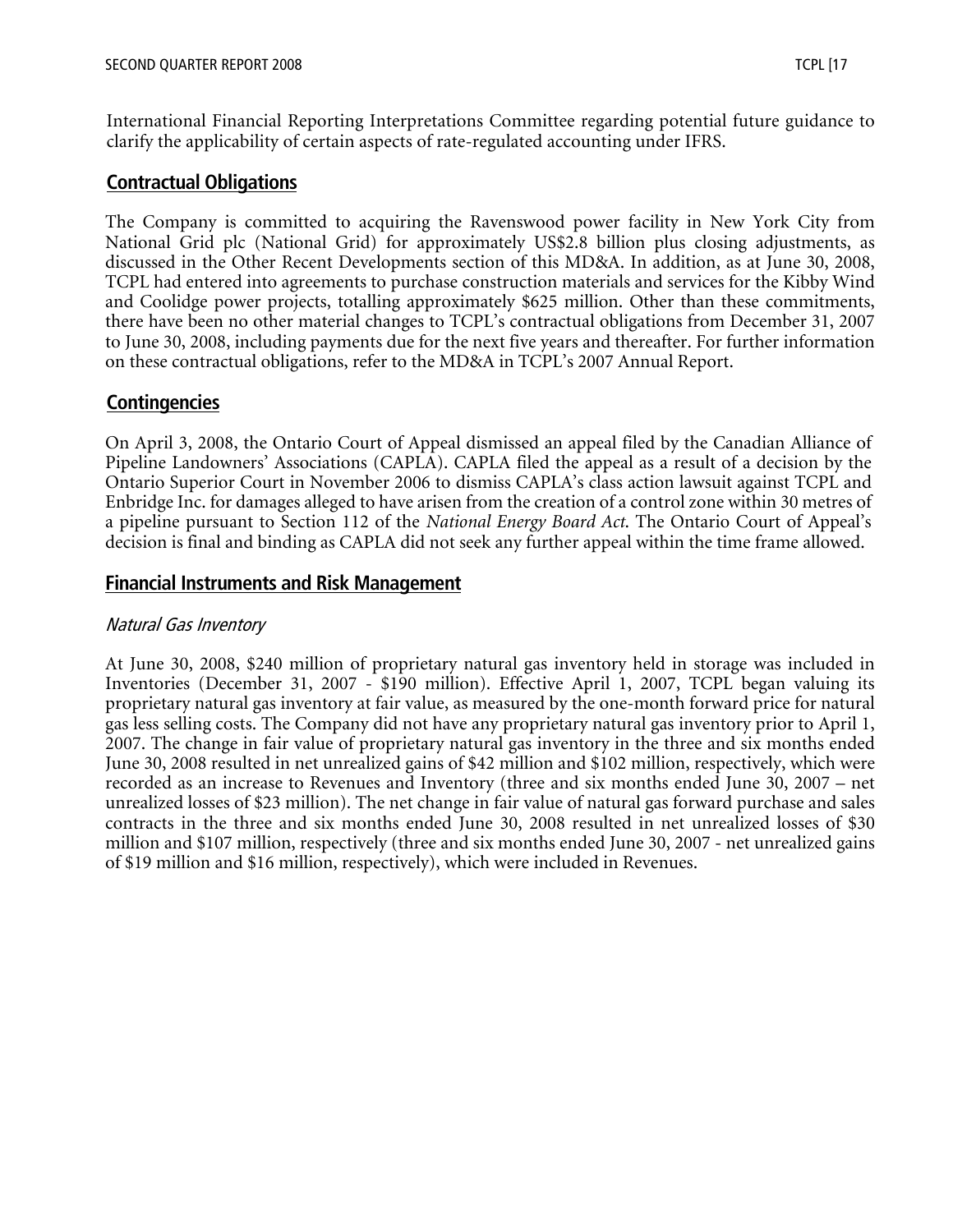International Financial Reporting Interpretations Committee regarding potential future guidance to clarify the applicability of certain aspects of rate-regulated accounting under IFRS.

## **Contractual Obligations**

The Company is committed to acquiring the Ravenswood power facility in New York City from National Grid plc (National Grid) for approximately US\$2.8 billion plus closing adjustments, as discussed in the Other Recent Developments section of this MD&A. In addition, as at June 30, 2008, TCPL had entered into agreements to purchase construction materials and services for the Kibby Wind and Coolidge power projects, totalling approximately \$625 million. Other than these commitments, there have been no other material changes to TCPL's contractual obligations from December 31, 2007 to June 30, 2008, including payments due for the next five years and thereafter. For further information on these contractual obligations, refer to the MD&A in TCPL's 2007 Annual Report.

## **Contingencies**

On April 3, 2008, the Ontario Court of Appeal dismissed an appeal filed by the Canadian Alliance of Pipeline Landowners' Associations (CAPLA). CAPLA filed the appeal as a result of a decision by the Ontario Superior Court in November 2006 to dismiss CAPLA's class action lawsuit against TCPL and Enbridge Inc. for damages alleged to have arisen from the creation of a control zone within 30 metres of a pipeline pursuant to Section 112 of the *National Energy Board Act*. The Ontario Court of Appeal's decision is final and binding as CAPLA did not seek any further appeal within the time frame allowed.

## **Financial Instruments and Risk Management**

#### Natural Gas Inventory

At June 30, 2008, \$240 million of proprietary natural gas inventory held in storage was included in Inventories (December 31, 2007 - \$190 million). Effective April 1, 2007, TCPL began valuing its proprietary natural gas inventory at fair value, as measured by the one-month forward price for natural gas less selling costs. The Company did not have any proprietary natural gas inventory prior to April 1, 2007. The change in fair value of proprietary natural gas inventory in the three and six months ended June 30, 2008 resulted in net unrealized gains of \$42 million and \$102 million, respectively, which were recorded as an increase to Revenues and Inventory (three and six months ended June 30, 2007 – net unrealized losses of \$23 million). The net change in fair value of natural gas forward purchase and sales contracts in the three and six months ended June 30, 2008 resulted in net unrealized losses of \$30 million and \$107 million, respectively (three and six months ended June 30, 2007 - net unrealized gains of \$19 million and \$16 million, respectively), which were included in Revenues.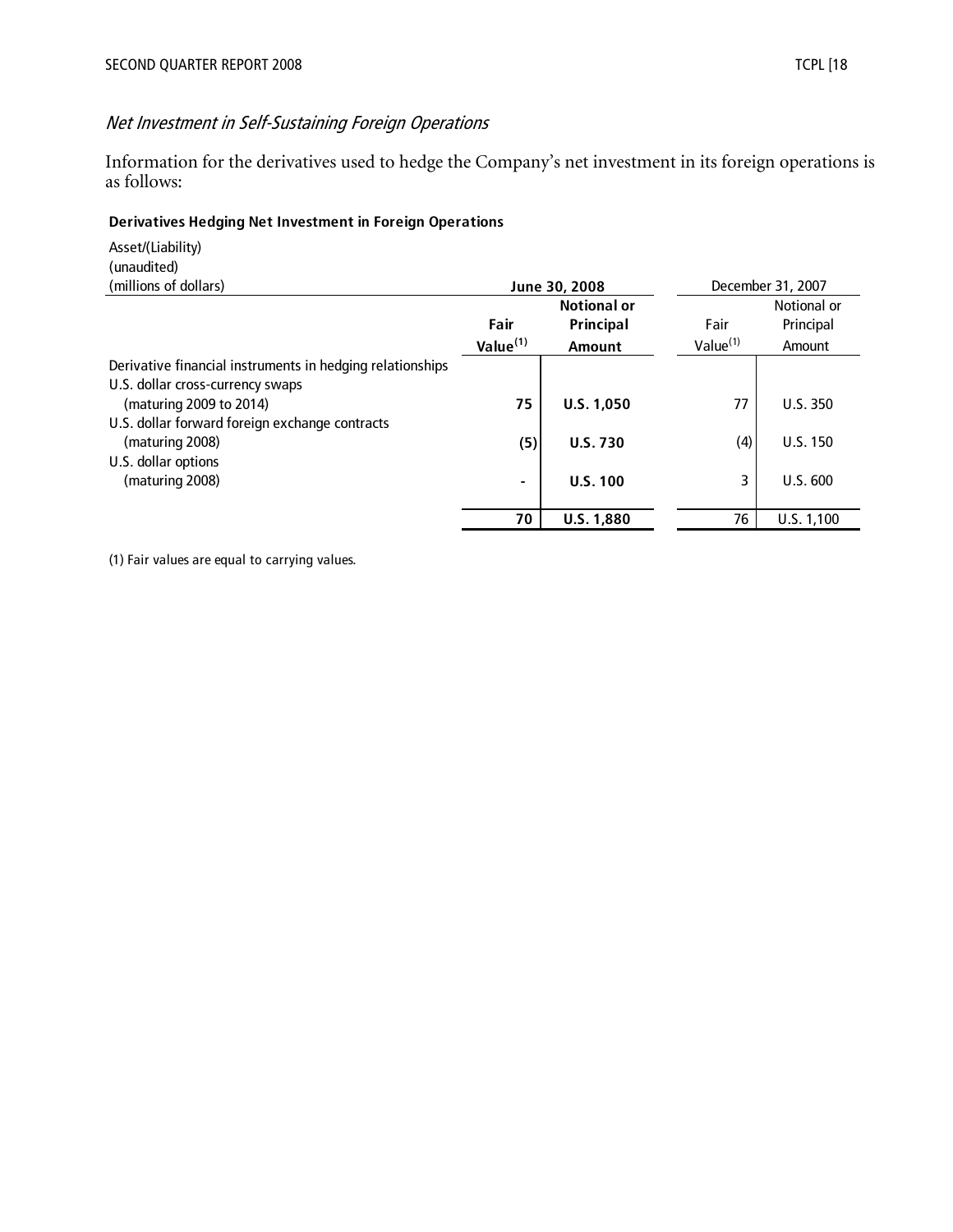# Net Investment in Self-Sustaining Foreign Operations

Information for the derivatives used to hedge the Company's net investment in its foreign operations is as follows:

#### **Derivatives Hedging Net Investment in Foreign Operations**

Asset/(Liability) (unaudited)

| (millions of dollars)                                     | June 30, 2008 |                    |                      | December 31, 2007 |
|-----------------------------------------------------------|---------------|--------------------|----------------------|-------------------|
|                                                           |               | <b>Notional or</b> |                      | Notional or       |
|                                                           | Fair          | Principal          | Fair                 | Principal         |
|                                                           | Value $(1)$   | <b>Amount</b>      | Value <sup>(1)</sup> | Amount            |
| Derivative financial instruments in hedging relationships |               |                    |                      |                   |
| U.S. dollar cross-currency swaps                          |               |                    |                      |                   |
| (maturing 2009 to 2014)                                   | 75            | U.S. 1,050         | 77                   | U.S. 350          |
| U.S. dollar forward foreign exchange contracts            |               |                    |                      |                   |
| (maturing 2008)                                           | (5)           | <b>U.S. 730</b>    | (4)                  | <b>U.S. 150</b>   |
| U.S. dollar options                                       |               |                    |                      |                   |
| (maturing 2008)                                           |               | U.S. 100           | 3                    | U.S. 600          |
|                                                           |               |                    |                      |                   |
|                                                           | 70            | <b>U.S. 1,880</b>  | 76                   | U.S. 1,100        |

(1) Fair values are equal to carrying values.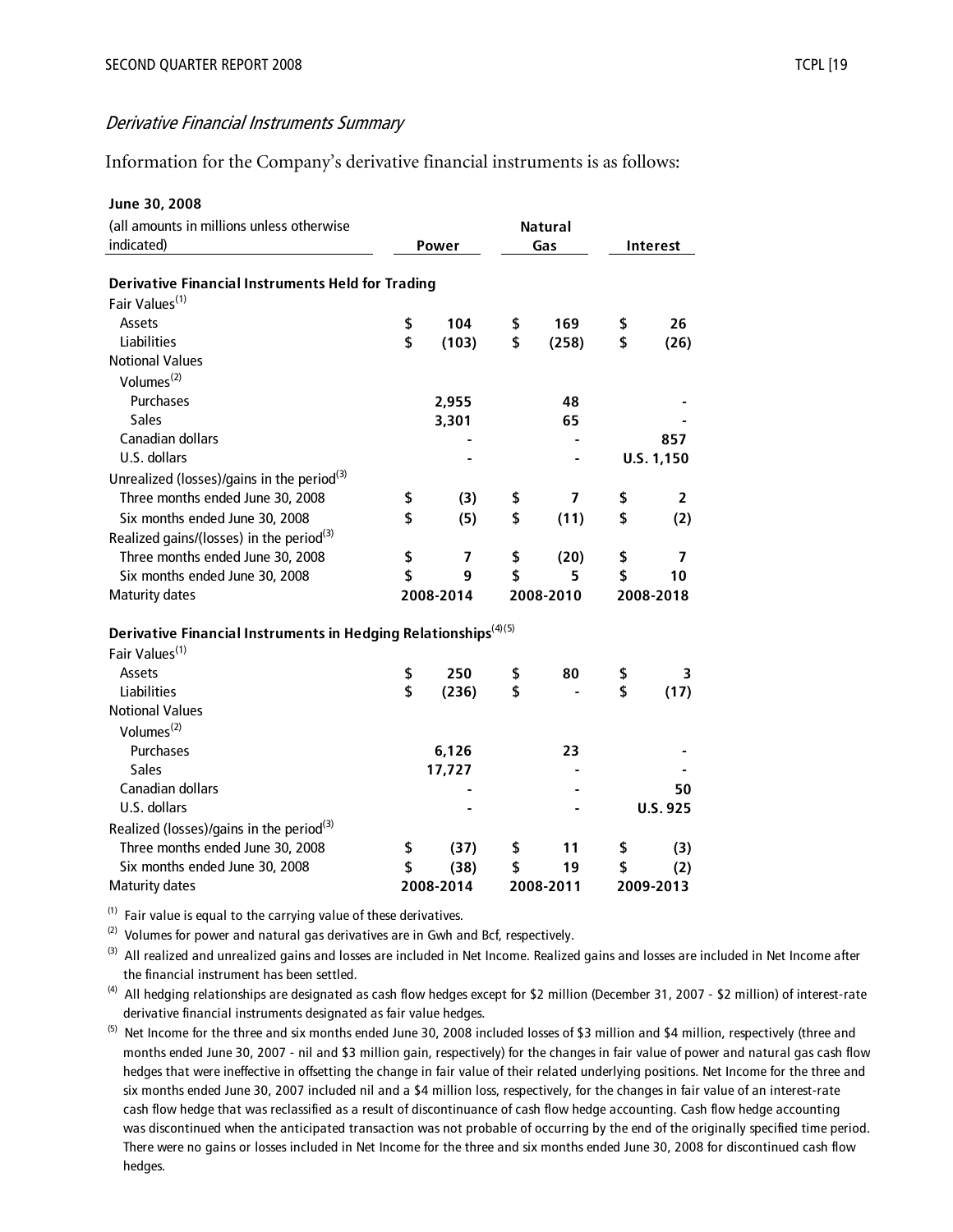#### Derivative Financial Instruments Summary

Information for the Company's derivative financial instruments is as follows:

| June 30, 2008                                                               |                |                         |           |       |           |                          |  |
|-----------------------------------------------------------------------------|----------------|-------------------------|-----------|-------|-----------|--------------------------|--|
| (all amounts in millions unless otherwise                                   | <b>Natural</b> |                         |           |       |           |                          |  |
| indicated)                                                                  |                | Power                   |           | Gas   |           | <b>Interest</b>          |  |
|                                                                             |                |                         |           |       |           |                          |  |
| <b>Derivative Financial Instruments Held for Trading</b>                    |                |                         |           |       |           |                          |  |
| Fair Values <sup>(1)</sup>                                                  |                |                         |           |       |           |                          |  |
| Assets                                                                      | \$             | 104                     | \$        | 169   | \$        | 26                       |  |
| Liabilities                                                                 | \$             | (103)                   | \$        | (258) | \$        | (26)                     |  |
| <b>Notional Values</b>                                                      |                |                         |           |       |           |                          |  |
| Volumes <sup>(2)</sup>                                                      |                |                         |           |       |           |                          |  |
| Purchases                                                                   |                | 2,955                   |           | 48    |           |                          |  |
| <b>Sales</b>                                                                |                | 3,301                   |           | 65    |           |                          |  |
| <b>Canadian dollars</b>                                                     |                |                         |           |       |           | 857                      |  |
| U.S. dollars                                                                |                |                         |           |       |           | U.S. 1,150               |  |
| Unrealized (losses)/gains in the period <sup>(3)</sup>                      |                |                         |           |       |           |                          |  |
| Three months ended June 30, 2008                                            | \$             | (3)                     | \$        | 7     | \$        | 2                        |  |
| Six months ended June 30, 2008                                              | \$             | (5)                     | \$        | (11)  | \$        | (2)                      |  |
| Realized gains/(losses) in the period <sup>(3)</sup>                        |                |                         |           |       |           |                          |  |
| Three months ended June 30, 2008                                            | \$             | $\overline{\mathbf{z}}$ | \$        | (20)  | \$        | $\overline{\phantom{a}}$ |  |
| Six months ended June 30, 2008                                              | \$             | 9                       | \$        | 5.    | \$        | 10                       |  |
| <b>Maturity dates</b>                                                       |                | 2008-2014               | 2008-2010 |       | 2008-2018 |                          |  |
|                                                                             |                |                         |           |       |           |                          |  |
| Derivative Financial Instruments in Hedging Relationships <sup>(4)(5)</sup> |                |                         |           |       |           |                          |  |
| Fair Values <sup>(1)</sup>                                                  |                |                         |           |       |           |                          |  |
| Assets                                                                      | \$             | 250                     | \$        | 80    | \$        | 3                        |  |
| <b>Liabilities</b>                                                          | \$             | (236)                   | \$        |       | \$        | (17)                     |  |
| <b>Notional Values</b>                                                      |                |                         |           |       |           |                          |  |
| Volumes $(2)$                                                               |                |                         |           |       |           |                          |  |
| Purchases                                                                   |                | 6,126                   |           | 23    |           |                          |  |
| <b>Sales</b>                                                                |                | 17,727                  |           |       |           |                          |  |
| Canadian dollars                                                            |                |                         |           |       |           | 50                       |  |
| U.S. dollars                                                                |                |                         |           |       |           | <b>U.S. 925</b>          |  |
| Realized (losses)/gains in the period <sup>(3)</sup>                        |                |                         |           |       |           |                          |  |
| Three months ended June 30, 2008                                            | \$             | (37)                    | \$        | 11    | \$        | (3)                      |  |
| Six months ended June 30, 2008                                              | \$             | (38)                    | \$        | 19    | \$        | (2)                      |  |
| <b>Maturity dates</b>                                                       |                | 2008-2014               | 2008-2011 |       | 2009-2013 |                          |  |

 $(1)$  Fair value is equal to the carrying value of these derivatives.

 $(2)$  Volumes for power and natural gas derivatives are in Gwh and Bcf, respectively.

 the financial instrument has been settled. <sup>(3)</sup> All realized and unrealized gains and losses are included in Net Income. Realized gains and losses are included in Net Income after

 derivative financial instruments designated as fair value hedges. <sup>(4)</sup> All hedging relationships are designated as cash flow hedges except for \$2 million (December 31, 2007 - \$2 million) of interest-rate

 months ended June 30, 2007 - nil and \$3 million gain, respectively) for the changes in fair value of power and natural gas cash flow hedges that were ineffective in offsetting the change in fair value of their related underlying positions. Net Income for the three and six months ended June 30, 2007 included nil and a \$4 million loss, respectively, for the changes in fair value of an interest-rate cash flow hedge that was reclassified as a result of discontinuance of cash flow hedge accounting. Cash flow hedge accounting was discontinued when the anticipated transaction was not probable of occurring by the end of the originally specified time period. There were no gains or losses included in Net Income for the three and six months ended June 30, 2008 for discontinued cash flow hedges.  $^{(5)}$  Net Income for the three and six months ended June 30, 2008 included losses of \$3 million and \$4 million, respectively (three and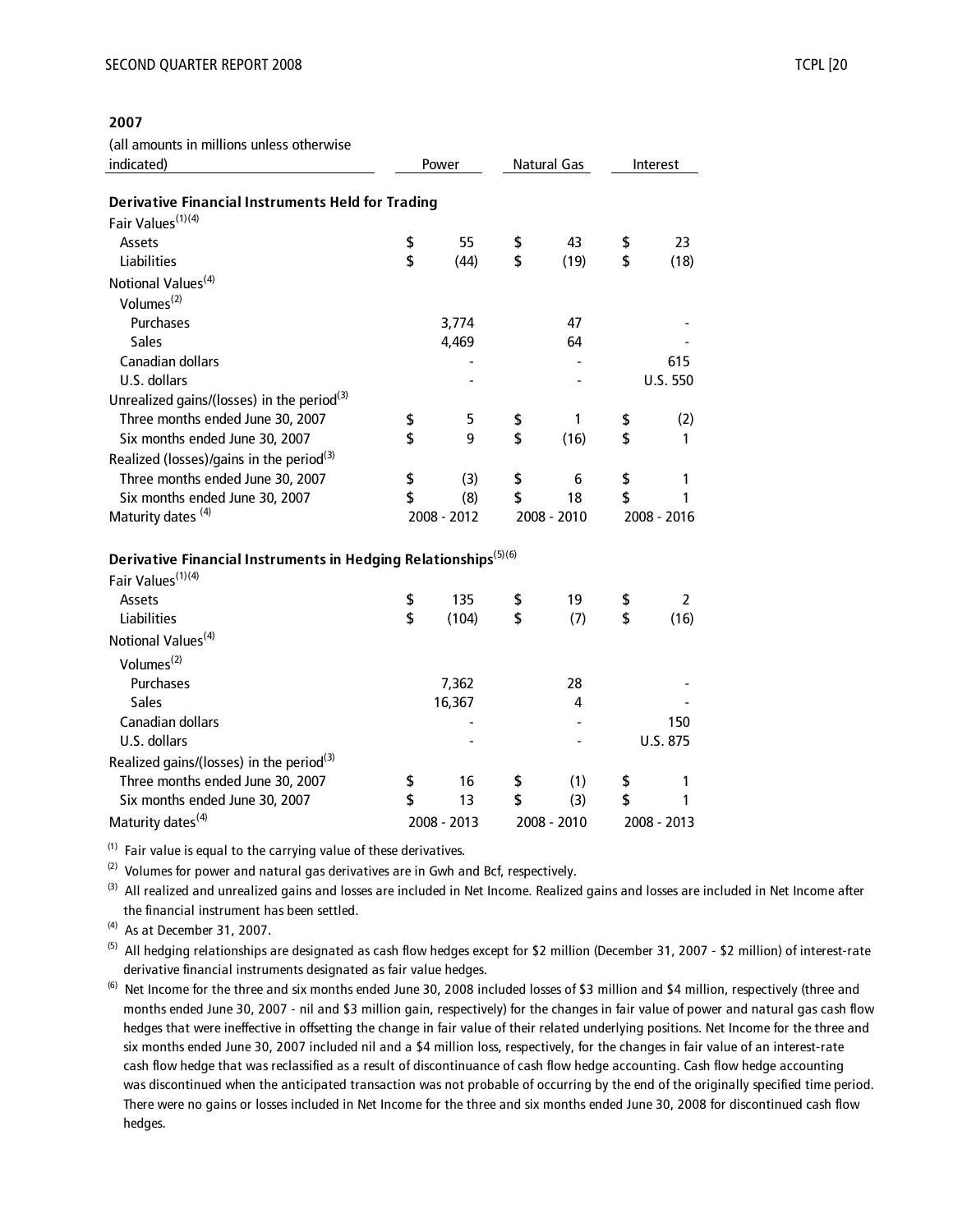#### **2007**

(all amounts in millions unless otherwise

| indicated)                                                                  | Power |             | Natural Gas |    | Interest    |  |
|-----------------------------------------------------------------------------|-------|-------------|-------------|----|-------------|--|
| <b>Derivative Financial Instruments Held for Trading</b>                    |       |             |             |    |             |  |
| Fair Values <sup>(1)(4)</sup>                                               |       |             |             |    |             |  |
| Assets                                                                      | \$    | 55          | \$<br>43    | \$ | 23          |  |
| Liabilities                                                                 | \$    | (44)        | \$<br>(19)  | \$ | (18)        |  |
| Notional Values <sup>(4)</sup>                                              |       |             |             |    |             |  |
| Volumes <sup>(2)</sup>                                                      |       |             |             |    |             |  |
| Purchases                                                                   |       | 3,774       | 47          |    |             |  |
| <b>Sales</b>                                                                |       | 4,469       | 64          |    |             |  |
| Canadian dollars                                                            |       |             |             |    | 615         |  |
| U.S. dollars                                                                |       |             |             |    | U.S. 550    |  |
| Unrealized gains/(losses) in the period <sup>(3)</sup>                      |       |             |             |    |             |  |
| Three months ended June 30, 2007                                            | \$    | 5           | \$<br>1     | \$ | (2)         |  |
| Six months ended June 30, 2007                                              | \$    | 9           | \$<br>(16)  | \$ | 1           |  |
| Realized (losses)/gains in the period <sup>(3)</sup>                        |       |             |             |    |             |  |
| Three months ended June 30, 2007                                            | \$    | (3)         | \$<br>6     | \$ | 1           |  |
| Six months ended June 30, 2007                                              | \$    | (8)         | \$<br>18    | \$ | 1           |  |
| Maturity dates <sup>(4)</sup>                                               |       | 2008 - 2012 | 2008 - 2010 |    | 2008 - 2016 |  |
|                                                                             |       |             |             |    |             |  |
| Derivative Financial Instruments in Hedging Relationships <sup>(5)(6)</sup> |       |             |             |    |             |  |
| Fair Values <sup>(1)(4)</sup>                                               |       |             |             |    |             |  |
| Assets                                                                      | \$    | 135         | \$<br>19    | \$ | 2           |  |
| Liabilities                                                                 | \$    | (104)       | \$<br>(7)   | \$ | (16)        |  |
| Notional Values <sup>(4)</sup>                                              |       |             |             |    |             |  |
| Volumes <sup>(2)</sup>                                                      |       |             |             |    |             |  |
|                                                                             |       |             |             |    |             |  |
| Purchases<br><b>Sales</b>                                                   |       | 7,362       | 28<br>4     |    |             |  |
| Canadian dollars                                                            |       | 16,367      |             |    | 150         |  |
| U.S. dollars                                                                |       |             |             |    | U.S. 875    |  |
|                                                                             |       |             |             |    |             |  |
| Realized gains/(losses) in the period <sup>(3)</sup>                        |       |             |             |    |             |  |
| Three months ended June 30, 2007                                            | \$    | 16          | \$<br>(1)   | \$ | 1           |  |
| Six months ended June 30, 2007                                              | \$    | 13          | \$<br>(3)   | \$ | 1           |  |
| Maturity dates <sup>(4)</sup>                                               |       | 2008 - 2013 | 2008 - 2010 |    | 2008 - 2013 |  |

 $(1)$  Fair value is equal to the carrying value of these derivatives.

 $(2)$  Volumes for power and natural gas derivatives are in Gwh and Bcf, respectively.

 the financial instrument has been settled. <sup>(3)</sup> All realized and unrealized gains and losses are included in Net Income. Realized gains and losses are included in Net Income after

 $^{(4)}$  As at December 31, 2007.

 derivative financial instruments designated as fair value hedges. <sup>(5)</sup> All hedging relationships are designated as cash flow hedges except for \$2 million (December 31, 2007 - \$2 million) of interest-rate

 months ended June 30, 2007 - nil and \$3 million gain, respectively) for the changes in fair value of power and natural gas cash flow hedges that were ineffective in offsetting the change in fair value of their related underlying positions. Net Income for the three and six months ended June 30, 2007 included nil and a \$4 million loss, respectively, for the changes in fair value of an interest-rate cash flow hedge that was reclassified as a result of discontinuance of cash flow hedge accounting. Cash flow hedge accounting was discontinued when the anticipated transaction was not probable of occurring by the end of the originally specified time period. There were no gains or losses included in Net Income for the three and six months ended June 30, 2008 for discontinued cash flow hedges. <sup>(6)</sup> Net Income for the three and six months ended June 30, 2008 included losses of \$3 million and \$4 million, respectively (three and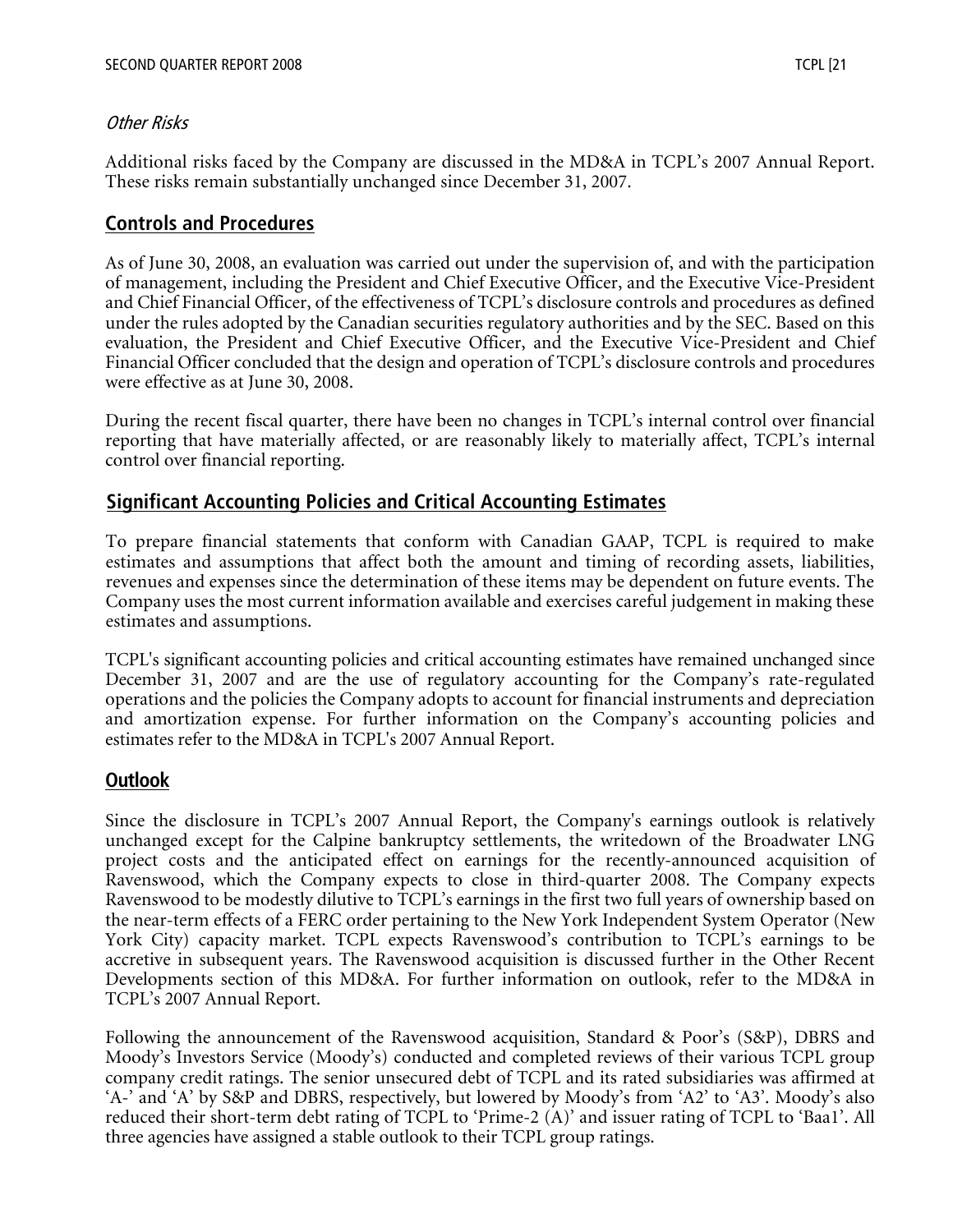#### Other Risks

Additional risks faced by the Company are discussed in the MD&A in TCPL's 2007 Annual Report. These risks remain substantially unchanged since December 31, 2007.

## **Controls and Procedures**

As of June 30, 2008, an evaluation was carried out under the supervision of, and with the participation of management, including the President and Chief Executive Officer, and the Executive Vice-President and Chief Financial Officer, of the effectiveness of TCPL's disclosure controls and procedures as defined under the rules adopted by the Canadian securities regulatory authorities and by the SEC. Based on this evaluation, the President and Chief Executive Officer, and the Executive Vice-President and Chief Financial Officer concluded that the design and operation of TCPL's disclosure controls and procedures were effective as at June 30, 2008.

During the recent fiscal quarter, there have been no changes in TCPL's internal control over financial reporting that have materially affected, or are reasonably likely to materially affect, TCPL's internal control over financial reporting.

# **Significant Accounting Policies and Critical Accounting Estimates**

To prepare financial statements that conform with Canadian GAAP, TCPL is required to make estimates and assumptions that affect both the amount and timing of recording assets, liabilities, revenues and expenses since the determination of these items may be dependent on future events. The Company uses the most current information available and exercises careful judgement in making these estimates and assumptions.

TCPL's significant accounting policies and critical accounting estimates have remained unchanged since December 31, 2007 and are the use of regulatory accounting for the Company's rate-regulated operations and the policies the Company adopts to account for financial instruments and depreciation and amortization expense. For further information on the Company's accounting policies and estimates refer to the MD&A in TCPL's 2007 Annual Report.

## **Outlook**

Since the disclosure in TCPL's 2007 Annual Report, the Company's earnings outlook is relatively unchanged except for the Calpine bankruptcy settlements, the writedown of the Broadwater LNG project costs and the anticipated effect on earnings for the recently-announced acquisition of Ravenswood, which the Company expects to close in third-quarter 2008. The Company expects Ravenswood to be modestly dilutive to TCPL's earnings in the first two full years of ownership based on the near-term effects of a FERC order pertaining to the New York Independent System Operator (New York City) capacity market. TCPL expects Ravenswood's contribution to TCPL's earnings to be accretive in subsequent years. The Ravenswood acquisition is discussed further in the Other Recent Developments section of this MD&A. For further information on outlook, refer to the MD&A in TCPL's 2007 Annual Report.

Following the announcement of the Ravenswood acquisition, Standard & Poor's (S&P), DBRS and Moody's Investors Service (Moody's) conducted and completed reviews of their various TCPL group company credit ratings. The senior unsecured debt of TCPL and its rated subsidiaries was affirmed at 'A-' and 'A' by S&P and DBRS, respectively, but lowered by Moody's from 'A2' to 'A3'. Moody's also reduced their short-term debt rating of TCPL to 'Prime-2 (A)' and issuer rating of TCPL to 'Baa1'. All three agencies have assigned a stable outlook to their TCPL group ratings.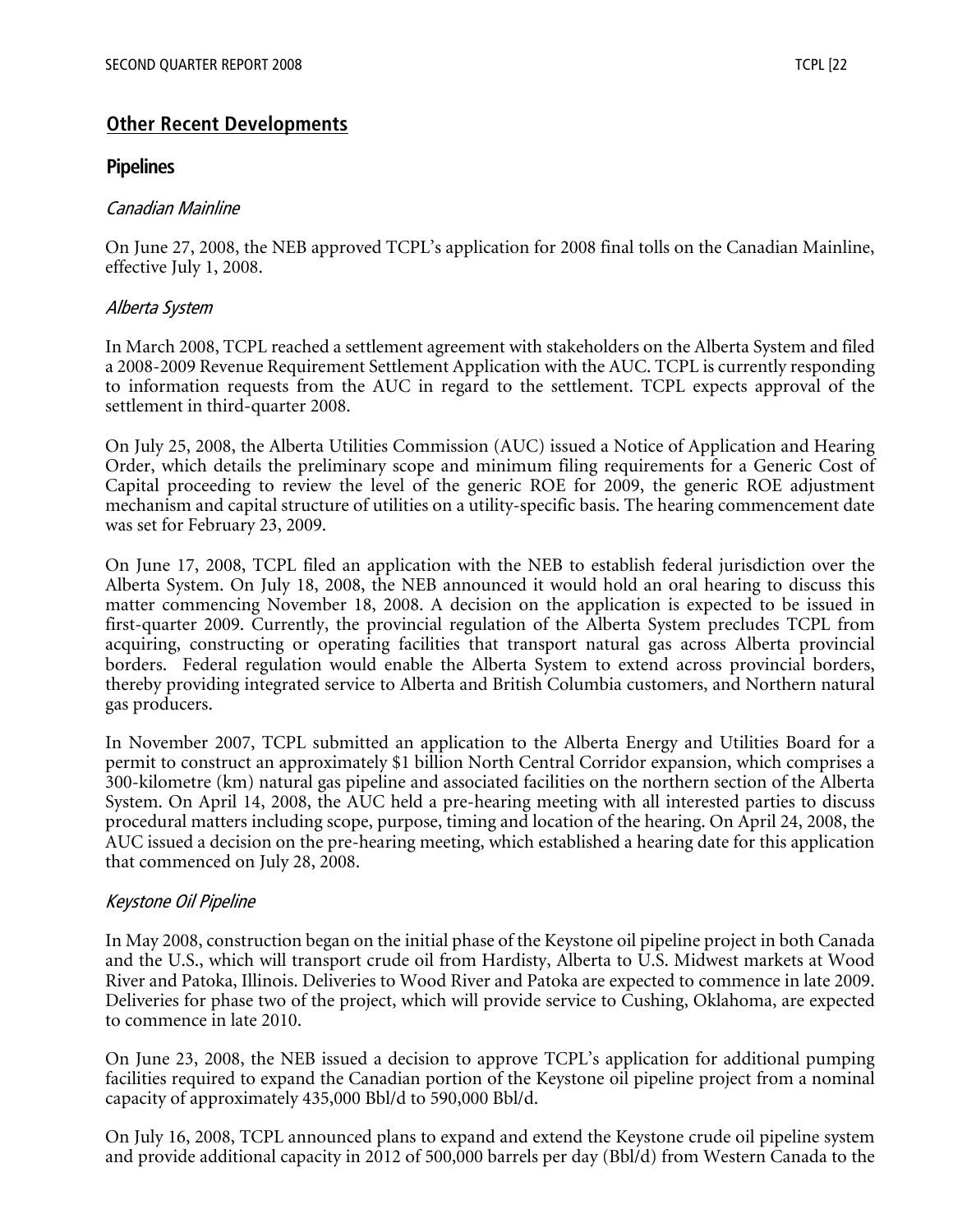## **Other Recent Developments**

#### **Pipelines**

#### Canadian Mainline

On June 27, 2008, the NEB approved TCPL's application for 2008 final tolls on the Canadian Mainline, effective July 1, 2008.

#### Alberta System

In March 2008, TCPL reached a settlement agreement with stakeholders on the Alberta System and filed a 2008-2009 Revenue Requirement Settlement Application with the AUC. TCPL is currently responding to information requests from the AUC in regard to the settlement. TCPL expects approval of the settlement in third-quarter 2008.

On July 25, 2008, the Alberta Utilities Commission (AUC) issued a Notice of Application and Hearing Order, which details the preliminary scope and minimum filing requirements for a Generic Cost of Capital proceeding to review the level of the generic ROE for 2009, the generic ROE adjustment mechanism and capital structure of utilities on a utility-specific basis. The hearing commencement date was set for February 23, 2009.

On June 17, 2008, TCPL filed an application with the NEB to establish federal jurisdiction over the Alberta System. On July 18, 2008, the NEB announced it would hold an oral hearing to discuss this matter commencing November 18, 2008. A decision on the application is expected to be issued in first-quarter 2009. Currently, the provincial regulation of the Alberta System precludes TCPL from acquiring, constructing or operating facilities that transport natural gas across Alberta provincial borders. Federal regulation would enable the Alberta System to extend across provincial borders, thereby providing integrated service to Alberta and British Columbia customers, and Northern natural gas producers.

In November 2007, TCPL submitted an application to the Alberta Energy and Utilities Board for a permit to construct an approximately \$1 billion North Central Corridor expansion, which comprises a 300-kilometre (km) natural gas pipeline and associated facilities on the northern section of the Alberta System. On April 14, 2008, the AUC held a pre-hearing meeting with all interested parties to discuss procedural matters including scope, purpose, timing and location of the hearing. On April 24, 2008, the AUC issued a decision on the pre-hearing meeting, which established a hearing date for this application that commenced on July 28, 2008.

#### Keystone Oil Pipeline

In May 2008, construction began on the initial phase of the Keystone oil pipeline project in both Canada and the U.S., which will transport crude oil from Hardisty, Alberta to U.S. Midwest markets at Wood River and Patoka, Illinois. Deliveries to Wood River and Patoka are expected to commence in late 2009. Deliveries for phase two of the project, which will provide service to Cushing, Oklahoma, are expected to commence in late 2010.

On June 23, 2008, the NEB issued a decision to approve TCPL's application for additional pumping facilities required to expand the Canadian portion of the Keystone oil pipeline project from a nominal capacity of approximately 435,000 Bbl/d to 590,000 Bbl/d.

On July 16, 2008, TCPL announced plans to expand and extend the Keystone crude oil pipeline system and provide additional capacity in 2012 of 500,000 barrels per day (Bbl/d) from Western Canada to the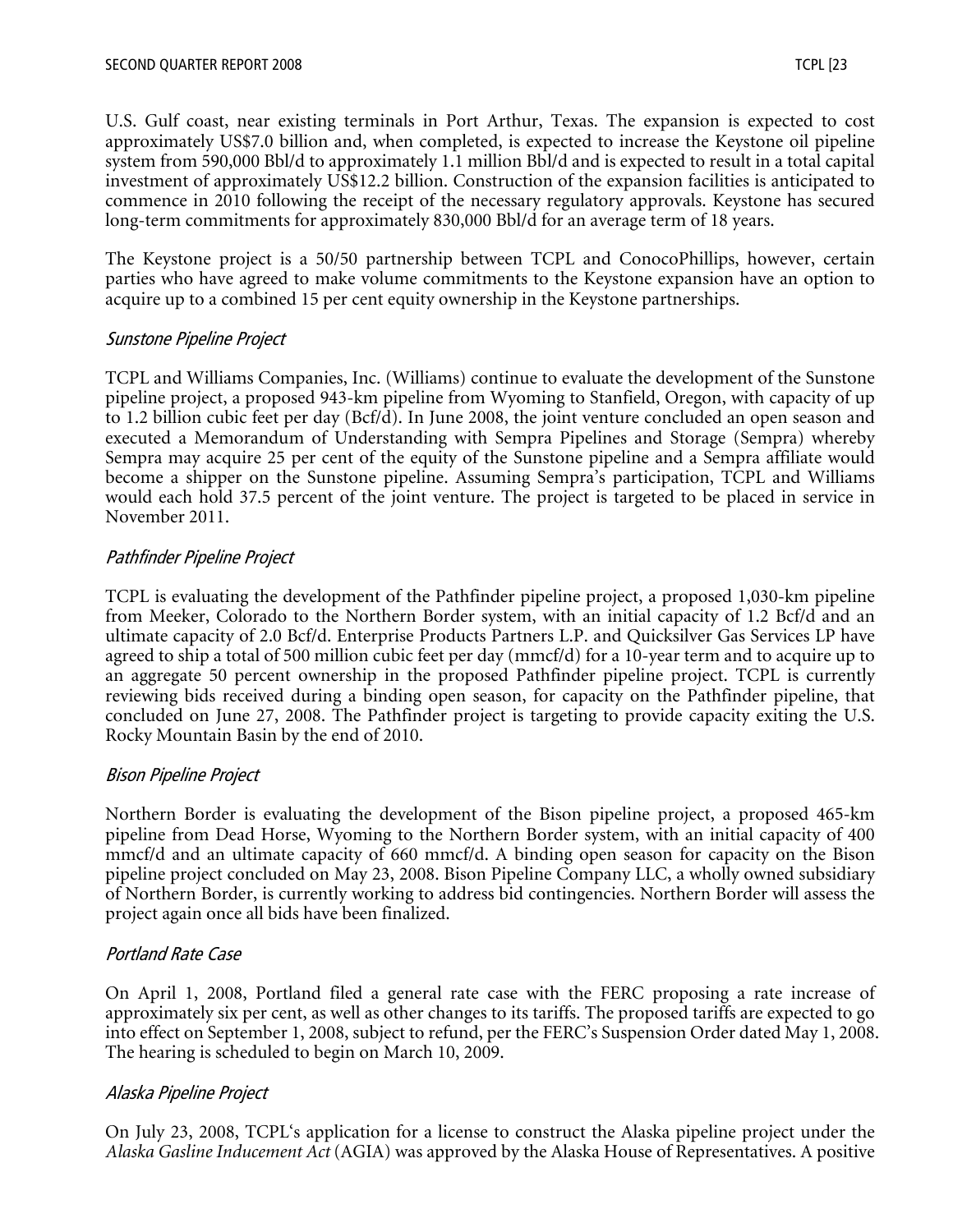U.S. Gulf coast, near existing terminals in Port Arthur, Texas. The expansion is expected to cost approximately US\$7.0 billion and, when completed, is expected to increase the Keystone oil pipeline system from 590,000 Bbl/d to approximately 1.1 million Bbl/d and is expected to result in a total capital investment of approximately US\$12.2 billion. Construction of the expansion facilities is anticipated to commence in 2010 following the receipt of the necessary regulatory approvals. Keystone has secured long-term commitments for approximately 830,000 Bbl/d for an average term of 18 years.

The Keystone project is a 50/50 partnership between TCPL and ConocoPhillips, however, certain parties who have agreed to make volume commitments to the Keystone expansion have an option to acquire up to a combined 15 per cent equity ownership in the Keystone partnerships.

#### Sunstone Pipeline Project

TCPL and Williams Companies, Inc. (Williams) continue to evaluate the development of the Sunstone pipeline project, a proposed 943-km pipeline from Wyoming to Stanfield, Oregon, with capacity of up to 1.2 billion cubic feet per day (Bcf/d). In June 2008, the joint venture concluded an open season and executed a Memorandum of Understanding with Sempra Pipelines and Storage (Sempra) whereby Sempra may acquire 25 per cent of the equity of the Sunstone pipeline and a Sempra affiliate would become a shipper on the Sunstone pipeline. Assuming Sempra's participation, TCPL and Williams would each hold 37.5 percent of the joint venture. The project is targeted to be placed in service in November 2011.

#### Pathfinder Pipeline Project

TCPL is evaluating the development of the Pathfinder pipeline project, a proposed 1,030-km pipeline from Meeker, Colorado to the Northern Border system, with an initial capacity of 1.2 Bcf/d and an ultimate capacity of 2.0 Bcf/d. Enterprise Products Partners L.P. and Quicksilver Gas Services LP have agreed to ship a total of 500 million cubic feet per day (mmcf/d) for a 10-year term and to acquire up to an aggregate 50 percent ownership in the proposed Pathfinder pipeline project. TCPL is currently reviewing bids received during a binding open season, for capacity on the Pathfinder pipeline, that concluded on June 27, 2008. The Pathfinder project is targeting to provide capacity exiting the U.S. Rocky Mountain Basin by the end of 2010.

## Bison Pipeline Project

Northern Border is evaluating the development of the Bison pipeline project, a proposed 465-km pipeline from Dead Horse, Wyoming to the Northern Border system, with an initial capacity of 400 mmcf/d and an ultimate capacity of 660 mmcf/d. A binding open season for capacity on the Bison pipeline project concluded on May 23, 2008. Bison Pipeline Company LLC, a wholly owned subsidiary of Northern Border, is currently working to address bid contingencies. Northern Border will assess the project again once all bids have been finalized.

## Portland Rate Case

On April 1, 2008, Portland filed a general rate case with the FERC proposing a rate increase of approximately six per cent, as well as other changes to its tariffs. The proposed tariffs are expected to go into effect on September 1, 2008, subject to refund, per the FERC's Suspension Order dated May 1, 2008. The hearing is scheduled to begin on March 10, 2009.

#### Alaska Pipeline Project

On July 23, 2008, TCPL's application for a license to construct the Alaska pipeline project under the *Alaska Gasline Inducement Act* (AGIA) was approved by the Alaska House of Representatives. A positive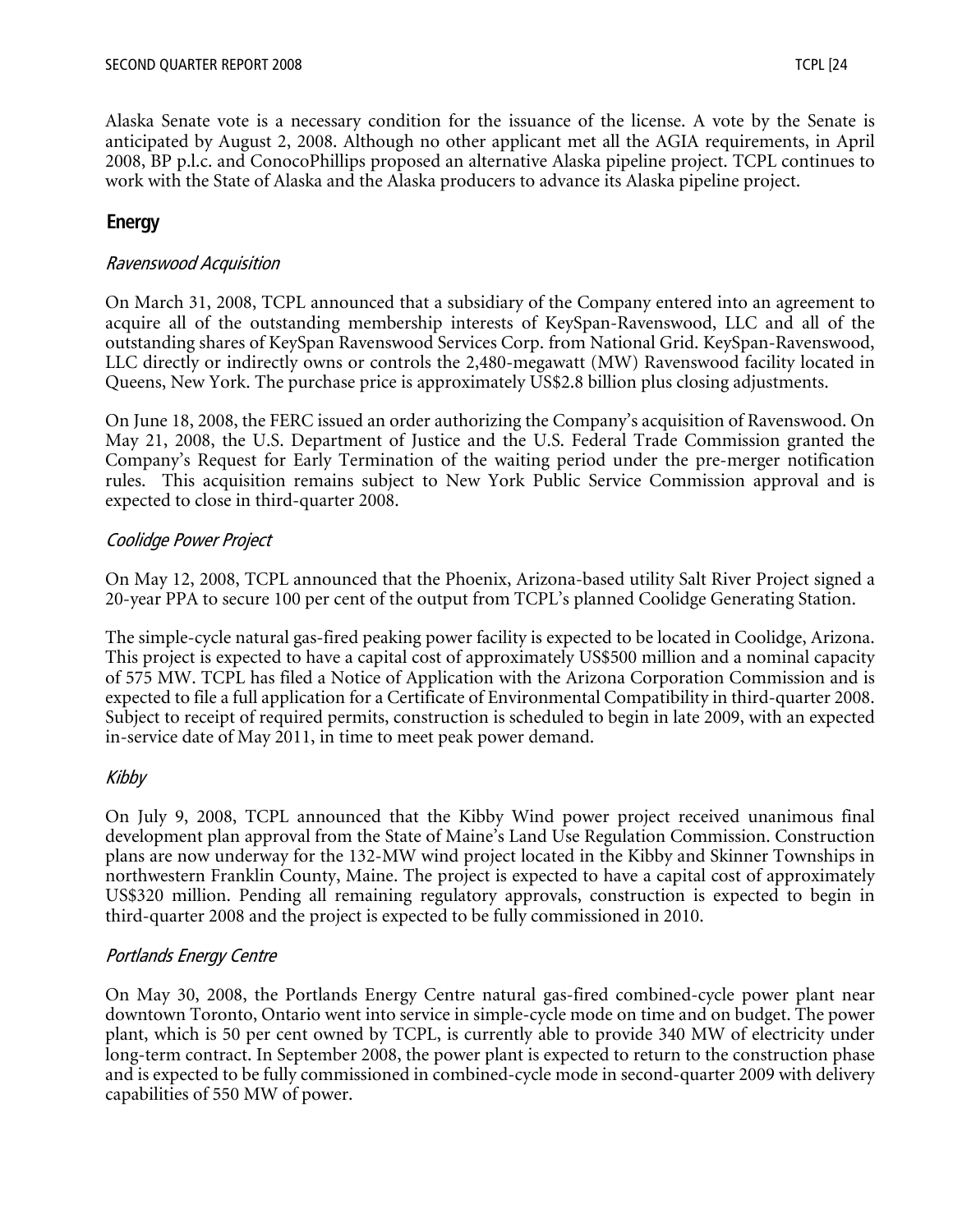Alaska Senate vote is a necessary condition for the issuance of the license. A vote by the Senate is anticipated by August 2, 2008. Although no other applicant met all the AGIA requirements, in April 2008, BP p.l.c. and ConocoPhillips proposed an alternative Alaska pipeline project. TCPL continues to work with the State of Alaska and the Alaska producers to advance its Alaska pipeline project.

# **Energy**

#### Ravenswood Acquisition

On March 31, 2008, TCPL announced that a subsidiary of the Company entered into an agreement to acquire all of the outstanding membership interests of KeySpan-Ravenswood, LLC and all of the outstanding shares of KeySpan Ravenswood Services Corp. from National Grid. KeySpan-Ravenswood, LLC directly or indirectly owns or controls the 2,480-megawatt (MW) Ravenswood facility located in Queens, New York. The purchase price is approximately US\$2.8 billion plus closing adjustments.

On June 18, 2008, the FERC issued an order authorizing the Company's acquisition of Ravenswood. On May 21, 2008, the U.S. Department of Justice and the U.S. Federal Trade Commission granted the Company's Request for Early Termination of the waiting period under the pre-merger notification rules. This acquisition remains subject to New York Public Service Commission approval and is expected to close in third-quarter 2008.

#### Coolidge Power Project

On May 12, 2008, TCPL announced that the Phoenix, Arizona-based utility Salt River Project signed a 20-year PPA to secure 100 per cent of the output from TCPL's planned Coolidge Generating Station.

The simple-cycle natural gas-fired peaking power facility is expected to be located in Coolidge, Arizona. This project is expected to have a capital cost of approximately US\$500 million and a nominal capacity of 575 MW. TCPL has filed a Notice of Application with the Arizona Corporation Commission and is expected to file a full application for a Certificate of Environmental Compatibility in third-quarter 2008. Subject to receipt of required permits, construction is scheduled to begin in late 2009, with an expected in-service date of May 2011, in time to meet peak power demand.

#### Kibby

On July 9, 2008, TCPL announced that the Kibby Wind power project received unanimous final development plan approval from the State of Maine's Land Use Regulation Commission. Construction plans are now underway for the 132-MW wind project located in the Kibby and Skinner Townships in northwestern Franklin County, Maine. The project is expected to have a capital cost of approximately US\$320 million. Pending all remaining regulatory approvals, construction is expected to begin in third-quarter 2008 and the project is expected to be fully commissioned in 2010.

#### Portlands Energy Centre

On May 30, 2008, the Portlands Energy Centre natural gas-fired combined-cycle power plant near downtown Toronto, Ontario went into service in simple-cycle mode on time and on budget. The power plant, which is 50 per cent owned by TCPL, is currently able to provide 340 MW of electricity under long-term contract. In September 2008, the power plant is expected to return to the construction phase and is expected to be fully commissioned in combined-cycle mode in second-quarter 2009 with delivery capabilities of 550 MW of power.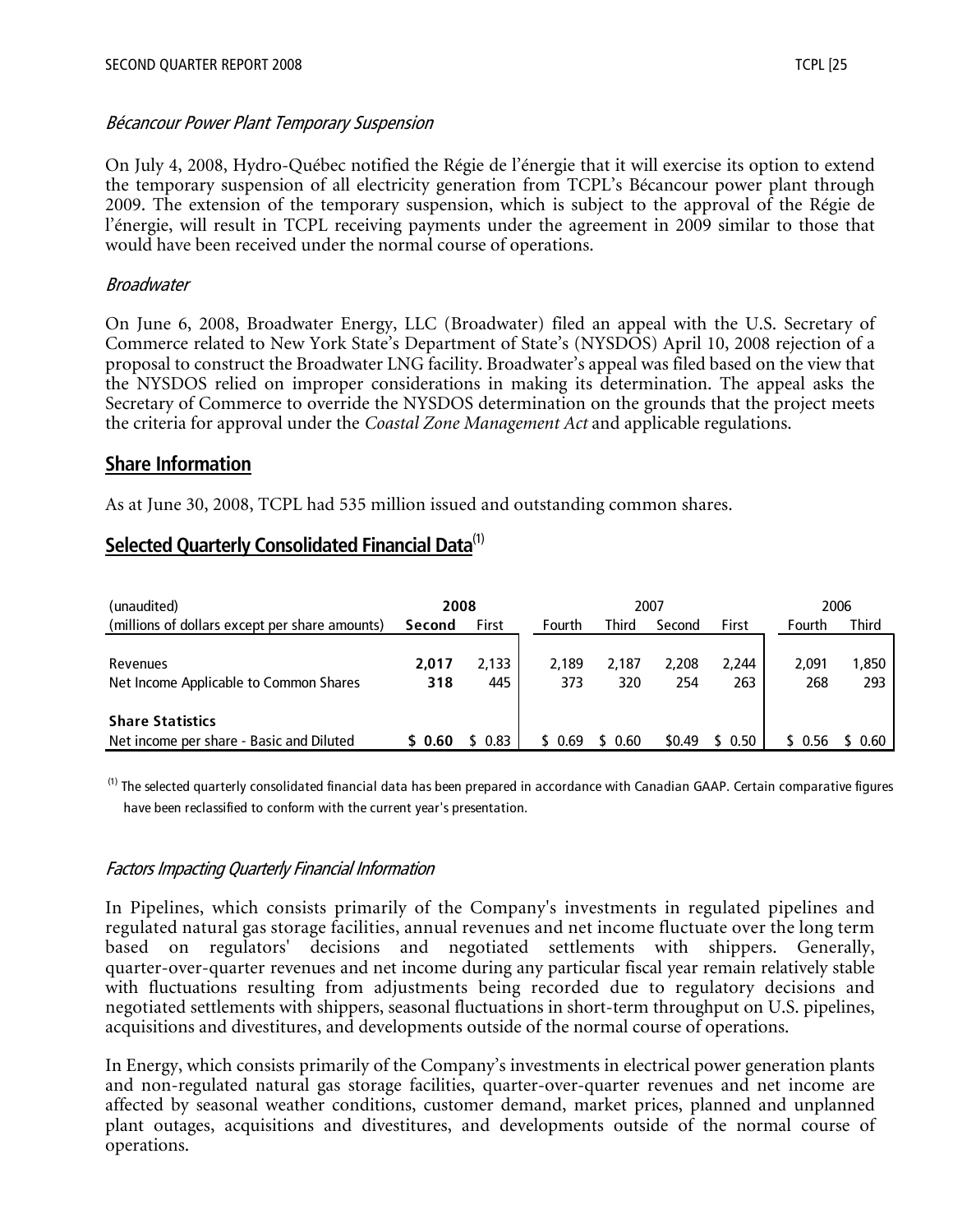#### Bécancour Power Plant Temporary Suspension

On July 4, 2008, Hydro-Québec notified the Régie de l'énergie that it will exercise its option to extend the temporary suspension of all electricity generation from TCPL's Bécancour power plant through 2009. The extension of the temporary suspension, which is subject to the approval of the Régie de l'énergie, will result in TCPL receiving payments under the agreement in 2009 similar to those that would have been received under the normal course of operations.

#### Broadwater

On June 6, 2008, Broadwater Energy, LLC (Broadwater) filed an appeal with the U.S. Secretary of Commerce related to New York State's Department of State's (NYSDOS) April 10, 2008 rejection of a proposal to construct the Broadwater LNG facility. Broadwater's appeal was filed based on the view that the NYSDOS relied on improper considerations in making its determination. The appeal asks the Secretary of Commerce to override the NYSDOS determination on the grounds that the project meets the criteria for approval under the *Coastal Zone Management Act* and applicable regulations.

#### **Share Information**

As at June 30, 2008, TCPL had 535 million issued and outstanding common shares.

# **Selected Quarterly Consolidated Financial Data**(1)

| (unaudited)                                    | 2008    |         |        |              | 2007   |        |        | 2006  |
|------------------------------------------------|---------|---------|--------|--------------|--------|--------|--------|-------|
| (millions of dollars except per share amounts) | Second  | First   | Fourth | <b>Third</b> | Second | First  | Fourth | Third |
|                                                |         |         |        |              |        |        |        |       |
| Revenues                                       | 2.017   | 2.133   | 2.189  | 2.187        | 2.208  | 2.244  | 2.091  | 1.850 |
| Net Income Applicable to Common Shares         | 318     | 445     | 373    | 320          | 254    | 263    | 268    | 293   |
| <b>Share Statistics</b>                        |         |         |        |              |        |        |        |       |
| Net income per share - Basic and Diluted       | \$ 0.60 | \$ 0.83 | 0.69   | 0.60         | \$0.49 | \$0.50 |        | 0.60  |

<sup>(1)</sup> The selected quarterly consolidated financial data has been prepared in accordance with Canadian GAAP. Certain comparative figures have been reclassified to conform with the current year's presentation.

#### Factors Impacting Quarterly Financial Information

In Pipelines, which consists primarily of the Company's investments in regulated pipelines and regulated natural gas storage facilities, annual revenues and net income fluctuate over the long term based on regulators' decisions and negotiated settlements with shippers. Generally, quarter-over-quarter revenues and net income during any particular fiscal year remain relatively stable with fluctuations resulting from adjustments being recorded due to regulatory decisions and negotiated settlements with shippers, seasonal fluctuations in short-term throughput on U.S. pipelines, acquisitions and divestitures, and developments outside of the normal course of operations.

In Energy, which consists primarily of the Company's investments in electrical power generation plants and non-regulated natural gas storage facilities, quarter-over-quarter revenues and net income are affected by seasonal weather conditions, customer demand, market prices, planned and unplanned plant outages, acquisitions and divestitures, and developments outside of the normal course of operations.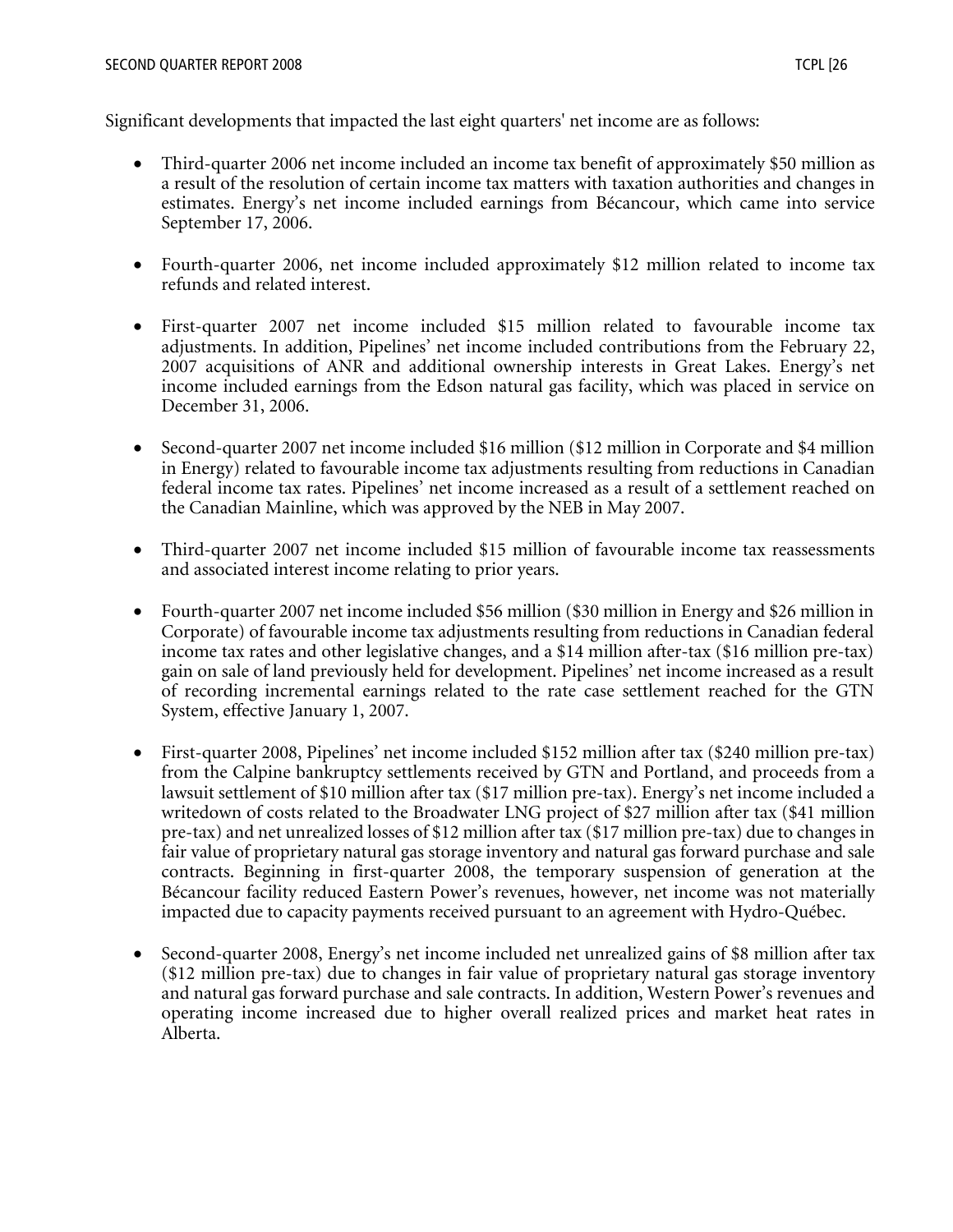Significant developments that impacted the last eight quarters' net income are as follows:

- Third-quarter 2006 net income included an income tax benefit of approximately \$50 million as a result of the resolution of certain income tax matters with taxation authorities and changes in estimates. Energy's net income included earnings from Bécancour, which came into service September 17, 2006.
- Fourth-quarter 2006, net income included approximately \$12 million related to income tax refunds and related interest.
- First-quarter 2007 net income included \$15 million related to favourable income tax adjustments. In addition, Pipelines' net income included contributions from the February 22, 2007 acquisitions of ANR and additional ownership interests in Great Lakes. Energy's net income included earnings from the Edson natural gas facility, which was placed in service on December 31, 2006.
- Second-quarter 2007 net income included \$16 million (\$12 million in Corporate and \$4 million in Energy) related to favourable income tax adjustments resulting from reductions in Canadian federal income tax rates. Pipelines' net income increased as a result of a settlement reached on the Canadian Mainline, which was approved by the NEB in May 2007.
- Third-quarter 2007 net income included \$15 million of favourable income tax reassessments and associated interest income relating to prior years.
- Fourth-quarter 2007 net income included \$56 million (\$30 million in Energy and \$26 million in Corporate) of favourable income tax adjustments resulting from reductions in Canadian federal income tax rates and other legislative changes, and a \$14 million after-tax (\$16 million pre-tax) gain on sale of land previously held for development. Pipelines' net income increased as a result of recording incremental earnings related to the rate case settlement reached for the GTN System, effective January 1, 2007.
- First-quarter 2008, Pipelines' net income included \$152 million after tax (\$240 million pre-tax) from the Calpine bankruptcy settlements received by GTN and Portland, and proceeds from a lawsuit settlement of \$10 million after tax (\$17 million pre-tax). Energy's net income included a writedown of costs related to the Broadwater LNG project of \$27 million after tax (\$41 million pre-tax) and net unrealized losses of \$12 million after tax (\$17 million pre-tax) due to changes in fair value of proprietary natural gas storage inventory and natural gas forward purchase and sale contracts. Beginning in first-quarter 2008, the temporary suspension of generation at the Bécancour facility reduced Eastern Power's revenues, however, net income was not materially impacted due to capacity payments received pursuant to an agreement with Hydro-Québec.
- Second-quarter 2008, Energy's net income included net unrealized gains of \$8 million after tax (\$12 million pre-tax) due to changes in fair value of proprietary natural gas storage inventory and natural gas forward purchase and sale contracts. In addition, Western Power's revenues and operating income increased due to higher overall realized prices and market heat rates in Alberta.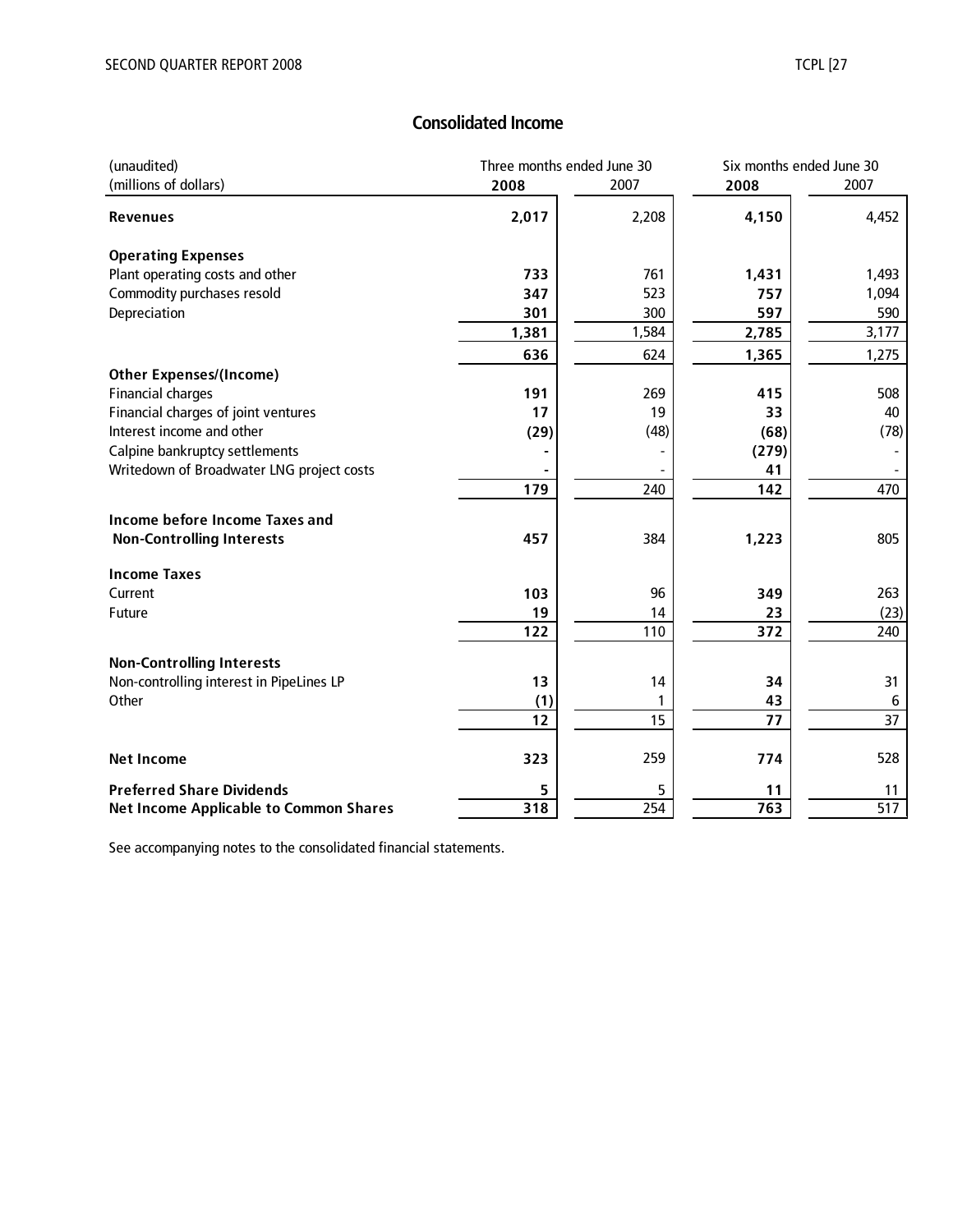# **Consolidated Income**

| (unaudited)                                   | Three months ended June 30 |                  | Six months ended June 30 |                  |  |
|-----------------------------------------------|----------------------------|------------------|--------------------------|------------------|--|
| (millions of dollars)                         | 2008                       | 2007             | 2008                     | 2007             |  |
| <b>Revenues</b>                               | 2,017                      | 2,208            | 4,150                    | 4,452            |  |
| <b>Operating Expenses</b>                     |                            |                  |                          |                  |  |
| Plant operating costs and other               | 733                        | 761              | 1,431                    | 1,493            |  |
| Commodity purchases resold                    | 347                        | 523              | 757                      | 1,094            |  |
| Depreciation                                  | 301                        | 300              | 597                      | 590              |  |
|                                               | 1,381                      | 1,584            | 2,785                    | 3,177            |  |
|                                               | 636                        | 624              | 1,365                    | 1,275            |  |
| <b>Other Expenses/(Income)</b>                |                            |                  |                          |                  |  |
| <b>Financial charges</b>                      | 191                        | 269              | 415                      | 508              |  |
| Financial charges of joint ventures           | 17                         | 19               | 33                       | 40               |  |
| Interest income and other                     | (29)                       | (48)             | (68)                     | (78)             |  |
| Calpine bankruptcy settlements                |                            |                  | (279)                    |                  |  |
| Writedown of Broadwater LNG project costs     |                            |                  | 41                       |                  |  |
|                                               | 179                        | 240              | 142                      | 470              |  |
| <b>Income before Income Taxes and</b>         |                            |                  |                          |                  |  |
| <b>Non-Controlling Interests</b>              | 457                        | 384              | 1,223                    | 805              |  |
| <b>Income Taxes</b>                           |                            |                  |                          |                  |  |
| Current                                       | 103                        | 96               | 349                      | 263              |  |
| Future                                        | 19                         | 14               | 23                       | (23)             |  |
|                                               | 122                        | 110              | 372                      | 240              |  |
| <b>Non-Controlling Interests</b>              |                            |                  |                          |                  |  |
| Non-controlling interest in PipeLines LP      | 13                         | 14               | 34                       | 31               |  |
| Other                                         | (1)                        | 1                | 43                       | 6                |  |
|                                               | 12                         | 15               | 77                       | 37               |  |
| <b>Net Income</b>                             | 323                        | 259              | 774                      | 528              |  |
| <b>Preferred Share Dividends</b>              | 5                          | 5                | 11                       | 11               |  |
| <b>Net Income Applicable to Common Shares</b> | 318                        | $\overline{254}$ | 763                      | $\overline{517}$ |  |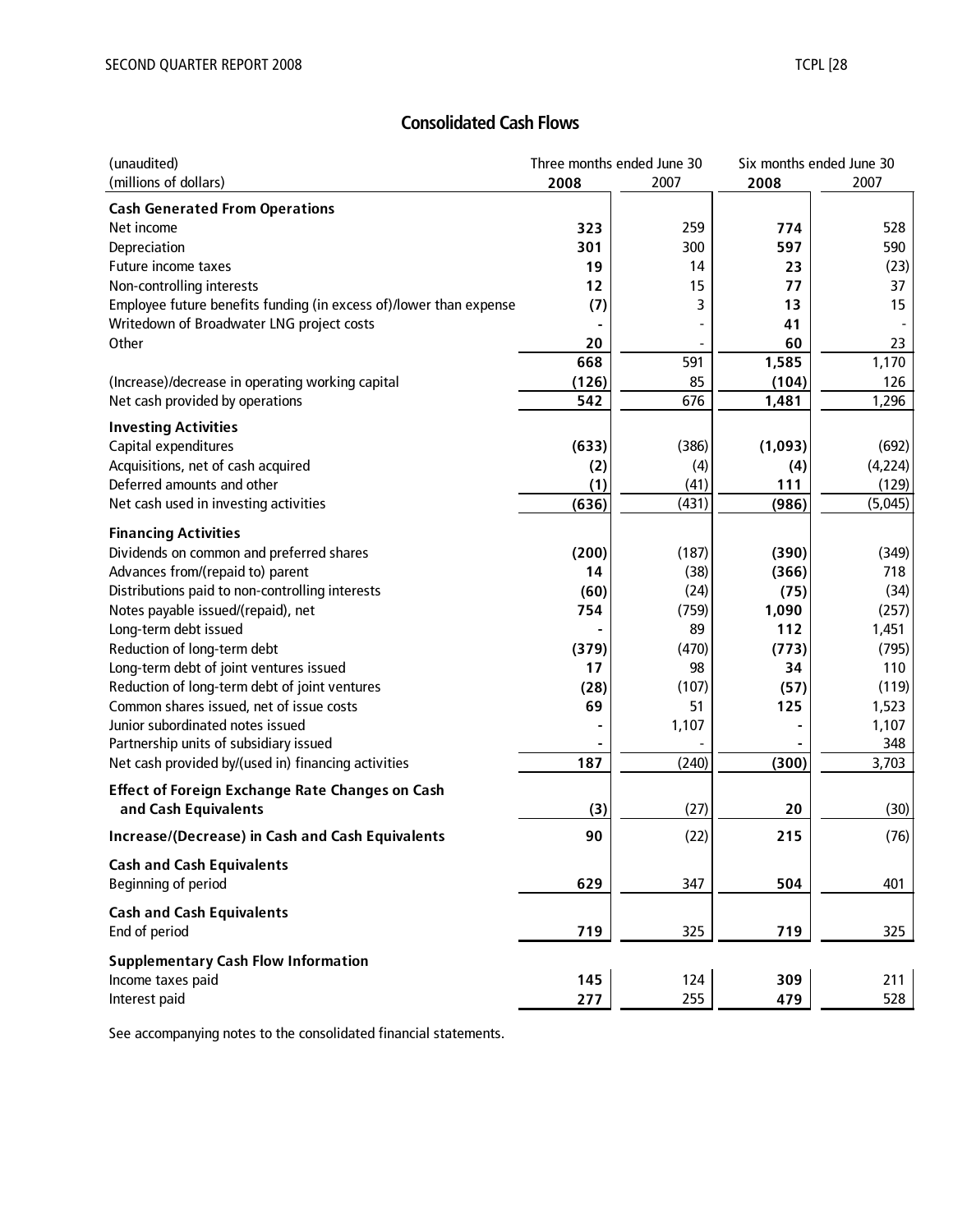# **Consolidated Cash Flows**

| (unaudited)                                                             |       | Three months ended June 30 |                | Six months ended June 30 |  |
|-------------------------------------------------------------------------|-------|----------------------------|----------------|--------------------------|--|
| (millions of dollars)                                                   | 2008  | 2007                       | 2008           | 2007                     |  |
| <b>Cash Generated From Operations</b>                                   |       |                            |                |                          |  |
| Net income                                                              | 323   | 259                        | 774            | 528                      |  |
| Depreciation                                                            | 301   | 300                        | 597            | 590                      |  |
| Future income taxes                                                     | 19    | 14                         | 23             | (23)                     |  |
| Non-controlling interests                                               | 12    | 15                         | 77             | 37                       |  |
| Employee future benefits funding (in excess of)/lower than expense      | (7)   | 3                          | 13             | 15                       |  |
| Writedown of Broadwater LNG project costs                               |       |                            | 41             |                          |  |
| Other                                                                   | 20    |                            | 60             | 23                       |  |
|                                                                         | 668   | 591                        | 1,585          | 1,170                    |  |
| (Increase)/decrease in operating working capital                        | (126) | 85                         | (104)          | 126                      |  |
| Net cash provided by operations                                         | 542   | 676                        | 1,481          | 1,296                    |  |
| <b>Investing Activities</b>                                             |       |                            |                |                          |  |
| Capital expenditures                                                    | (633) | (386)                      | (1,093)        | (692)                    |  |
| Acquisitions, net of cash acquired                                      | (2)   | (4)                        | (4)            | (4,224)                  |  |
| Deferred amounts and other                                              | (1)   | (41)                       | 111            | (129)                    |  |
| Net cash used in investing activities                                   | (636) | (431)                      | (986)          | (5,045)                  |  |
|                                                                         |       |                            |                |                          |  |
| <b>Financing Activities</b><br>Dividends on common and preferred shares | (200) | (187)                      | (390)          | (349)                    |  |
| Advances from/(repaid to) parent                                        | 14    | (38)                       | (366)          | 718                      |  |
| Distributions paid to non-controlling interests                         | (60)  | (24)                       | (75)           | (34)                     |  |
| Notes payable issued/(repaid), net                                      | 754   | (759)                      | 1,090          | (257)                    |  |
| Long-term debt issued                                                   |       | 89                         | 112            | 1,451                    |  |
| Reduction of long-term debt                                             | (379) | (470)                      | (773)          | (795)                    |  |
| Long-term debt of joint ventures issued                                 | 17    | 98                         | 34             | 110                      |  |
| Reduction of long-term debt of joint ventures                           | (28)  | (107)                      | (57)           | (119)                    |  |
| Common shares issued, net of issue costs                                | 69    | 51                         | 125            | 1,523                    |  |
| Junior subordinated notes issued                                        |       | 1,107                      | $\blacksquare$ | 1,107                    |  |
| Partnership units of subsidiary issued                                  |       |                            |                | 348                      |  |
| Net cash provided by/(used in) financing activities                     | 187   | (240)                      | (300)          | 3,703                    |  |
| <b>Effect of Foreign Exchange Rate Changes on Cash</b>                  |       |                            |                |                          |  |
| and Cash Equivalents                                                    | (3)   | (27)                       | 20             | (30)                     |  |
| <b>Increase/(Decrease) in Cash and Cash Equivalents</b>                 | 90    | (22)                       | 215            | (76)                     |  |
| <b>Cash and Cash Equivalents</b>                                        |       |                            |                |                          |  |
| Beginning of period                                                     | 629   | 347                        | 504            | 401                      |  |
| <b>Cash and Cash Equivalents</b>                                        |       |                            |                |                          |  |
| End of period                                                           | 719   | 325                        | 719            | 325                      |  |
| <b>Supplementary Cash Flow Information</b>                              |       |                            |                |                          |  |
| Income taxes paid                                                       | 145   | 124                        | 309            | 211                      |  |
| Interest paid                                                           | 277   | 255                        | 479            | 528                      |  |
|                                                                         |       |                            |                |                          |  |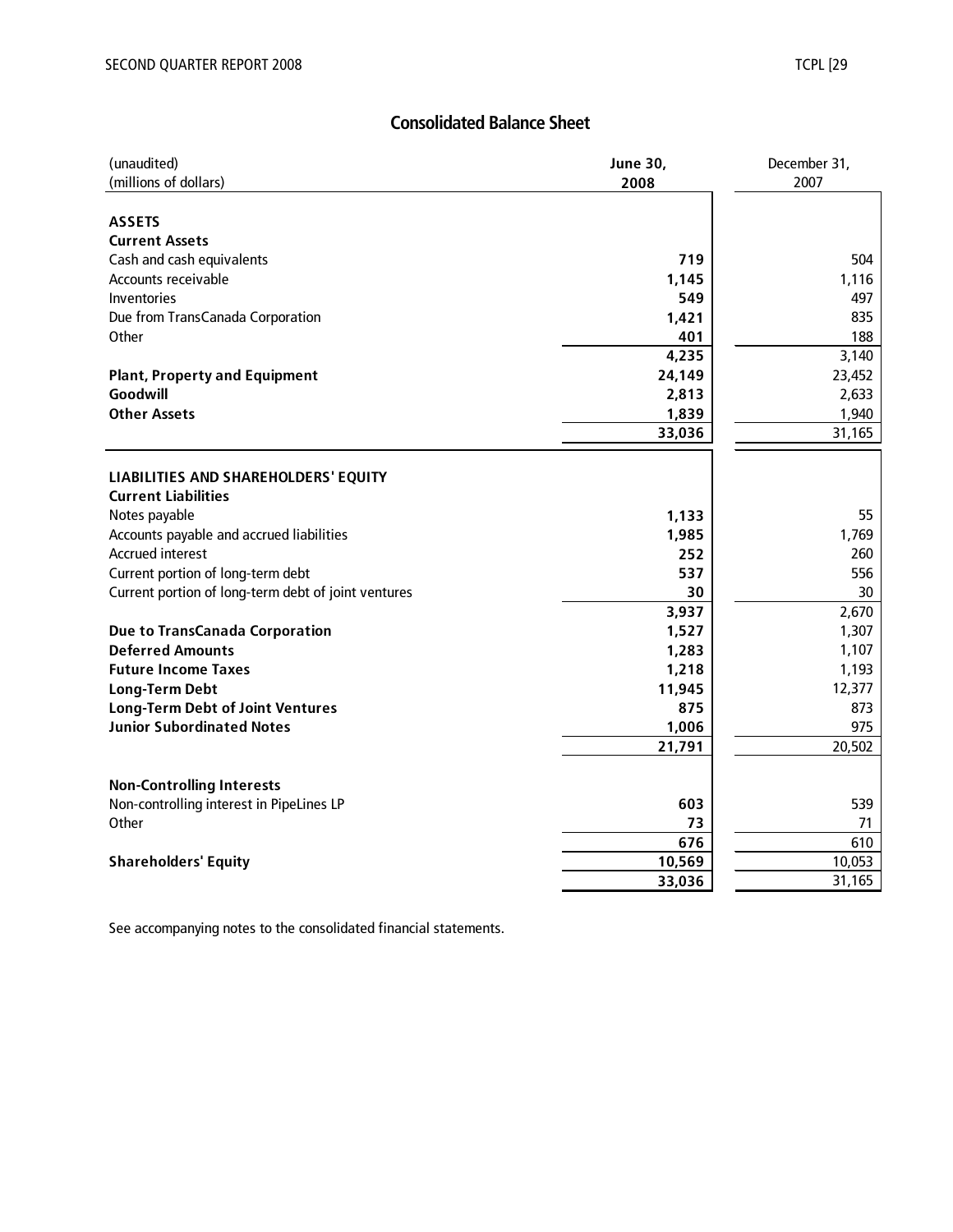# **Consolidated Balance Sheet**

| (millions of dollars)<br>2007<br>2008<br><b>ASSETS</b><br><b>Current Assets</b><br>Cash and cash equivalents<br>719<br>504<br>Accounts receivable<br>1,116<br>1,145<br>549<br>Inventories<br>497<br>1,421<br>835<br>Due from TransCanada Corporation<br>Other<br>401<br>188<br>4,235<br>3,140<br>24,149<br>23,452<br><b>Plant, Property and Equipment</b><br>Goodwill<br>2,813<br>2,633<br><b>Other Assets</b><br>1,839<br>1,940<br>33,036<br>31,165<br>LIABILITIES AND SHAREHOLDERS' EQUITY<br><b>Current Liabilities</b><br>1,133<br>55<br>Notes payable<br>1,985<br>1,769<br>Accounts payable and accrued liabilities<br><b>Accrued interest</b><br>252<br>260<br>Current portion of long-term debt<br>556<br>537<br>Current portion of long-term debt of joint ventures<br>30<br>30<br>2,670<br>3,937<br>1,307<br>1,527<br><b>Due to TransCanada Corporation</b><br><b>Deferred Amounts</b><br>1,107<br>1,283<br>1,193<br><b>Future Income Taxes</b><br>1,218<br>12,377<br>11,945<br><b>Long-Term Debt</b><br>873<br><b>Long-Term Debt of Joint Ventures</b><br>875<br><b>Junior Subordinated Notes</b><br>975<br>1,006<br>20,502<br>21,791<br><b>Non-Controlling Interests</b><br>Non-controlling interest in PipeLines LP<br>603<br>539<br>Other<br>73<br>71<br>676<br>610<br>10,053<br>10,569<br><b>Shareholders' Equity</b><br>31,165<br>33,036 | (unaudited) | <b>June 30,</b> | December 31, |  |  |
|---------------------------------------------------------------------------------------------------------------------------------------------------------------------------------------------------------------------------------------------------------------------------------------------------------------------------------------------------------------------------------------------------------------------------------------------------------------------------------------------------------------------------------------------------------------------------------------------------------------------------------------------------------------------------------------------------------------------------------------------------------------------------------------------------------------------------------------------------------------------------------------------------------------------------------------------------------------------------------------------------------------------------------------------------------------------------------------------------------------------------------------------------------------------------------------------------------------------------------------------------------------------------------------------------------------------------------------------------------|-------------|-----------------|--------------|--|--|
|                                                                                                                                                                                                                                                                                                                                                                                                                                                                                                                                                                                                                                                                                                                                                                                                                                                                                                                                                                                                                                                                                                                                                                                                                                                                                                                                                         |             |                 |              |  |  |
|                                                                                                                                                                                                                                                                                                                                                                                                                                                                                                                                                                                                                                                                                                                                                                                                                                                                                                                                                                                                                                                                                                                                                                                                                                                                                                                                                         |             |                 |              |  |  |
|                                                                                                                                                                                                                                                                                                                                                                                                                                                                                                                                                                                                                                                                                                                                                                                                                                                                                                                                                                                                                                                                                                                                                                                                                                                                                                                                                         |             |                 |              |  |  |
|                                                                                                                                                                                                                                                                                                                                                                                                                                                                                                                                                                                                                                                                                                                                                                                                                                                                                                                                                                                                                                                                                                                                                                                                                                                                                                                                                         |             |                 |              |  |  |
|                                                                                                                                                                                                                                                                                                                                                                                                                                                                                                                                                                                                                                                                                                                                                                                                                                                                                                                                                                                                                                                                                                                                                                                                                                                                                                                                                         |             |                 |              |  |  |
|                                                                                                                                                                                                                                                                                                                                                                                                                                                                                                                                                                                                                                                                                                                                                                                                                                                                                                                                                                                                                                                                                                                                                                                                                                                                                                                                                         |             |                 |              |  |  |
|                                                                                                                                                                                                                                                                                                                                                                                                                                                                                                                                                                                                                                                                                                                                                                                                                                                                                                                                                                                                                                                                                                                                                                                                                                                                                                                                                         |             |                 |              |  |  |
|                                                                                                                                                                                                                                                                                                                                                                                                                                                                                                                                                                                                                                                                                                                                                                                                                                                                                                                                                                                                                                                                                                                                                                                                                                                                                                                                                         |             |                 |              |  |  |
|                                                                                                                                                                                                                                                                                                                                                                                                                                                                                                                                                                                                                                                                                                                                                                                                                                                                                                                                                                                                                                                                                                                                                                                                                                                                                                                                                         |             |                 |              |  |  |
|                                                                                                                                                                                                                                                                                                                                                                                                                                                                                                                                                                                                                                                                                                                                                                                                                                                                                                                                                                                                                                                                                                                                                                                                                                                                                                                                                         |             |                 |              |  |  |
|                                                                                                                                                                                                                                                                                                                                                                                                                                                                                                                                                                                                                                                                                                                                                                                                                                                                                                                                                                                                                                                                                                                                                                                                                                                                                                                                                         |             |                 |              |  |  |
|                                                                                                                                                                                                                                                                                                                                                                                                                                                                                                                                                                                                                                                                                                                                                                                                                                                                                                                                                                                                                                                                                                                                                                                                                                                                                                                                                         |             |                 |              |  |  |
|                                                                                                                                                                                                                                                                                                                                                                                                                                                                                                                                                                                                                                                                                                                                                                                                                                                                                                                                                                                                                                                                                                                                                                                                                                                                                                                                                         |             |                 |              |  |  |
|                                                                                                                                                                                                                                                                                                                                                                                                                                                                                                                                                                                                                                                                                                                                                                                                                                                                                                                                                                                                                                                                                                                                                                                                                                                                                                                                                         |             |                 |              |  |  |
|                                                                                                                                                                                                                                                                                                                                                                                                                                                                                                                                                                                                                                                                                                                                                                                                                                                                                                                                                                                                                                                                                                                                                                                                                                                                                                                                                         |             |                 |              |  |  |
|                                                                                                                                                                                                                                                                                                                                                                                                                                                                                                                                                                                                                                                                                                                                                                                                                                                                                                                                                                                                                                                                                                                                                                                                                                                                                                                                                         |             |                 |              |  |  |
|                                                                                                                                                                                                                                                                                                                                                                                                                                                                                                                                                                                                                                                                                                                                                                                                                                                                                                                                                                                                                                                                                                                                                                                                                                                                                                                                                         |             |                 |              |  |  |
|                                                                                                                                                                                                                                                                                                                                                                                                                                                                                                                                                                                                                                                                                                                                                                                                                                                                                                                                                                                                                                                                                                                                                                                                                                                                                                                                                         |             |                 |              |  |  |
|                                                                                                                                                                                                                                                                                                                                                                                                                                                                                                                                                                                                                                                                                                                                                                                                                                                                                                                                                                                                                                                                                                                                                                                                                                                                                                                                                         |             |                 |              |  |  |
|                                                                                                                                                                                                                                                                                                                                                                                                                                                                                                                                                                                                                                                                                                                                                                                                                                                                                                                                                                                                                                                                                                                                                                                                                                                                                                                                                         |             |                 |              |  |  |
|                                                                                                                                                                                                                                                                                                                                                                                                                                                                                                                                                                                                                                                                                                                                                                                                                                                                                                                                                                                                                                                                                                                                                                                                                                                                                                                                                         |             |                 |              |  |  |
|                                                                                                                                                                                                                                                                                                                                                                                                                                                                                                                                                                                                                                                                                                                                                                                                                                                                                                                                                                                                                                                                                                                                                                                                                                                                                                                                                         |             |                 |              |  |  |
|                                                                                                                                                                                                                                                                                                                                                                                                                                                                                                                                                                                                                                                                                                                                                                                                                                                                                                                                                                                                                                                                                                                                                                                                                                                                                                                                                         |             |                 |              |  |  |
|                                                                                                                                                                                                                                                                                                                                                                                                                                                                                                                                                                                                                                                                                                                                                                                                                                                                                                                                                                                                                                                                                                                                                                                                                                                                                                                                                         |             |                 |              |  |  |
|                                                                                                                                                                                                                                                                                                                                                                                                                                                                                                                                                                                                                                                                                                                                                                                                                                                                                                                                                                                                                                                                                                                                                                                                                                                                                                                                                         |             |                 |              |  |  |
|                                                                                                                                                                                                                                                                                                                                                                                                                                                                                                                                                                                                                                                                                                                                                                                                                                                                                                                                                                                                                                                                                                                                                                                                                                                                                                                                                         |             |                 |              |  |  |
|                                                                                                                                                                                                                                                                                                                                                                                                                                                                                                                                                                                                                                                                                                                                                                                                                                                                                                                                                                                                                                                                                                                                                                                                                                                                                                                                                         |             |                 |              |  |  |
|                                                                                                                                                                                                                                                                                                                                                                                                                                                                                                                                                                                                                                                                                                                                                                                                                                                                                                                                                                                                                                                                                                                                                                                                                                                                                                                                                         |             |                 |              |  |  |
|                                                                                                                                                                                                                                                                                                                                                                                                                                                                                                                                                                                                                                                                                                                                                                                                                                                                                                                                                                                                                                                                                                                                                                                                                                                                                                                                                         |             |                 |              |  |  |
|                                                                                                                                                                                                                                                                                                                                                                                                                                                                                                                                                                                                                                                                                                                                                                                                                                                                                                                                                                                                                                                                                                                                                                                                                                                                                                                                                         |             |                 |              |  |  |
|                                                                                                                                                                                                                                                                                                                                                                                                                                                                                                                                                                                                                                                                                                                                                                                                                                                                                                                                                                                                                                                                                                                                                                                                                                                                                                                                                         |             |                 |              |  |  |
|                                                                                                                                                                                                                                                                                                                                                                                                                                                                                                                                                                                                                                                                                                                                                                                                                                                                                                                                                                                                                                                                                                                                                                                                                                                                                                                                                         |             |                 |              |  |  |
|                                                                                                                                                                                                                                                                                                                                                                                                                                                                                                                                                                                                                                                                                                                                                                                                                                                                                                                                                                                                                                                                                                                                                                                                                                                                                                                                                         |             |                 |              |  |  |
|                                                                                                                                                                                                                                                                                                                                                                                                                                                                                                                                                                                                                                                                                                                                                                                                                                                                                                                                                                                                                                                                                                                                                                                                                                                                                                                                                         |             |                 |              |  |  |
|                                                                                                                                                                                                                                                                                                                                                                                                                                                                                                                                                                                                                                                                                                                                                                                                                                                                                                                                                                                                                                                                                                                                                                                                                                                                                                                                                         |             |                 |              |  |  |
|                                                                                                                                                                                                                                                                                                                                                                                                                                                                                                                                                                                                                                                                                                                                                                                                                                                                                                                                                                                                                                                                                                                                                                                                                                                                                                                                                         |             |                 |              |  |  |
|                                                                                                                                                                                                                                                                                                                                                                                                                                                                                                                                                                                                                                                                                                                                                                                                                                                                                                                                                                                                                                                                                                                                                                                                                                                                                                                                                         |             |                 |              |  |  |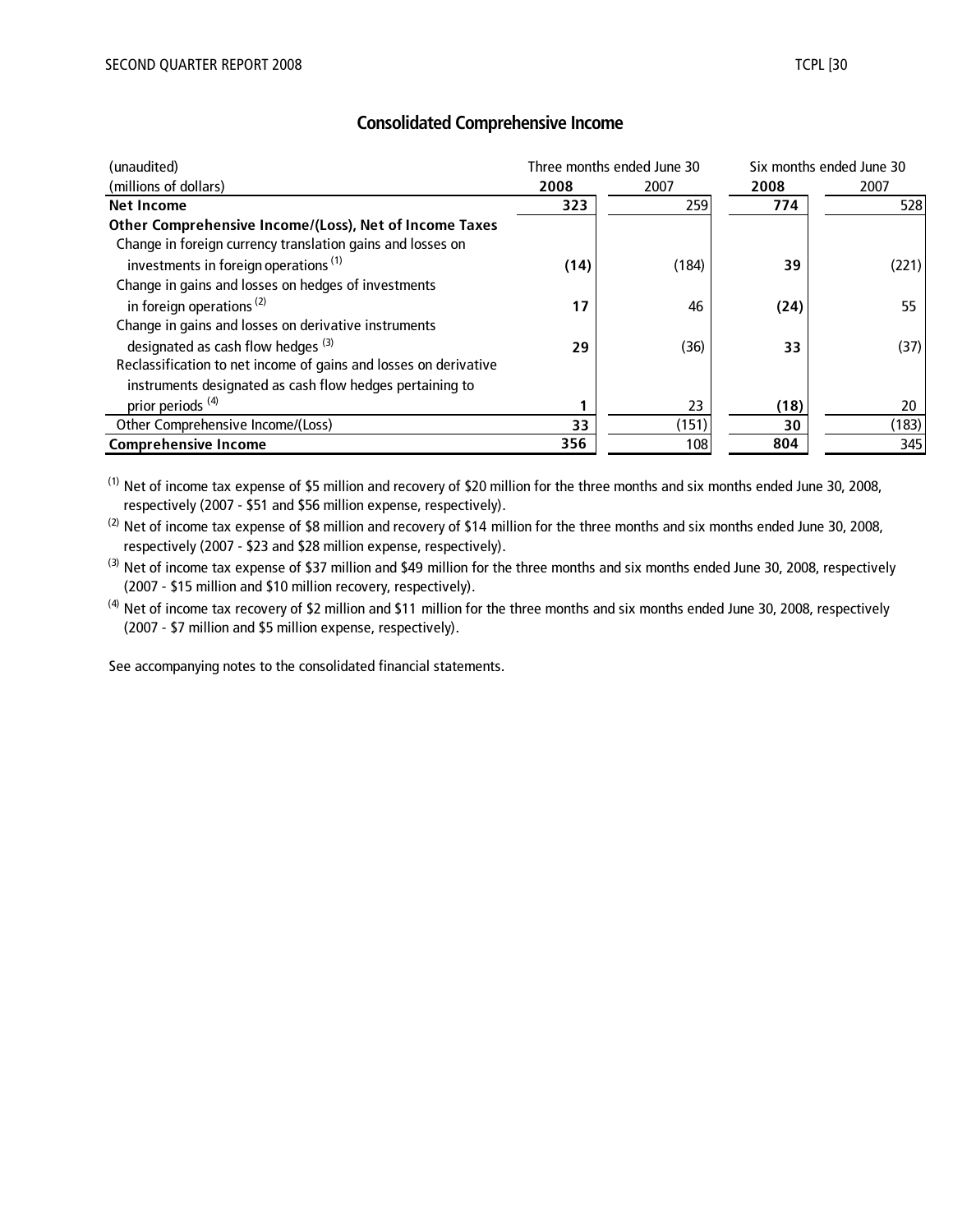| (unaudited)                                                      |      | Three months ended June 30 | Six months ended June 30 |       |  |
|------------------------------------------------------------------|------|----------------------------|--------------------------|-------|--|
| (millions of dollars)                                            | 2008 | 2007                       | 2008                     | 2007  |  |
| Net Income                                                       | 323  | 259                        | 774                      | 528   |  |
| Other Comprehensive Income/(Loss), Net of Income Taxes           |      |                            |                          |       |  |
| Change in foreign currency translation gains and losses on       |      |                            |                          |       |  |
| investments in foreign operations <sup>(1)</sup>                 | (14) | (184)                      | 39                       | (221) |  |
| Change in gains and losses on hedges of investments              |      |                            |                          |       |  |
| in foreign operations <sup><math>(2)</math></sup>                | 17   | 46                         | (24)                     | 55    |  |
| Change in gains and losses on derivative instruments             |      |                            |                          |       |  |
| designated as cash flow hedges <sup>(3)</sup>                    | 29   | (36)                       | 33                       | (37)  |  |
| Reclassification to net income of gains and losses on derivative |      |                            |                          |       |  |
| instruments designated as cash flow hedges pertaining to         |      |                            |                          |       |  |
| prior periods <sup>(4)</sup>                                     |      | 23                         | (18)                     | 20    |  |
| Other Comprehensive Income/(Loss)                                | 33   | (151)                      | 30                       | (183) |  |
| <b>Comprehensive Income</b>                                      | 356  | 108                        | 804                      | 345   |  |

(1) Net of income tax expense of \$5 million and recovery of \$20 million for the three months and six months ended June 30, 2008, respectively (2007 - \$51 and \$56 million expense, respectively).

 $^{(2)}$  Net of income tax expense of \$8 million and recovery of \$14 million for the three months and six months ended June 30, 2008, respectively (2007 - \$23 and \$28 million expense, respectively).

 $^{(3)}$  Net of income tax expense of \$37 million and \$49 million for the three months and six months ended June 30, 2008, respectively (2007 - \$15 million and \$10 million recovery, respectively).

<sup>(4)</sup> Net of income tax recovery of \$2 million and \$11 million for the three months and six months ended June 30, 2008, respectively (2007 - \$7 million and \$5 million expense, respectively).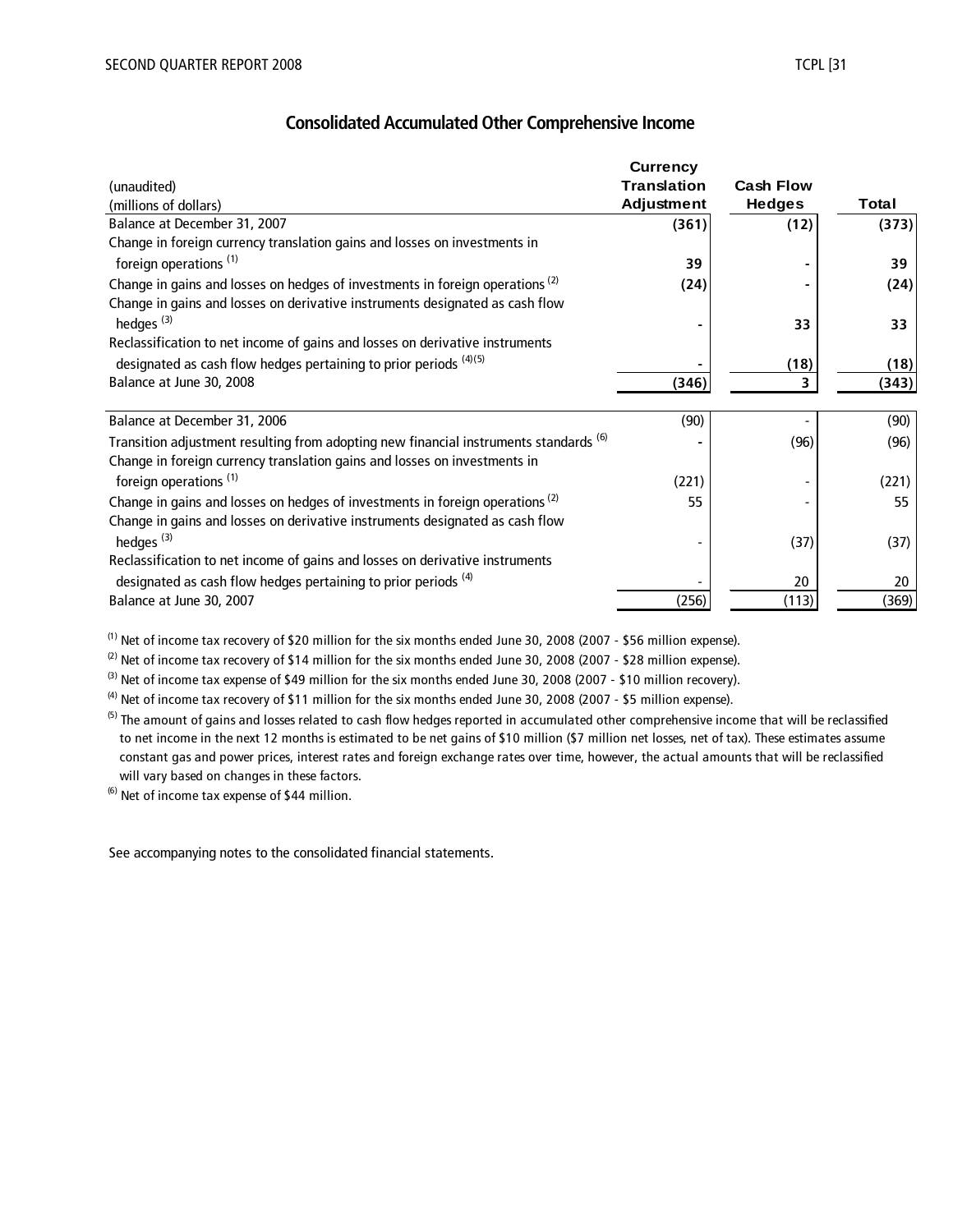|                                                                                          | <b>Currency</b>    |                  |       |
|------------------------------------------------------------------------------------------|--------------------|------------------|-------|
| (unaudited)                                                                              | <b>Translation</b> | <b>Cash Flow</b> |       |
| (millions of dollars)                                                                    | <b>Adjustment</b>  | <b>Hedges</b>    | Total |
| Balance at December 31, 2007                                                             | (361)              | (12)             | (373) |
| Change in foreign currency translation gains and losses on investments in                |                    |                  |       |
| foreign operations <sup>(1)</sup>                                                        | 39                 |                  | 39    |
| Change in gains and losses on hedges of investments in foreign operations <sup>(2)</sup> | (24)               |                  | (24)  |
| Change in gains and losses on derivative instruments designated as cash flow             |                    |                  |       |
| hedges $(3)$                                                                             |                    | 33               | 33    |
| Reclassification to net income of gains and losses on derivative instruments             |                    |                  |       |
| designated as cash flow hedges pertaining to prior periods $(4)(5)$                      |                    | (18)             | (18)  |
| Balance at June 30, 2008                                                                 | (346)              | 3                | (343) |
|                                                                                          |                    |                  |       |
| Balance at December 31, 2006                                                             | (90)               |                  | (90)  |
| Transition adjustment resulting from adopting new financial instruments standards (6)    |                    | (96)             | (96)  |
| Change in foreign currency translation gains and losses on investments in                |                    |                  |       |
| foreign operations <sup>(1)</sup>                                                        | (221)              |                  | (221) |
| Change in gains and losses on hedges of investments in foreign operations <sup>(2)</sup> | 55                 |                  | 55    |
| Change in gains and losses on derivative instruments designated as cash flow             |                    |                  |       |
| hedges $(3)$                                                                             |                    | (37)             | (37)  |
| Reclassification to net income of gains and losses on derivative instruments             |                    |                  |       |
| designated as cash flow hedges pertaining to prior periods <sup>(4)</sup>                |                    | 20               | 20    |
| Balance at June 30, 2007                                                                 | (256)              | (113)            | (369) |

(1) Net of income tax recovery of \$20 million for the six months ended June 30, 2008 (2007 - \$56 million expense).

<sup>(2)</sup> Net of income tax recovery of \$14 million for the six months ended June 30, 2008 (2007 - \$28 million expense).

 $^{(3)}$  Net of income tax expense of \$49 million for the six months ended June 30, 2008 (2007 - \$10 million recovery).

 $(4)$  Net of income tax recovery of \$11 million for the six months ended June 30, 2008 (2007 - \$5 million expense).

<sup>(5)</sup> The amount of gains and losses related to cash flow hedges reported in accumulated other comprehensive income that will be reclassified to net income in the next 12 months is estimated to be net gains of \$10 million (\$7 million net losses, net of tax). These estimates assume constant gas and power prices, interest rates and foreign exchange rates over time, however, the actual amounts that will be reclassified will vary based on changes in these factors.

 $(6)$  Net of income tax expense of \$44 million.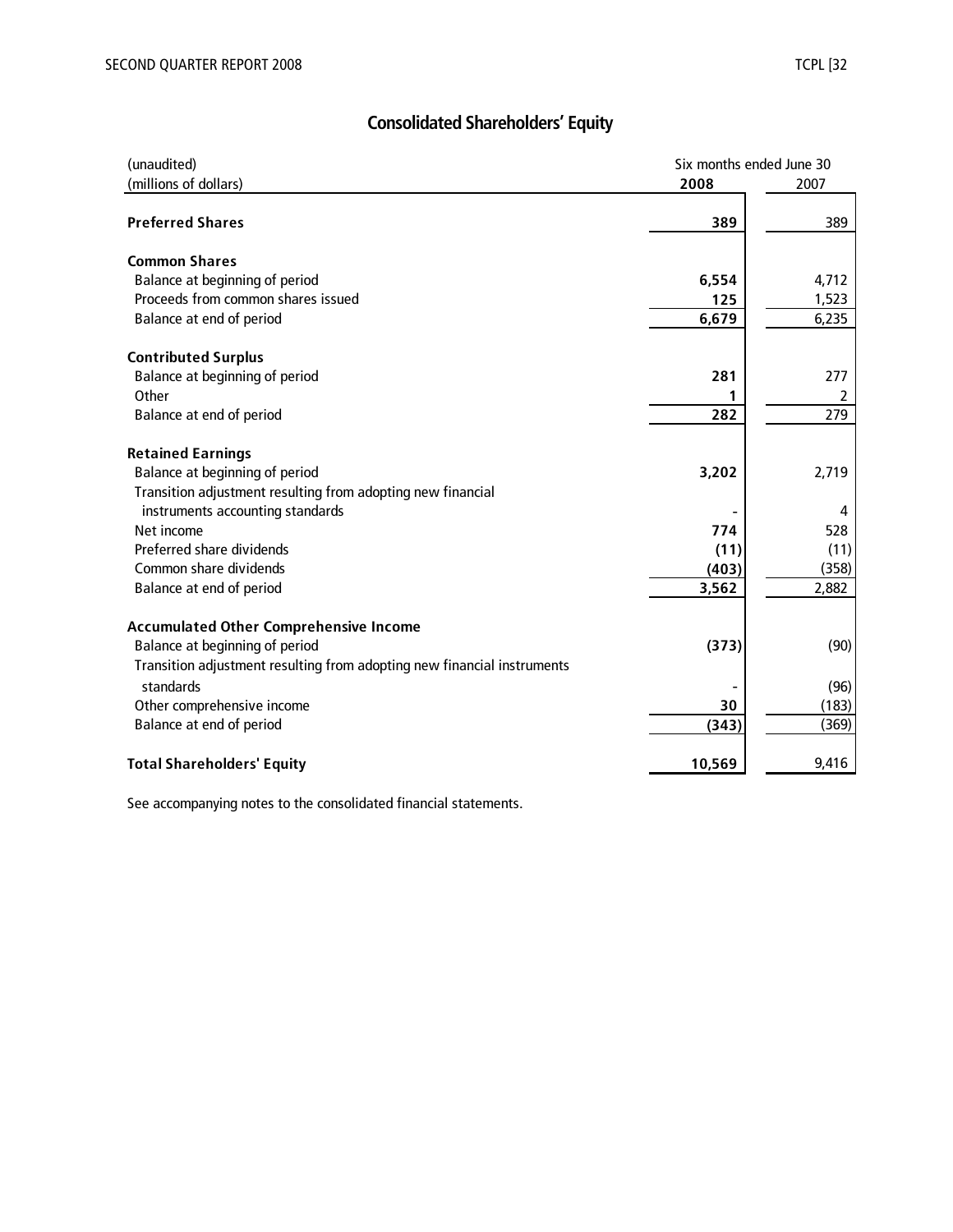# **Consolidated Shareholders' Equity**

| (unaudited)                                                                          | Six months ended June 30 |       |  |  |
|--------------------------------------------------------------------------------------|--------------------------|-------|--|--|
| (millions of dollars)                                                                | 2008                     | 2007  |  |  |
| <b>Preferred Shares</b>                                                              | 389                      | 389   |  |  |
| <b>Common Shares</b>                                                                 |                          |       |  |  |
| Balance at beginning of period                                                       | 6,554                    | 4,712 |  |  |
| Proceeds from common shares issued                                                   | 125                      | 1,523 |  |  |
| Balance at end of period                                                             | 6,679                    | 6,235 |  |  |
| <b>Contributed Surplus</b>                                                           |                          |       |  |  |
| Balance at beginning of period                                                       | 281                      | 277   |  |  |
| Other                                                                                | 1                        | 2     |  |  |
| Balance at end of period                                                             | 282                      | 279   |  |  |
| <b>Retained Earnings</b>                                                             |                          |       |  |  |
| Balance at beginning of period                                                       | 3,202                    | 2,719 |  |  |
| Transition adjustment resulting from adopting new financial                          |                          |       |  |  |
| instruments accounting standards                                                     |                          | 4     |  |  |
| Net income                                                                           | 774                      | 528   |  |  |
| Preferred share dividends                                                            | (11)                     | (11)  |  |  |
| Common share dividends                                                               | (403)                    | (358) |  |  |
| Balance at end of period                                                             | 3,562                    | 2,882 |  |  |
| <b>Accumulated Other Comprehensive Income</b>                                        |                          |       |  |  |
| Balance at beginning of period                                                       | (373)                    | (90)  |  |  |
| Transition adjustment resulting from adopting new financial instruments<br>standards |                          |       |  |  |
| Other comprehensive income                                                           |                          | (96)  |  |  |
|                                                                                      | 30                       | (183) |  |  |
| Balance at end of period                                                             | (343)                    | (369) |  |  |
| <b>Total Shareholders' Equity</b>                                                    | 10,569                   | 9,416 |  |  |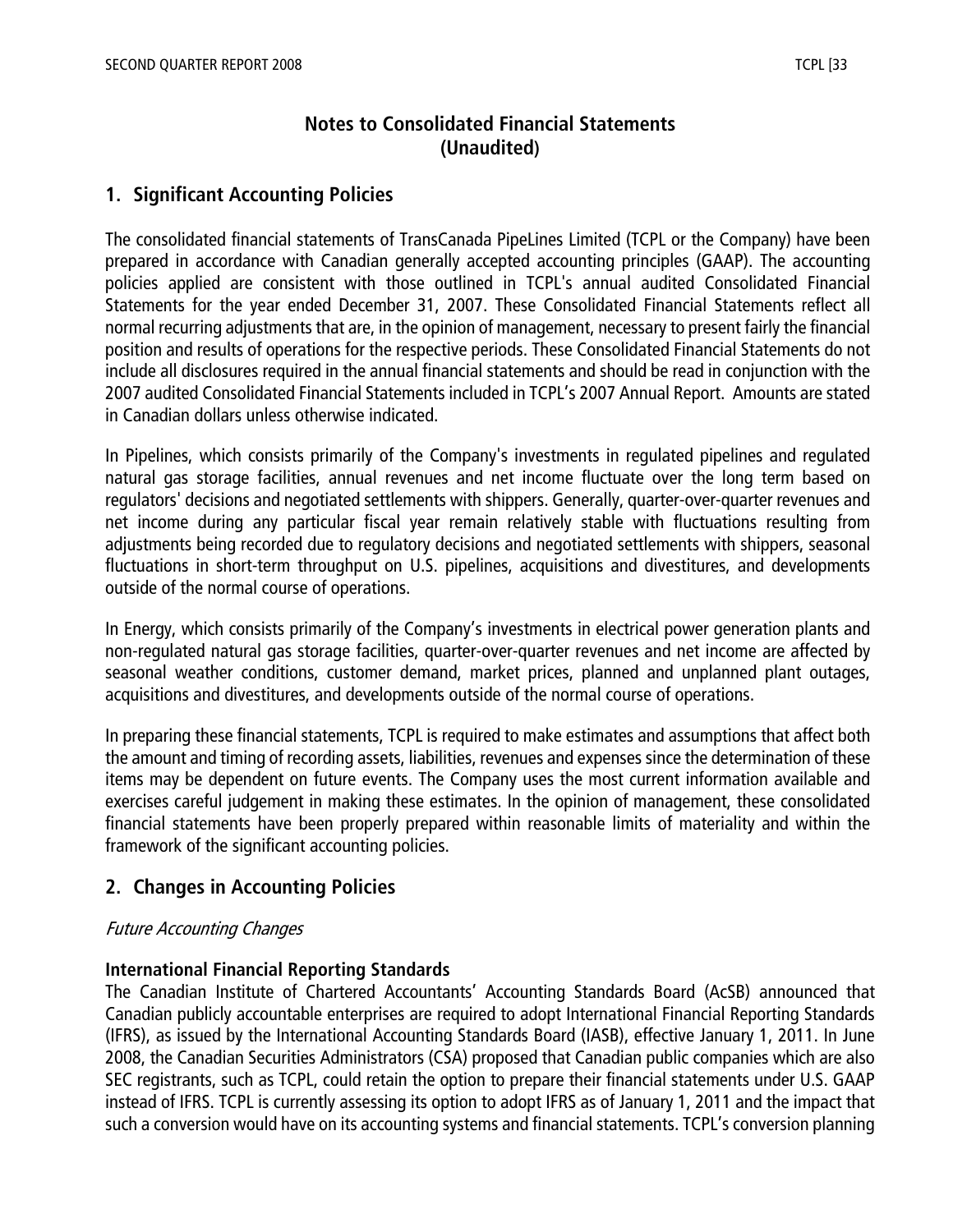# **Notes to Consolidated Financial Statements (Unaudited)**

# **1. Significant Accounting Policies**

The consolidated financial statements of TransCanada PipeLines Limited (TCPL or the Company) have been prepared in accordance with Canadian generally accepted accounting principles (GAAP). The accounting policies applied are consistent with those outlined in TCPL's annual audited Consolidated Financial Statements for the year ended December 31, 2007. These Consolidated Financial Statements reflect all normal recurring adjustments that are, in the opinion of management, necessary to present fairly the financial position and results of operations for the respective periods. These Consolidated Financial Statements do not include all disclosures required in the annual financial statements and should be read in conjunction with the 2007 audited Consolidated Financial Statements included in TCPL's 2007 Annual Report. Amounts are stated in Canadian dollars unless otherwise indicated.

In Pipelines, which consists primarily of the Company's investments in regulated pipelines and regulated natural gas storage facilities, annual revenues and net income fluctuate over the long term based on regulators' decisions and negotiated settlements with shippers. Generally, quarter-over-quarter revenues and net income during any particular fiscal year remain relatively stable with fluctuations resulting from adjustments being recorded due to regulatory decisions and negotiated settlements with shippers, seasonal fluctuations in short-term throughput on U.S. pipelines, acquisitions and divestitures, and developments outside of the normal course of operations.

In Energy, which consists primarily of the Company's investments in electrical power generation plants and non-regulated natural gas storage facilities, quarter-over-quarter revenues and net income are affected by seasonal weather conditions, customer demand, market prices, planned and unplanned plant outages, acquisitions and divestitures, and developments outside of the normal course of operations.

In preparing these financial statements, TCPL is required to make estimates and assumptions that affect both the amount and timing of recording assets, liabilities, revenues and expenses since the determination of these items may be dependent on future events. The Company uses the most current information available and exercises careful judgement in making these estimates. In the opinion of management, these consolidated financial statements have been properly prepared within reasonable limits of materiality and within the framework of the significant accounting policies.

# **2. Changes in Accounting Policies**

#### Future Accounting Changes

#### **International Financial Reporting Standards**

The Canadian Institute of Chartered Accountants' Accounting Standards Board (AcSB) announced that Canadian publicly accountable enterprises are required to adopt International Financial Reporting Standards (IFRS), as issued by the International Accounting Standards Board (IASB), effective January 1, 2011. In June 2008, the Canadian Securities Administrators (CSA) proposed that Canadian public companies which are also SEC registrants, such as TCPL, could retain the option to prepare their financial statements under U.S. GAAP instead of IFRS. TCPL is currently assessing its option to adopt IFRS as of January 1, 2011 and the impact that such a conversion would have on its accounting systems and financial statements. TCPL's conversion planning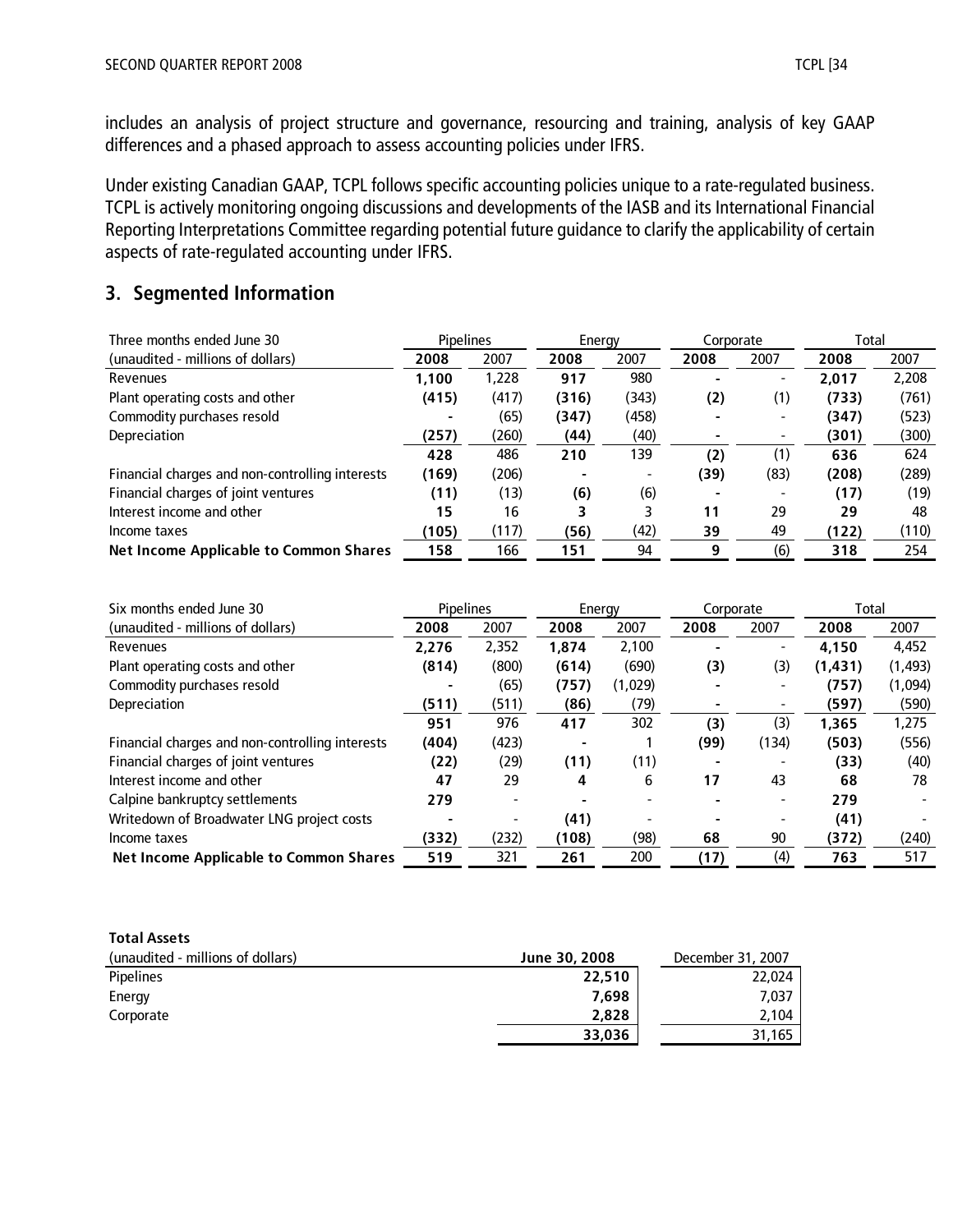includes an analysis of project structure and governance, resourcing and training, analysis of key GAAP differences and a phased approach to assess accounting policies under IFRS.

Under existing Canadian GAAP, TCPL follows specific accounting policies unique to a rate-regulated business. TCPL is actively monitoring ongoing discussions and developments of the IASB and its International Financial Reporting Interpretations Committee regarding potential future guidance to clarify the applicability of certain aspects of rate-regulated accounting under IFRS.

# **3. Segmented Information**

| Three months ended June 30                      | <b>Pipelines</b> |       | Energy |       |      |      | Corporate |       | Total |  |
|-------------------------------------------------|------------------|-------|--------|-------|------|------|-----------|-------|-------|--|
| (unaudited - millions of dollars)               | 2008             | 2007  | 2008   | 2007  | 2008 | 2007 | 2008      | 2007  |       |  |
| Revenues                                        | 1.100            | 1,228 | 917    | 980   |      |      | 2.017     | 2,208 |       |  |
| Plant operating costs and other                 | (415)            | (417) | (316)  | (343) | (2)  | (1)  | (733)     | (761) |       |  |
| Commodity purchases resold                      |                  | (65)  | (347)  | (458) |      |      | (347)     | (523) |       |  |
| Depreciation                                    | (257)            | (260) | (44)   | (40)  |      |      | (301)     | (300) |       |  |
|                                                 | 428              | 486   | 210    | 139   | (2)  | (1)  | 636       | 624   |       |  |
| Financial charges and non-controlling interests | (169)            | (206) |        |       | (39) | (83) | (208)     | (289) |       |  |
| Financial charges of joint ventures             | (11)             | (13)  | (6)    | (6)   |      |      | (17)      | (19)  |       |  |
| Interest income and other                       | 15               | 16    | 3      |       | 11   | 29   | 29        | 48    |       |  |
| Income taxes                                    | (105)            | (117) | (56)   | (42)  | 39   | 49   | (122)     | (110) |       |  |
| <b>Net Income Applicable to Common Shares</b>   | 158              | 166   | 151    | 94    | 9    | (6)  | 318       | 254   |       |  |

| Six months ended June 30                        | <b>Pipelines</b> |       | Energy |         | Corporate |                          | Total    |          |
|-------------------------------------------------|------------------|-------|--------|---------|-----------|--------------------------|----------|----------|
| (unaudited - millions of dollars)               | 2008             | 2007  | 2008   | 2007    | 2008      | 2007                     | 2008     | 2007     |
| Revenues                                        | 2,276            | 2,352 | 1,874  | 2,100   |           |                          | 4,150    | 4,452    |
| Plant operating costs and other                 | (814)            | (800) | (614)  | (690)   | (3)       | (3)                      | (1, 431) | (1, 493) |
| Commodity purchases resold                      |                  | (65)  | (757)  | (1,029) |           |                          | (757)    | (1,094)  |
| Depreciation                                    | (511)            | (511) | (86)   | (79)    |           |                          | (597)    | (590)    |
|                                                 | 951              | 976   | 417    | 302     | (3)       | (3)                      | 1.365    | 1,275    |
| Financial charges and non-controlling interests | (404)            | (423) |        |         | (99)      | (134)                    | (503)    | (556)    |
| Financial charges of joint ventures             | (22)             | (29)  | (11)   | (11)    |           |                          | (33)     | (40)     |
| Interest income and other                       | 47               | 29    | 4      | 6       | 17        | 43                       | 68       | 78       |
| Calpine bankruptcy settlements                  | 279              |       |        |         |           | $\overline{\phantom{a}}$ | 279      |          |
| Writedown of Broadwater LNG project costs       |                  |       | (41)   |         |           |                          | (41)     |          |
| Income taxes                                    | (332)            | (232) | (108)  | (98)    | 68        | 90                       | (372)    | (240)    |
| <b>Net Income Applicable to Common Shares</b>   | 519              | 321   | 261    | 200     | (17)      | (4)                      | 763      | 517      |

#### **Total Assets**

| (unaudited - millions of dollars) | June 30, 2008 | December 31, 2007 |
|-----------------------------------|---------------|-------------------|
| <b>Pipelines</b>                  | 22,510        | 22,024            |
| Energy                            | 7,698         | 7,037             |
| Corporate                         | 2,828         | 2.104             |
|                                   | 33,036        | 31,165            |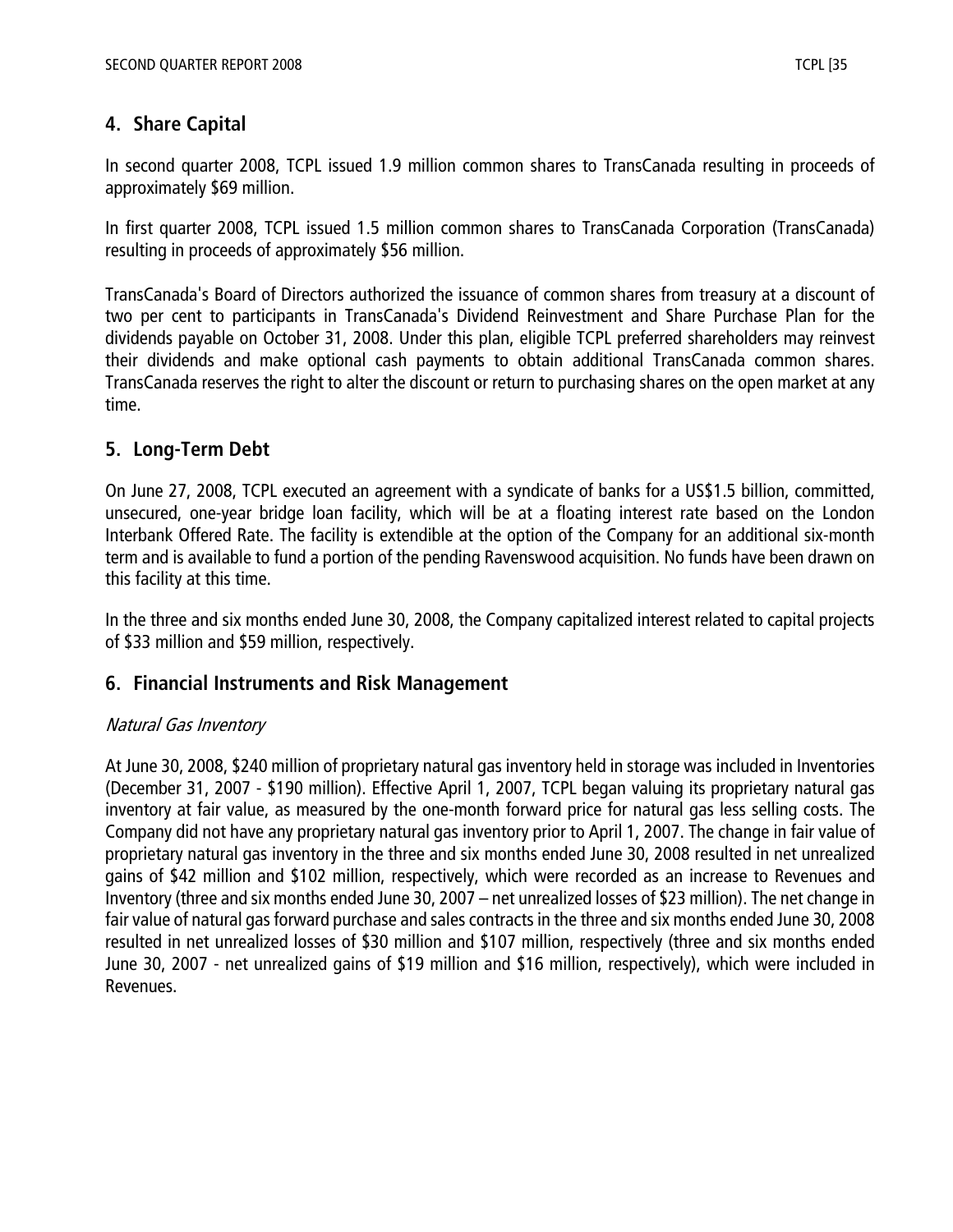# **4. Share Capital**

In second quarter 2008, TCPL issued 1.9 million common shares to TransCanada resulting in proceeds of approximately \$69 million.

In first quarter 2008, TCPL issued 1.5 million common shares to TransCanada Corporation (TransCanada) resulting in proceeds of approximately \$56 million.

TransCanada's Board of Directors authorized the issuance of common shares from treasury at a discount of two per cent to participants in TransCanada's Dividend Reinvestment and Share Purchase Plan for the dividends payable on October 31, 2008. Under this plan, eligible TCPL preferred shareholders may reinvest their dividends and make optional cash payments to obtain additional TransCanada common shares. TransCanada reserves the right to alter the discount or return to purchasing shares on the open market at any time.

# **5. Long-Term Debt**

On June 27, 2008, TCPL executed an agreement with a syndicate of banks for a US\$1.5 billion, committed, unsecured, one-year bridge loan facility, which will be at a floating interest rate based on the London Interbank Offered Rate. The facility is extendible at the option of the Company for an additional six-month term and is available to fund a portion of the pending Ravenswood acquisition. No funds have been drawn on this facility at this time.

In the three and six months ended June 30, 2008, the Company capitalized interest related to capital projects of \$33 million and \$59 million, respectively.

# **6. Financial Instruments and Risk Management**

## Natural Gas Inventory

At June 30, 2008, \$240 million of proprietary natural gas inventory held in storage was included in Inventories (December 31, 2007 - \$190 million). Effective April 1, 2007, TCPL began valuing its proprietary natural gas inventory at fair value, as measured by the one-month forward price for natural gas less selling costs. The Company did not have any proprietary natural gas inventory prior to April 1, 2007. The change in fair value of proprietary natural gas inventory in the three and six months ended June 30, 2008 resulted in net unrealized gains of \$42 million and \$102 million, respectively, which were recorded as an increase to Revenues and Inventory (three and six months ended June 30, 2007 – net unrealized losses of \$23 million). The net change in fair value of natural gas forward purchase and sales contracts in the three and six months ended June 30, 2008 resulted in net unrealized losses of \$30 million and \$107 million, respectively (three and six months ended June 30, 2007 - net unrealized gains of \$19 million and \$16 million, respectively), which were included in Revenues.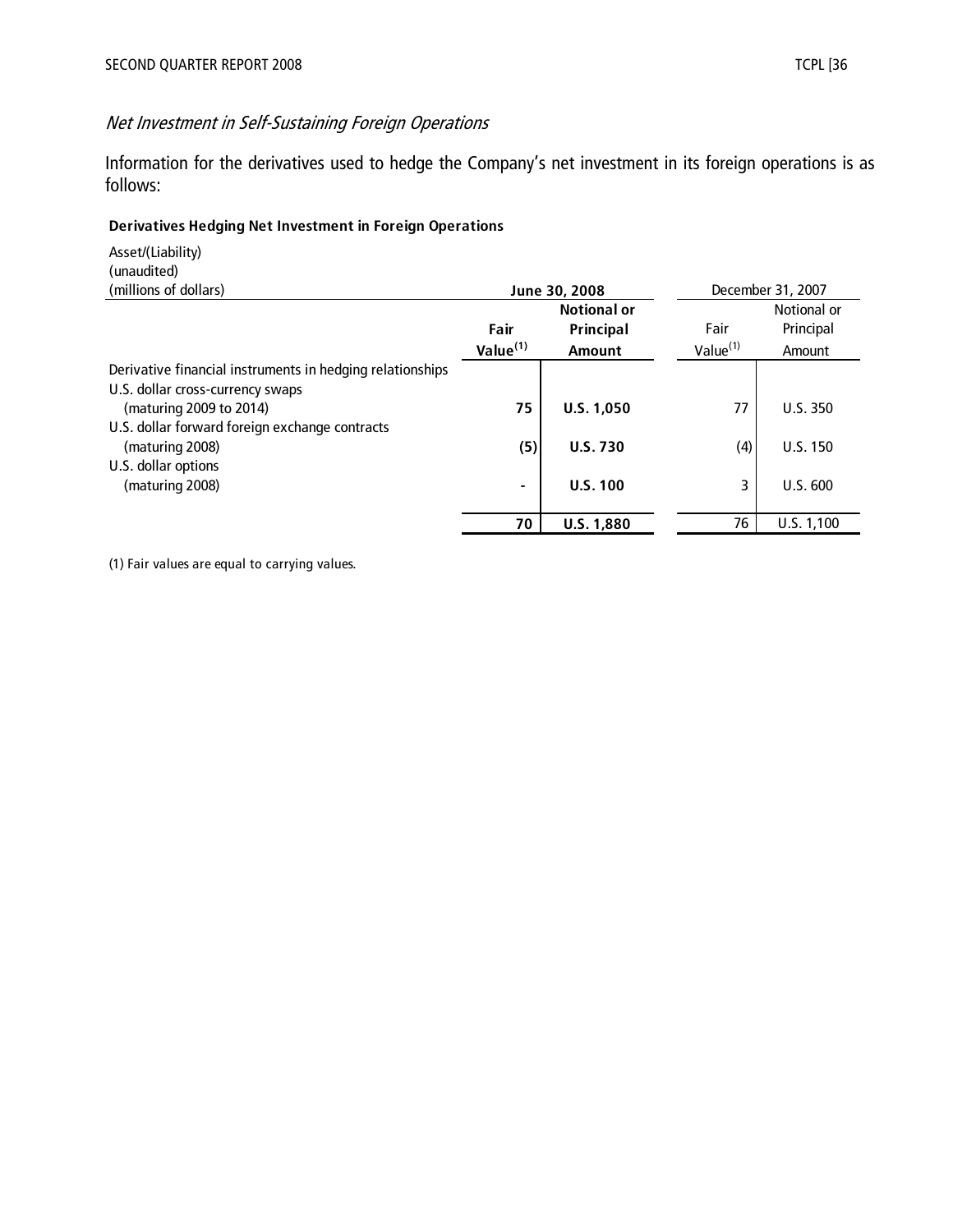# Net Investment in Self-Sustaining Foreign Operations

Information for the derivatives used to hedge the Company's net investment in its foreign operations is as follows:

#### **Derivatives Hedging Net Investment in Foreign Operations**

Asset/(Liability) (unaudited)

| (millions of dollars)                                     | June 30, 2008        |                   |                      | December 31, 2007 |
|-----------------------------------------------------------|----------------------|-------------------|----------------------|-------------------|
|                                                           | <b>Notional or</b>   |                   |                      | Notional or       |
|                                                           | Fair                 | Principal         | Fair                 | Principal         |
|                                                           | Value <sup>(1)</sup> | <b>Amount</b>     | Value <sup>(1)</sup> | Amount            |
| Derivative financial instruments in hedging relationships |                      |                   |                      |                   |
| U.S. dollar cross-currency swaps                          |                      |                   |                      |                   |
| (maturing 2009 to 2014)                                   | 75                   | U.S. 1,050        | 77                   | <b>U.S. 350</b>   |
| U.S. dollar forward foreign exchange contracts            |                      |                   |                      |                   |
| (maturing 2008)                                           | (5)                  | <b>U.S. 730</b>   | (4)                  | U.S. 150          |
| U.S. dollar options                                       |                      |                   |                      |                   |
| (maturing 2008)                                           | -                    | U.S. 100          | 3                    | U.S. 600          |
|                                                           |                      |                   |                      |                   |
|                                                           | 70                   | <b>U.S. 1,880</b> | 76                   | U.S. 1,100        |

(1) Fair values are equal to carrying values.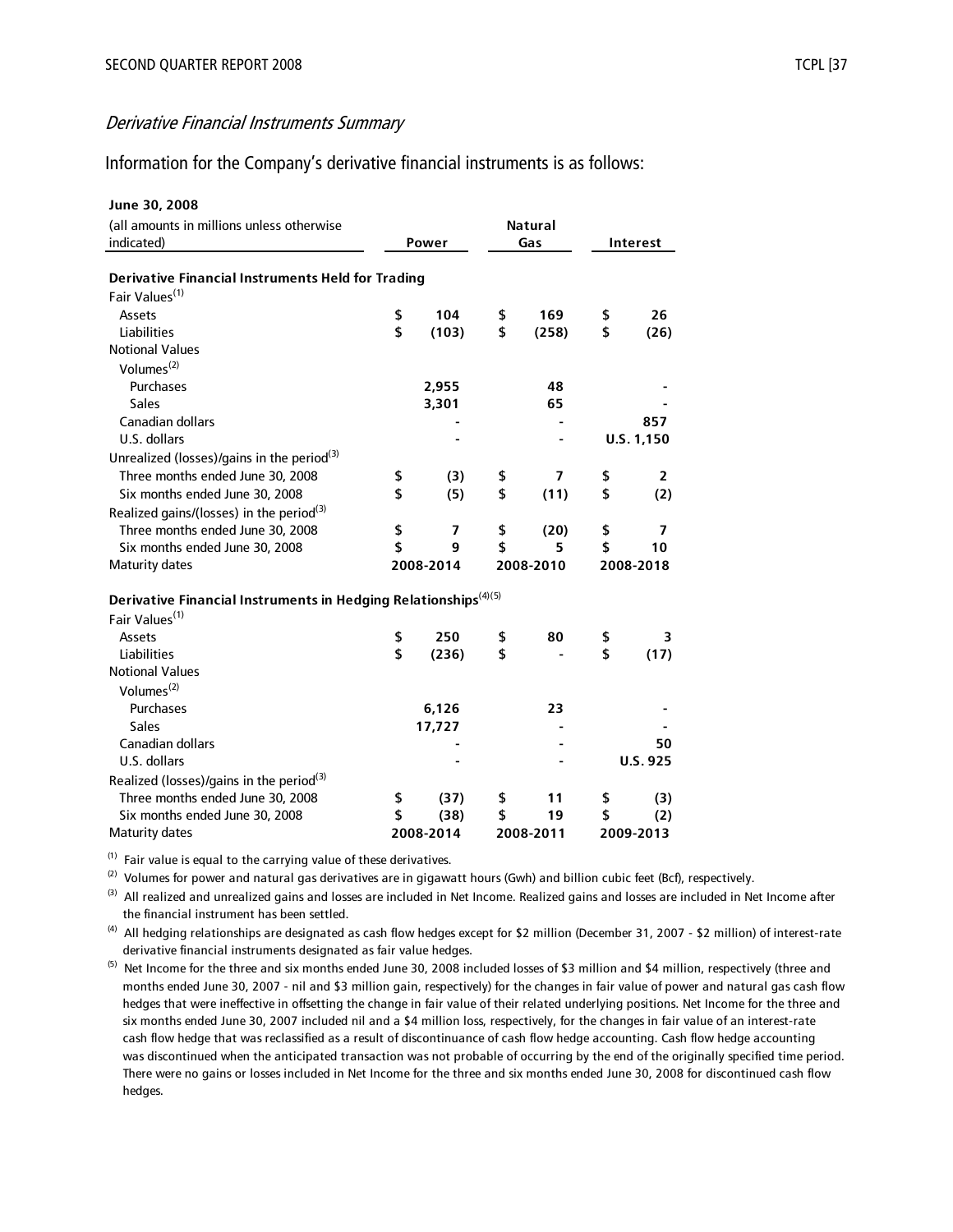#### Information for the Company's derivative financial instruments is as follows:

| June 30, 2008                                                               |           |                          |           |                |           |            |
|-----------------------------------------------------------------------------|-----------|--------------------------|-----------|----------------|-----------|------------|
| (all amounts in millions unless otherwise                                   |           |                          |           | <b>Natural</b> |           |            |
| indicated)                                                                  |           | Power                    | Gas       |                | Interest  |            |
|                                                                             |           |                          |           |                |           |            |
| <b>Derivative Financial Instruments Held for Trading</b>                    |           |                          |           |                |           |            |
| Fair Values <sup>(1)</sup>                                                  |           |                          |           |                |           |            |
| <b>Assets</b>                                                               | \$        | 104                      | \$        | 169            | \$        | 26         |
| <b>Liabilities</b>                                                          | \$        | (103)                    | \$        | (258)          | \$        | (26)       |
| <b>Notional Values</b>                                                      |           |                          |           |                |           |            |
| Volumes <sup>(2)</sup>                                                      |           |                          |           |                |           |            |
| Purchases                                                                   |           | 2,955                    |           | 48             |           |            |
| Sales                                                                       |           | 3,301                    |           | 65             |           |            |
| <b>Canadian dollars</b>                                                     |           |                          |           |                |           | 857        |
| U.S. dollars                                                                |           |                          |           |                |           | U.S. 1,150 |
| Unrealized (losses)/gains in the period <sup>(3)</sup>                      |           |                          |           |                |           |            |
| Three months ended June 30, 2008                                            | \$        | (3)                      | \$        | 7              | \$        | 2          |
| Six months ended June 30, 2008                                              | \$        | (5)                      | \$        | (11)           | \$        | (2)        |
| Realized gains/(losses) in the period <sup>(3)</sup>                        |           |                          |           |                |           |            |
| Three months ended June 30, 2008                                            | \$        | $\overline{\phantom{a}}$ | \$        | (20)           | \$        | 7          |
| Six months ended June 30, 2008                                              | \$        | 9                        | \$        | 5              | \$        | 10         |
| <b>Maturity dates</b>                                                       | 2008-2014 |                          | 2008-2010 |                |           | 2008-2018  |
|                                                                             |           |                          |           |                |           |            |
| Derivative Financial Instruments in Hedging Relationships <sup>(4)(5)</sup> |           |                          |           |                |           |            |
| Fair Values <sup>(1)</sup>                                                  |           |                          |           |                |           |            |
| Assets                                                                      | \$        | 250                      | \$        | 80             | \$        | 3          |
| <b>Liabilities</b>                                                          | \$        | (236)                    | \$        |                | \$        | (17)       |
| <b>Notional Values</b>                                                      |           |                          |           |                |           |            |
| Volumes $(2)$                                                               |           |                          |           |                |           |            |
| Purchases                                                                   |           | 6,126                    |           | 23             |           |            |
| <b>Sales</b>                                                                |           | 17,727                   |           |                |           |            |
| <b>Canadian dollars</b>                                                     |           |                          |           |                |           | 50         |
| U.S. dollars                                                                |           |                          |           |                |           | U.S. 925   |
| Realized (losses)/gains in the period <sup>(3)</sup>                        |           |                          |           |                |           |            |
| Three months ended June 30, 2008                                            | \$        | (37)                     | \$        | 11             | \$        | (3)        |
| Six months ended June 30, 2008                                              | \$        | (38)                     | \$        | 19             | \$        | (2)        |
| <b>Maturity dates</b>                                                       | 2008-2014 |                          | 2008-2011 |                | 2009-2013 |            |

 $(1)$  Fair value is equal to the carrying value of these derivatives.

 $(2)$  Volumes for power and natural gas derivatives are in gigawatt hours (Gwh) and billion cubic feet (Bcf), respectively.

 the financial instrument has been settled. <sup>(3)</sup> All realized and unrealized gains and losses are included in Net Income. Realized gains and losses are included in Net Income after

 derivative financial instruments designated as fair value hedges. <sup>(4)</sup> All hedging relationships are designated as cash flow hedges except for \$2 million (December 31, 2007 - \$2 million) of interest-rate

 months ended June 30, 2007 - nil and \$3 million gain, respectively) for the changes in fair value of power and natural gas cash flow hedges that were ineffective in offsetting the change in fair value of their related underlying positions. Net Income for the three and six months ended June 30, 2007 included nil and a \$4 million loss, respectively, for the changes in fair value of an interest-rate cash flow hedge that was reclassified as a result of discontinuance of cash flow hedge accounting. Cash flow hedge accounting was discontinued when the anticipated transaction was not probable of occurring by the end of the originally specified time period. There were no gains or losses included in Net Income for the three and six months ended June 30, 2008 for discontinued cash flow hedges.  $^{(5)}$  Net Income for the three and six months ended June 30, 2008 included losses of \$3 million and \$4 million, respectively (three and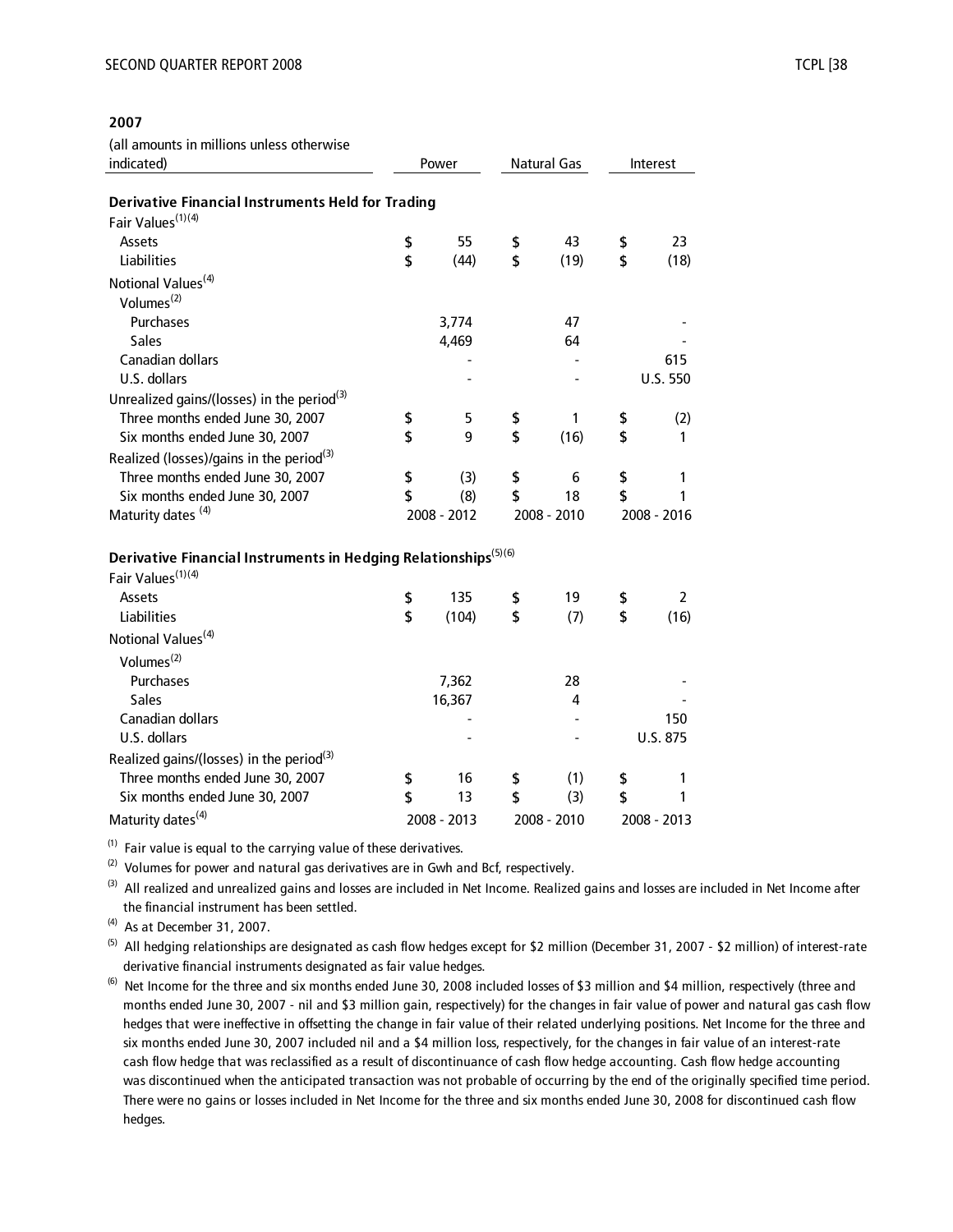#### **2007**

(all amounts in millions unless otherwise

| indicated)                                                                  | Power |             | Natural Gas |             | Interest |                |
|-----------------------------------------------------------------------------|-------|-------------|-------------|-------------|----------|----------------|
| <b>Derivative Financial Instruments Held for Trading</b>                    |       |             |             |             |          |                |
| Fair Values <sup>(1)(4)</sup>                                               |       |             |             |             |          |                |
| Assets                                                                      | \$    | 55          | \$          | 43          | \$       | 23             |
| <b>Liabilities</b>                                                          | \$    | (44)        | \$          | (19)        | \$       | (18)           |
| Notional Values <sup>(4)</sup>                                              |       |             |             |             |          |                |
| Volumes <sup>(2)</sup>                                                      |       |             |             |             |          |                |
| Purchases                                                                   |       | 3,774       |             | 47          |          |                |
| <b>Sales</b>                                                                |       | 4,469       |             | 64          |          |                |
| Canadian dollars                                                            |       |             |             |             |          | 615            |
| U.S. dollars                                                                |       |             |             |             |          | U.S. 550       |
| Unrealized gains/(losses) in the period <sup>(3)</sup>                      |       |             |             |             |          |                |
| Three months ended June 30, 2007                                            | \$    | 5           | \$          | 1           | \$       | (2)            |
| Six months ended June 30, 2007                                              | \$    | 9           | \$          | (16)        | \$       | 1              |
| Realized (losses)/gains in the period <sup>(3)</sup>                        |       |             |             |             |          |                |
| Three months ended June 30, 2007                                            | \$    | (3)         | \$          | 6           | \$       | 1              |
| Six months ended June 30, 2007                                              | \$    | (8)         | \$          | 18          | \$       | 1              |
| Maturity dates <sup>(4)</sup>                                               |       | 2008 - 2012 |             | 2008 - 2010 |          | 2008 - 2016    |
|                                                                             |       |             |             |             |          |                |
| Derivative Financial Instruments in Hedging Relationships <sup>(5)(6)</sup> |       |             |             |             |          |                |
| Fair Values <sup>(1)(4)</sup>                                               |       |             |             |             |          |                |
| Assets                                                                      | \$    | 135         | \$          | 19          | \$       | $\overline{2}$ |
| <b>Liabilities</b>                                                          | \$    | (104)       | \$          | (7)         | \$       | (16)           |
| Notional Values <sup>(4)</sup>                                              |       |             |             |             |          |                |
| Volumes <sup>(2)</sup>                                                      |       |             |             |             |          |                |
| Purchases                                                                   |       | 7,362       |             | 28          |          |                |
| <b>Sales</b>                                                                |       | 16,367      |             | 4           |          |                |
| <b>Canadian dollars</b>                                                     |       |             |             |             |          | 150            |
| U.S. dollars                                                                |       |             |             |             |          | U.S. 875       |
| Realized gains/(losses) in the period <sup>(3)</sup>                        |       |             |             |             |          |                |
| Three months ended June 30, 2007                                            | \$    | 16          | \$          | (1)         | \$       | 1              |
| Six months ended June 30, 2007                                              | \$    | 13          | \$          | (3)         | \$       | 1              |
| Maturity dates <sup>(4)</sup>                                               |       | 2008 - 2013 |             | 2008 - 2010 |          | 2008 - 2013    |

 $(1)$  Fair value is equal to the carrying value of these derivatives.

 $(2)$  Volumes for power and natural gas derivatives are in Gwh and Bcf, respectively.

 the financial instrument has been settled. <sup>(3)</sup> All realized and unrealized gains and losses are included in Net Income. Realized gains and losses are included in Net Income after

 $(4)$  As at December 31, 2007.

 derivative financial instruments designated as fair value hedges. <sup>(5)</sup> All hedging relationships are designated as cash flow hedges except for \$2 million (December 31, 2007 - \$2 million) of interest-rate

 months ended June 30, 2007 - nil and \$3 million gain, respectively) for the changes in fair value of power and natural gas cash flow hedges that were ineffective in offsetting the change in fair value of their related underlying positions. Net Income for the three and six months ended June 30, 2007 included nil and a \$4 million loss, respectively, for the changes in fair value of an interest-rate cash flow hedge that was reclassified as a result of discontinuance of cash flow hedge accounting. Cash flow hedge accounting was discontinued when the anticipated transaction was not probable of occurring by the end of the originally specified time period. There were no gains or losses included in Net Income for the three and six months ended June 30, 2008 for discontinued cash flow hedges. <sup>(6)</sup> Net Income for the three and six months ended June 30, 2008 included losses of \$3 million and \$4 million, respectively (three and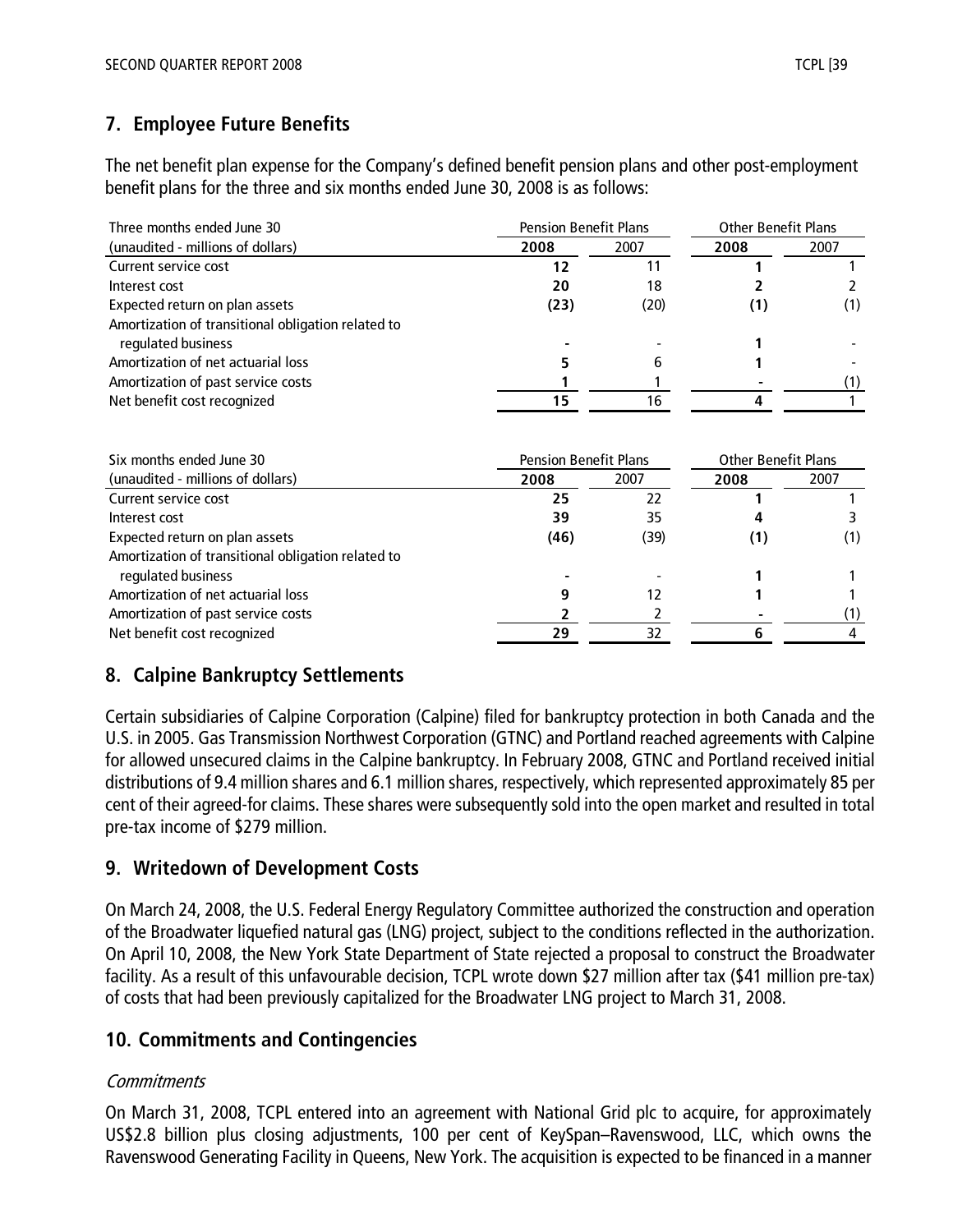# **7. Employee Future Benefits**

The net benefit plan expense for the Company's defined benefit pension plans and other post-employment benefit plans for the three and six months ended June 30, 2008 is as follows:

| Three months ended June 30                         | <b>Pension Benefit Plans</b> |      | <b>Other Benefit Plans</b> |      |  |
|----------------------------------------------------|------------------------------|------|----------------------------|------|--|
| (unaudited - millions of dollars)                  | 2008                         | 2007 |                            | 2007 |  |
| Current service cost                               | 12                           | 11   |                            |      |  |
| Interest cost                                      | 20                           | 18   |                            |      |  |
| Expected return on plan assets                     | (23)                         | (20) | (1)                        | (1)  |  |
| Amortization of transitional obligation related to |                              |      |                            |      |  |
| regulated business                                 |                              |      |                            |      |  |
| Amortization of net actuarial loss                 |                              | b    |                            |      |  |
| Amortization of past service costs                 |                              |      |                            |      |  |
| Net benefit cost recognized                        |                              | 16   |                            |      |  |

| Six months ended June 30                           | <b>Pension Benefit Plans</b> | <b>Other Benefit Plans</b> |    |      |
|----------------------------------------------------|------------------------------|----------------------------|----|------|
| (unaudited - millions of dollars)                  | 2008                         | 2007                       |    | 2007 |
| Current service cost                               | 25                           | 22                         |    |      |
| Interest cost                                      | 39                           | 35                         |    |      |
| Expected return on plan assets                     | (46)                         | (39)                       | 11 | (1)  |
| Amortization of transitional obligation related to |                              |                            |    |      |
| regulated business                                 |                              |                            |    |      |
| Amortization of net actuarial loss                 |                              |                            |    |      |
| Amortization of past service costs                 |                              |                            |    |      |
| Net benefit cost recognized                        | 29                           | 32                         |    |      |

# **8. Calpine Bankruptcy Settlements**

Certain subsidiaries of Calpine Corporation (Calpine) filed for bankruptcy protection in both Canada and the U.S. in 2005. Gas Transmission Northwest Corporation (GTNC) and Portland reached agreements with Calpine for allowed unsecured claims in the Calpine bankruptcy. In February 2008, GTNC and Portland received initial distributions of 9.4 million shares and 6.1 million shares, respectively, which represented approximately 85 per cent of their agreed-for claims. These shares were subsequently sold into the open market and resulted in total pre-tax income of \$279 million.

# **9. Writedown of Development Costs**

On March 24, 2008, the U.S. Federal Energy Regulatory Committee authorized the construction and operation of the Broadwater liquefied natural gas (LNG) project, subject to the conditions reflected in the authorization. On April 10, 2008, the New York State Department of State rejected a proposal to construct the Broadwater facility. As a result of this unfavourable decision, TCPL wrote down \$27 million after tax (\$41 million pre-tax) of costs that had been previously capitalized for the Broadwater LNG project to March 31, 2008.

# **10. Commitments and Contingencies**

## **Commitments**

On March 31, 2008, TCPL entered into an agreement with National Grid plc to acquire, for approximately US\$2.8 billion plus closing adjustments, 100 per cent of KeySpan–Ravenswood, LLC, which owns the Ravenswood Generating Facility in Queens, New York. The acquisition is expected to be financed in a manner